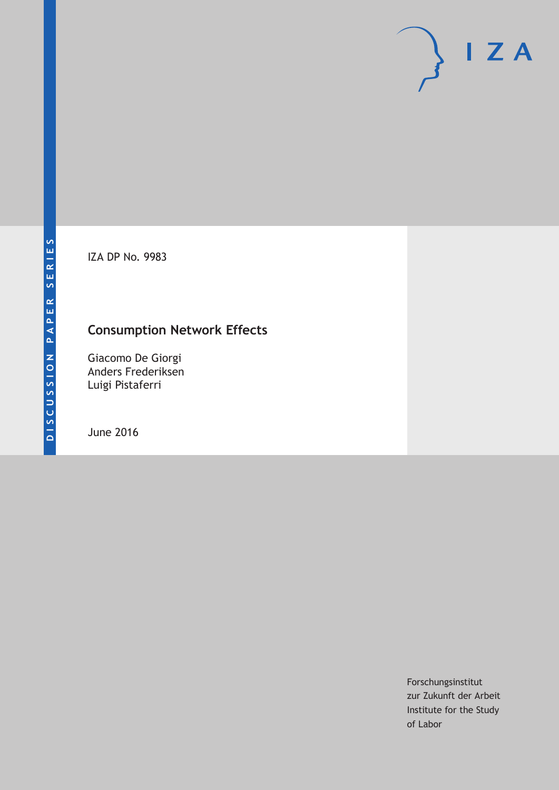IZA DP No. 9983

## **Consumption Network Effects**

Giacomo De Giorgi Anders Frederiksen Luigi Pistaferri

June 2016

Forschungsinstitut zur Zukunft der Arbeit Institute for the Study of Labor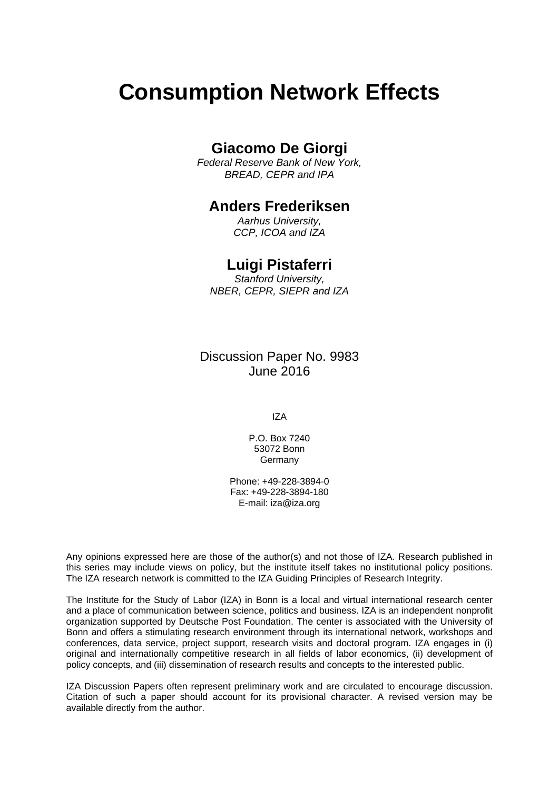# **Consumption Network Effects**

## **Giacomo De Giorgi**

*Federal Reserve Bank of New York, BREAD, CEPR and IPA* 

## **Anders Frederiksen**

*Aarhus University, CCP, ICOA and IZA* 

## **Luigi Pistaferri**

*Stanford University, NBER, CEPR, SIEPR and IZA*

Discussion Paper No. 9983 June 2016

IZA

P.O. Box 7240 53072 Bonn **Germany** 

Phone: +49-228-3894-0 Fax: +49-228-3894-180 E-mail: iza@iza.org

Any opinions expressed here are those of the author(s) and not those of IZA. Research published in this series may include views on policy, but the institute itself takes no institutional policy positions. The IZA research network is committed to the IZA Guiding Principles of Research Integrity.

The Institute for the Study of Labor (IZA) in Bonn is a local and virtual international research center and a place of communication between science, politics and business. IZA is an independent nonprofit organization supported by Deutsche Post Foundation. The center is associated with the University of Bonn and offers a stimulating research environment through its international network, workshops and conferences, data service, project support, research visits and doctoral program. IZA engages in (i) original and internationally competitive research in all fields of labor economics, (ii) development of policy concepts, and (iii) dissemination of research results and concepts to the interested public.

IZA Discussion Papers often represent preliminary work and are circulated to encourage discussion. Citation of such a paper should account for its provisional character. A revised version may be available directly from the author.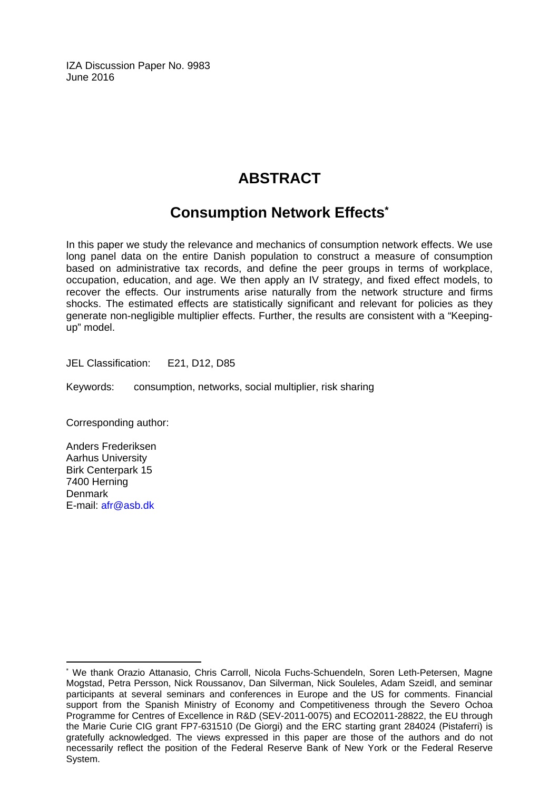IZA Discussion Paper No. 9983 June 2016

## **ABSTRACT**

## **Consumption Network Effects\***

In this paper we study the relevance and mechanics of consumption network effects. We use long panel data on the entire Danish population to construct a measure of consumption based on administrative tax records, and define the peer groups in terms of workplace, occupation, education, and age. We then apply an IV strategy, and fixed effect models, to recover the effects. Our instruments arise naturally from the network structure and firms shocks. The estimated effects are statistically significant and relevant for policies as they generate non-negligible multiplier effects. Further, the results are consistent with a "Keepingup" model.

JEL Classification: E21, D12, D85

Keywords: consumption, networks, social multiplier, risk sharing

Corresponding author:

Anders Frederiksen Aarhus University Birk Centerpark 15 7400 Herning Denmark E-mail: afr@asb.dk

 $\overline{a}$ 

<sup>\*</sup> We thank Orazio Attanasio, Chris Carroll, Nicola Fuchs-Schuendeln, Soren Leth-Petersen, Magne Mogstad, Petra Persson, Nick Roussanov, Dan Silverman, Nick Souleles, Adam Szeidl, and seminar participants at several seminars and conferences in Europe and the US for comments. Financial support from the Spanish Ministry of Economy and Competitiveness through the Severo Ochoa Programme for Centres of Excellence in R&D (SEV-2011-0075) and ECO2011-28822, the EU through the Marie Curie CIG grant FP7-631510 (De Giorgi) and the ERC starting grant 284024 (Pistaferri) is gratefully acknowledged. The views expressed in this paper are those of the authors and do not necessarily reflect the position of the Federal Reserve Bank of New York or the Federal Reserve System.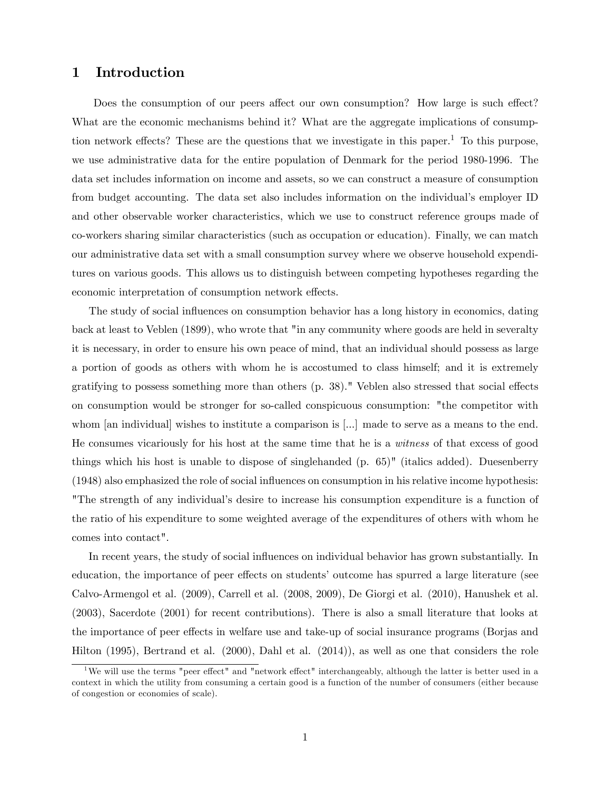### 1 Introduction

Does the consumption of our peers affect our own consumption? How large is such effect? What are the economic mechanisms behind it? What are the aggregate implications of consumption network effects? These are the questions that we investigate in this paper.<sup>1</sup> To this purpose, we use administrative data for the entire population of Denmark for the period 1980-1996. The data set includes information on income and assets, so we can construct a measure of consumption from budget accounting. The data set also includes information on the individual's employer ID and other observable worker characteristics, which we use to construct reference groups made of co-workers sharing similar characteristics (such as occupation or education). Finally, we can match our administrative data set with a small consumption survey where we observe household expenditures on various goods. This allows us to distinguish between competing hypotheses regarding the economic interpretation of consumption network effects.

The study of social influences on consumption behavior has a long history in economics, dating back at least to Veblen (1899), who wrote that "in any community where goods are held in severalty it is necessary, in order to ensure his own peace of mind, that an individual should possess as large a portion of goods as others with whom he is accostumed to class himself; and it is extremely gratifying to possess something more than others  $(p. 38)$ ." Veblen also stressed that social effects on consumption would be stronger for so-called conspicuous consumption: "the competitor with whom [an individual] wishes to institute a comparison is [...] made to serve as a means to the end. He consumes vicariously for his host at the same time that he is a witness of that excess of good things which his host is unable to dispose of singlehanded (p. 65)" (italics added). Duesenberry (1948) also emphasized the role of social ináuences on consumption in his relative income hypothesis: "The strength of any individual's desire to increase his consumption expenditure is a function of the ratio of his expenditure to some weighted average of the expenditures of others with whom he comes into contact".

In recent years, the study of social influences on individual behavior has grown substantially. In education, the importance of peer effects on students' outcome has spurred a large literature (see Calvo-Armengol et al. (2009), Carrell et al. (2008, 2009), De Giorgi et al. (2010), Hanushek et al. (2003), Sacerdote (2001) for recent contributions). There is also a small literature that looks at the importance of peer effects in welfare use and take-up of social insurance programs (Borjas and Hilton (1995), Bertrand et al. (2000), Dahl et al. (2014)), as well as one that considers the role

<sup>&</sup>lt;sup>1</sup>We will use the terms "peer effect" and "network effect" interchangeably, although the latter is better used in a context in which the utility from consuming a certain good is a function of the number of consumers (either because of congestion or economies of scale).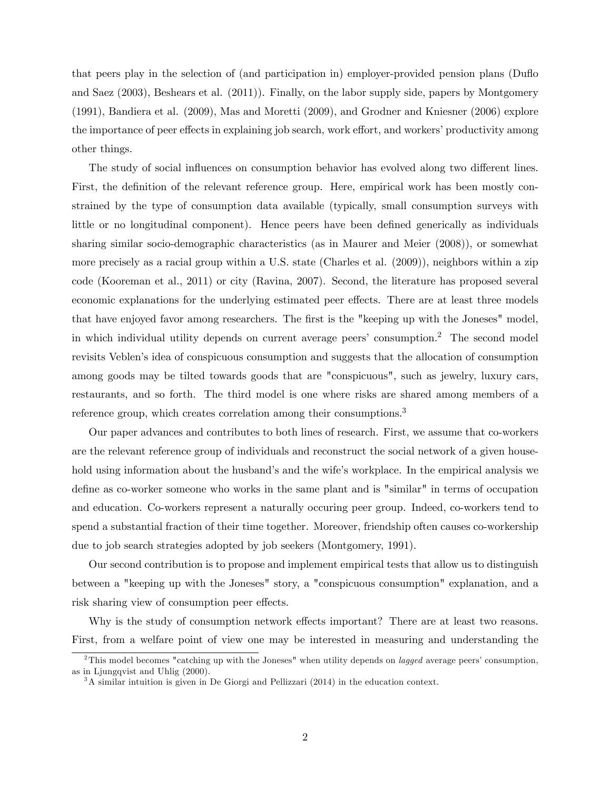that peers play in the selection of (and participation in) employer-provided pension plans (Duáo and Saez (2003), Beshears et al. (2011)). Finally, on the labor supply side, papers by Montgomery (1991), Bandiera et al. (2009), Mas and Moretti (2009), and Grodner and Kniesner (2006) explore the importance of peer effects in explaining job search, work effort, and workers' productivity among other things.

The study of social influences on consumption behavior has evolved along two different lines. First, the definition of the relevant reference group. Here, empirical work has been mostly constrained by the type of consumption data available (typically, small consumption surveys with little or no longitudinal component). Hence peers have been defined generically as individuals sharing similar socio-demographic characteristics (as in Maurer and Meier (2008)), or somewhat more precisely as a racial group within a U.S. state (Charles et al. (2009)), neighbors within a zip code (Kooreman et al., 2011) or city (Ravina, 2007). Second, the literature has proposed several economic explanations for the underlying estimated peer effects. There are at least three models that have enjoyed favor among researchers. The first is the "keeping up with the Joneses" model, in which individual utility depends on current average peers' consumption.<sup>2</sup> The second model revisits Veblen's idea of conspicuous consumption and suggests that the allocation of consumption among goods may be tilted towards goods that are "conspicuous", such as jewelry, luxury cars, restaurants, and so forth. The third model is one where risks are shared among members of a reference group, which creates correlation among their consumptions.<sup>3</sup>

Our paper advances and contributes to both lines of research. First, we assume that co-workers are the relevant reference group of individuals and reconstruct the social network of a given household using information about the husband's and the wife's workplace. In the empirical analysis we define as co-worker someone who works in the same plant and is "similar" in terms of occupation and education. Co-workers represent a naturally occuring peer group. Indeed, co-workers tend to spend a substantial fraction of their time together. Moreover, friendship often causes co-workership due to job search strategies adopted by job seekers (Montgomery, 1991).

Our second contribution is to propose and implement empirical tests that allow us to distinguish between a "keeping up with the Joneses" story, a "conspicuous consumption" explanation, and a risk sharing view of consumption peer effects.

Why is the study of consumption network effects important? There are at least two reasons. First, from a welfare point of view one may be interested in measuring and understanding the

<sup>&</sup>lt;sup>2</sup>This model becomes "catching up with the Joneses" when utility depends on *lagged* average peers' consumption, as in Ljungqvist and Uhlig (2000).

<sup>3</sup>A similar intuition is given in De Giorgi and Pellizzari (2014) in the education context.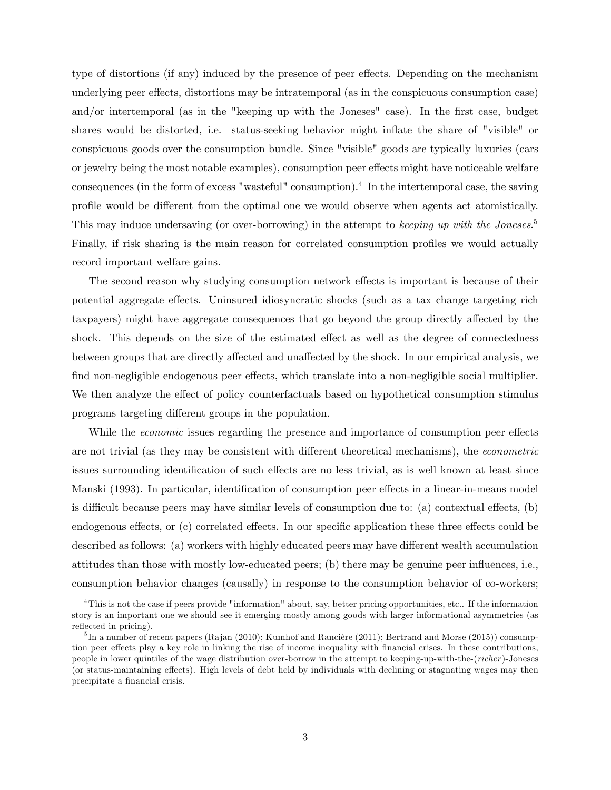type of distortions (if any) induced by the presence of peer effects. Depending on the mechanism underlying peer effects, distortions may be intratemporal (as in the conspicuous consumption case) and/or intertemporal (as in the "keeping up with the Joneses" case). In the first case, budget shares would be distorted, i.e. status-seeking behavior might inflate the share of "visible" or conspicuous goods over the consumption bundle. Since "visible" goods are typically luxuries (cars or jewelry being the most notable examples), consumption peer effects might have noticeable welfare consequences (in the form of excess "wasteful" consumption).<sup>4</sup> In the intertemporal case, the saving profile would be different from the optimal one we would observe when agents act atomistically. This may induce undersaving (or over-borrowing) in the attempt to keeping up with the Joneses.<sup>5</sup> Finally, if risk sharing is the main reason for correlated consumption profiles we would actually record important welfare gains.

The second reason why studying consumption network effects is important is because of their potential aggregate effects. Uninsured idiosyncratic shocks (such as a tax change targeting rich taxpayers) might have aggregate consequences that go beyond the group directly affected by the shock. This depends on the size of the estimated effect as well as the degree of connectedness between groups that are directly affected and unaffected by the shock. In our empirical analysis, we find non-negligible endogenous peer effects, which translate into a non-negligible social multiplier. We then analyze the effect of policy counterfactuals based on hypothetical consumption stimulus programs targeting different groups in the population.

While the *economic* issues regarding the presence and importance of consumption peer effects are not trivial (as they may be consistent with different theoretical mechanisms), the *econometric* issues surrounding identification of such effects are no less trivial, as is well known at least since Manski (1993). In particular, identification of consumption peer effects in a linear-in-means model is difficult because peers may have similar levels of consumption due to: (a) contextual effects,  $(b)$ endogenous effects, or (c) correlated effects. In our specific application these three effects could be described as follows: (a) workers with highly educated peers may have different wealth accumulation attitudes than those with mostly low-educated peers; (b) there may be genuine peer influences, i.e., consumption behavior changes (causally) in response to the consumption behavior of co-workers;

<sup>4</sup>This is not the case if peers provide "information" about, say, better pricing opportunities, etc.. If the information story is an important one we should see it emerging mostly among goods with larger informational asymmetries (as reflected in pricing).

<sup>&</sup>lt;sup>5</sup>In a number of recent papers (Rajan (2010); Kumhof and Rancière (2011); Bertrand and Morse (2015)) consumption peer effects play a key role in linking the rise of income inequality with financial crises. In these contributions, people in lower quintiles of the wage distribution over-borrow in the attempt to keeping-up-with-the-(richer)-Joneses (or status-maintaining effects). High levels of debt held by individuals with declining or stagnating wages may then precipitate a financial crisis.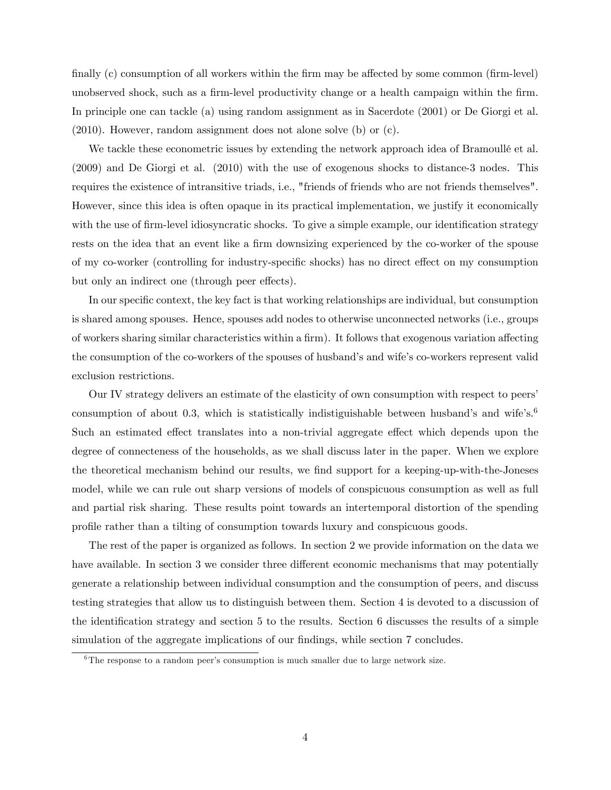finally  $(c)$  consumption of all workers within the firm may be affected by some common (firm-level) unobserved shock, such as a firm-level productivity change or a health campaign within the firm. In principle one can tackle (a) using random assignment as in Sacerdote (2001) or De Giorgi et al. (2010). However, random assignment does not alone solve (b) or (c).

We tackle these econometric issues by extending the network approach idea of Bramoullé et al. (2009) and De Giorgi et al. (2010) with the use of exogenous shocks to distance-3 nodes. This requires the existence of intransitive triads, i.e., "friends of friends who are not friends themselves". However, since this idea is often opaque in its practical implementation, we justify it economically with the use of firm-level idiosyncratic shocks. To give a simple example, our identification strategy rests on the idea that an event like a firm downsizing experienced by the co-worker of the spouse of my co-worker (controlling for industry-specific shocks) has no direct effect on my consumption but only an indirect one (through peer effects).

In our specific context, the key fact is that working relationships are individual, but consumption is shared among spouses. Hence, spouses add nodes to otherwise unconnected networks (i.e., groups of workers sharing similar characteristics within a firm). It follows that exogenous variation affecting the consumption of the co-workers of the spouses of husband's and wife's co-workers represent valid exclusion restrictions.

Our IV strategy delivers an estimate of the elasticity of own consumption with respect to peersí consumption of about 0.3, which is statistically indistiguishable between husband's and wife's.<sup>6</sup> Such an estimated effect translates into a non-trivial aggregate effect which depends upon the degree of connecteness of the households, as we shall discuss later in the paper. When we explore the theoretical mechanism behind our results, we find support for a keeping-up-with-the-Joneses model, while we can rule out sharp versions of models of conspicuous consumption as well as full and partial risk sharing. These results point towards an intertemporal distortion of the spending proÖle rather than a tilting of consumption towards luxury and conspicuous goods.

The rest of the paper is organized as follows. In section 2 we provide information on the data we have available. In section 3 we consider three different economic mechanisms that may potentially generate a relationship between individual consumption and the consumption of peers, and discuss testing strategies that allow us to distinguish between them. Section 4 is devoted to a discussion of the identification strategy and section 5 to the results. Section 6 discusses the results of a simple simulation of the aggregate implications of our findings, while section 7 concludes.

 $6$ The response to a random peer's consumption is much smaller due to large network size.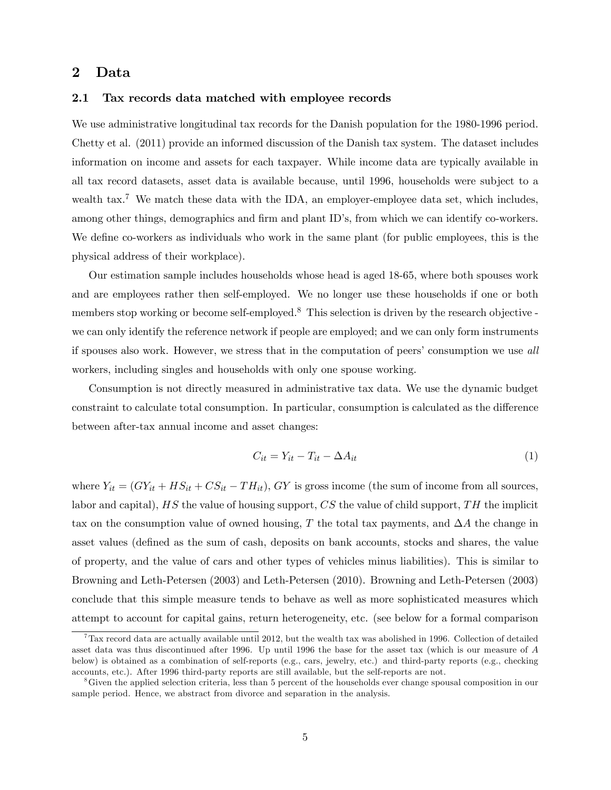### 2 Data

#### 2.1 Tax records data matched with employee records

We use administrative longitudinal tax records for the Danish population for the 1980-1996 period. Chetty et al. (2011) provide an informed discussion of the Danish tax system. The dataset includes information on income and assets for each taxpayer. While income data are typically available in all tax record datasets, asset data is available because, until 1996, households were subject to a wealth tax.<sup>7</sup> We match these data with the IDA, an employer-employee data set, which includes, among other things, demographics and firm and plant ID's, from which we can identify co-workers. We define co-workers as individuals who work in the same plant (for public employees, this is the physical address of their workplace).

Our estimation sample includes households whose head is aged 18-65, where both spouses work and are employees rather then self-employed. We no longer use these households if one or both members stop working or become self-employed.<sup>8</sup> This selection is driven by the research objective we can only identify the reference network if people are employed; and we can only form instruments if spouses also work. However, we stress that in the computation of peers' consumption we use all workers, including singles and households with only one spouse working.

Consumption is not directly measured in administrative tax data. We use the dynamic budget constraint to calculate total consumption. In particular, consumption is calculated as the difference between after-tax annual income and asset changes:

$$
C_{it} = Y_{it} - T_{it} - \Delta A_{it} \tag{1}
$$

where  $Y_{it} = (GY_{it} + HS_{it} + CS_{it} - TH_{it}), GY$  is gross income (the sum of income from all sources, labor and capital),  $HS$  the value of housing support,  $CS$  the value of child support,  $TH$  the implicit tax on the consumption value of owned housing, T the total tax payments, and  $\Delta A$  the change in asset values (defined as the sum of cash, deposits on bank accounts, stocks and shares, the value of property, and the value of cars and other types of vehicles minus liabilities). This is similar to Browning and Leth-Petersen (2003) and Leth-Petersen (2010). Browning and Leth-Petersen (2003) conclude that this simple measure tends to behave as well as more sophisticated measures which attempt to account for capital gains, return heterogeneity, etc. (see below for a formal comparison

 $7$ Tax record data are actually available until 2012, but the wealth tax was abolished in 1996. Collection of detailed asset data was thus discontinued after 1996. Up until 1996 the base for the asset tax (which is our measure of A below) is obtained as a combination of self-reports (e.g., cars, jewelry, etc.) and third-party reports (e.g., checking accounts, etc.). After 1996 third-party reports are still available, but the self-reports are not.

<sup>&</sup>lt;sup>8</sup>Given the applied selection criteria, less than 5 percent of the households ever change spousal composition in our sample period. Hence, we abstract from divorce and separation in the analysis.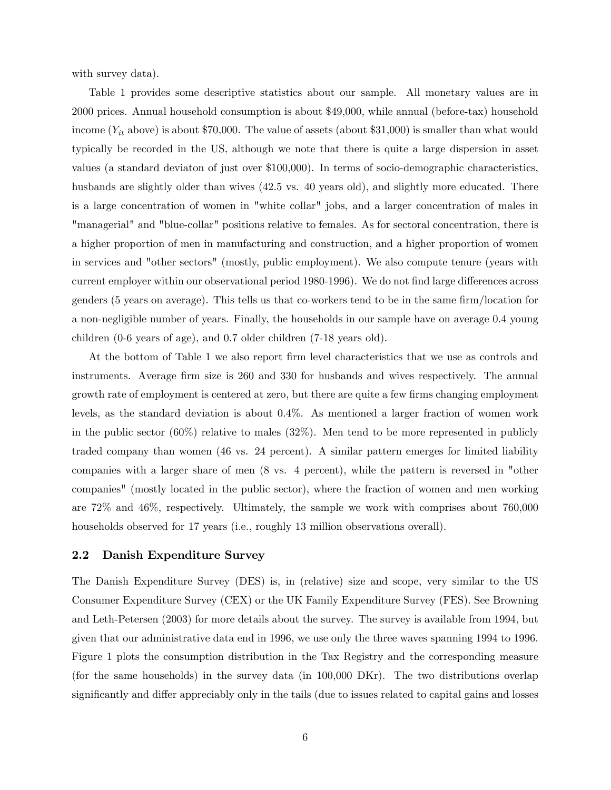with survey data).

Table 1 provides some descriptive statistics about our sample. All monetary values are in 2000 prices. Annual household consumption is about \$49,000, while annual (before-tax) household income ( $Y_{it}$  above) is about \$70,000. The value of assets (about \$31,000) is smaller than what would typically be recorded in the US, although we note that there is quite a large dispersion in asset values (a standard deviaton of just over \$100,000). In terms of socio-demographic characteristics, husbands are slightly older than wives (42.5 vs. 40 years old), and slightly more educated. There is a large concentration of women in "white collar" jobs, and a larger concentration of males in "managerial" and "blue-collar" positions relative to females. As for sectoral concentration, there is a higher proportion of men in manufacturing and construction, and a higher proportion of women in services and "other sectors" (mostly, public employment). We also compute tenure (years with current employer within our observational period 1980-1996). We do not find large differences across genders  $(5 \text{ years on average})$ . This tells us that co-workers tend to be in the same firm/location for a non-negligible number of years. Finally, the households in our sample have on average 0.4 young children (0-6 years of age), and 0.7 older children (7-18 years old).

At the bottom of Table 1 we also report firm level characteristics that we use as controls and instruments. Average firm size is 260 and 330 for husbands and wives respectively. The annual growth rate of employment is centered at zero, but there are quite a few firms changing employment levels, as the standard deviation is about 0.4%. As mentioned a larger fraction of women work in the public sector  $(60\%)$  relative to males  $(32\%)$ . Men tend to be more represented in publicly traded company than women (46 vs. 24 percent). A similar pattern emerges for limited liability companies with a larger share of men (8 vs. 4 percent), while the pattern is reversed in "other companies" (mostly located in the public sector), where the fraction of women and men working are 72% and 46%, respectively. Ultimately, the sample we work with comprises about 760,000 households observed for 17 years (i.e., roughly 13 million observations overall).

#### 2.2 Danish Expenditure Survey

The Danish Expenditure Survey (DES) is, in (relative) size and scope, very similar to the US Consumer Expenditure Survey (CEX) or the UK Family Expenditure Survey (FES). See Browning and Leth-Petersen (2003) for more details about the survey. The survey is available from 1994, but given that our administrative data end in 1996, we use only the three waves spanning 1994 to 1996. Figure 1 plots the consumption distribution in the Tax Registry and the corresponding measure (for the same households) in the survey data (in 100,000 DKr). The two distributions overlap significantly and differ appreciably only in the tails (due to issues related to capital gains and losses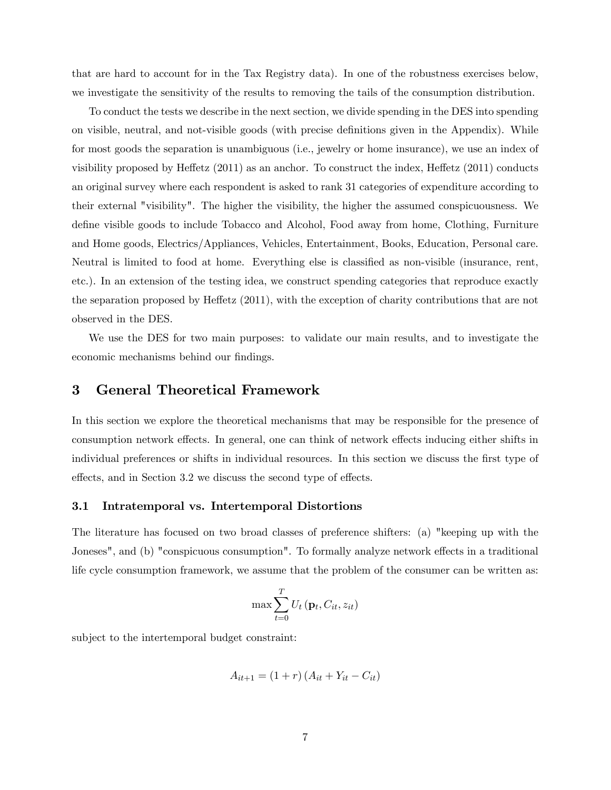that are hard to account for in the Tax Registry data). In one of the robustness exercises below, we investigate the sensitivity of the results to removing the tails of the consumption distribution.

To conduct the tests we describe in the next section, we divide spending in the DES into spending on visible, neutral, and not-visible goods (with precise definitions given in the Appendix). While for most goods the separation is unambiguous (i.e., jewelry or home insurance), we use an index of visibility proposed by Heffetz  $(2011)$  as an anchor. To construct the index, Heffetz  $(2011)$  conducts an original survey where each respondent is asked to rank 31 categories of expenditure according to their external "visibility". The higher the visibility, the higher the assumed conspicuousness. We define visible goods to include Tobacco and Alcohol, Food away from home, Clothing, Furniture and Home goods, Electrics/Appliances, Vehicles, Entertainment, Books, Education, Personal care. Neutral is limited to food at home. Everything else is classified as non-visible (insurance, rent, etc.). In an extension of the testing idea, we construct spending categories that reproduce exactly the separation proposed by Heffetz  $(2011)$ , with the exception of charity contributions that are not observed in the DES.

We use the DES for two main purposes: to validate our main results, and to investigate the economic mechanisms behind our findings.

### 3 General Theoretical Framework

In this section we explore the theoretical mechanisms that may be responsible for the presence of consumption network effects. In general, one can think of network effects inducing either shifts in individual preferences or shifts in individual resources. In this section we discuss the first type of effects, and in Section 3.2 we discuss the second type of effects.

#### 3.1 Intratemporal vs. Intertemporal Distortions

The literature has focused on two broad classes of preference shifters: (a) "keeping up with the Joneses", and (b) "conspicuous consumption". To formally analyze network effects in a traditional life cycle consumption framework, we assume that the problem of the consumer can be written as:

$$
\max \sum_{t=0}^{T} U_t\left(\mathbf{p}_t, C_{it}, z_{it}\right)
$$

subject to the intertemporal budget constraint:

$$
A_{it+1} = (1+r) (A_{it} + Y_{it} - C_{it})
$$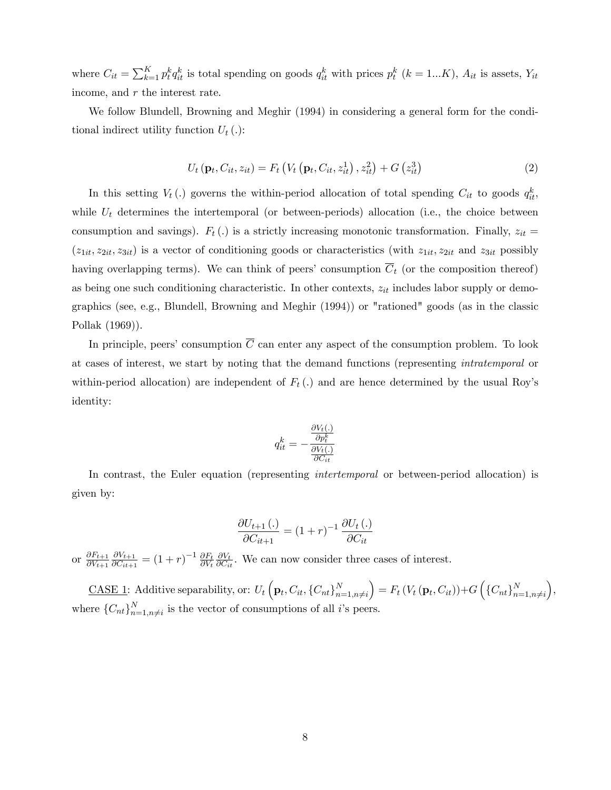where  $C_{it} = \sum_{k=1}^{K} p_t^k q_{it}^k$  is total spending on goods  $q_{it}^k$  with prices  $p_t^k$  ( $k = 1...K$ ),  $A_{it}$  is assets,  $Y_{it}$ income, and r the interest rate.

We follow Blundell, Browning and Meghir (1994) in considering a general form for the conditional indirect utility function  $U_t(.)$ :

$$
U_{t}(\mathbf{p}_{t}, C_{it}, z_{it}) = F_{t}\left(V_{t}\left(\mathbf{p}_{t}, C_{it}, z_{it}^{1}\right), z_{it}^{2}\right) + G\left(z_{it}^{3}\right)
$$
\n(2)

In this setting  $V_t(.)$  governs the within-period allocation of total spending  $C_{it}$  to goods  $q_{it}^k$ , while  $U_t$  determines the intertemporal (or between-periods) allocation (i.e., the choice between consumption and savings).  $F_t(.)$  is a strictly increasing monotonic transformation. Finally,  $z_{it} =$  $(z_{1it}, z_{2it}, z_{3it})$  is a vector of conditioning goods or characteristics (with  $z_{1it}$ ,  $z_{2it}$  and  $z_{3it}$  possibly having overlapping terms). We can think of peers' consumption  $\overline{C}_t$  (or the composition thereof) as being one such conditioning characteristic. In other contexts,  $z_{it}$  includes labor supply or demographics (see, e.g., Blundell, Browning and Meghir (1994)) or "rationed" goods (as in the classic Pollak (1969)).

In principle, peers' consumption  $\overline{C}$  can enter any aspect of the consumption problem. To look at cases of interest, we start by noting that the demand functions (representing intratemporal or within-period allocation) are independent of  $F_t(.)$  and are hence determined by the usual Roy's identity:

$$
q_{it}^k = -\frac{\frac{\partial V_t(.)}{\partial p_t^k}}{\frac{\partial V_t(.)}{\partial C_{it}}}
$$

In contrast, the Euler equation (representing *intertemporal* or between-period allocation) is given by:

$$
\frac{\partial U_{t+1}\left(\cdot\right)}{\partial C_{it+1}} = (1+r)^{-1} \frac{\partial U_t\left(\cdot\right)}{\partial C_{it}}
$$

or  $\frac{\partial F_{t+1}}{\partial V_{t+1}}$  $\partial V_{t+1}$  $\partial V_{t+1}$  $\frac{\partial V_{t+1}}{\partial C_{it+1}} = (1+r)^{-1} \frac{\partial F_t}{\partial V_t}$  $\partial V_t$  $\frac{\partial V_t}{\partial C_{it}}$ . We can now consider three cases of interest.

CASE 1: Additive separability, or:  $U_t\left(\mathbf{p}_t, C_{it}, \left\{C_{nt}\right\}_{n=1}^N\right)$  $n=1,n\neq i$  $\Big) = F_t \left( V_t \left( \mathbf{p}_t, C_{it} \right) \right) + G \left( \left\{ C_{nt} \right\}_{n=1}^N \right)$  $n=1,n\neq i$  , where  $\{C_{nt}\}_{n=1}^N$  $\sum_{n=1,n\neq i}^{N}$  is the vector of consumptions of all *i*'s peers.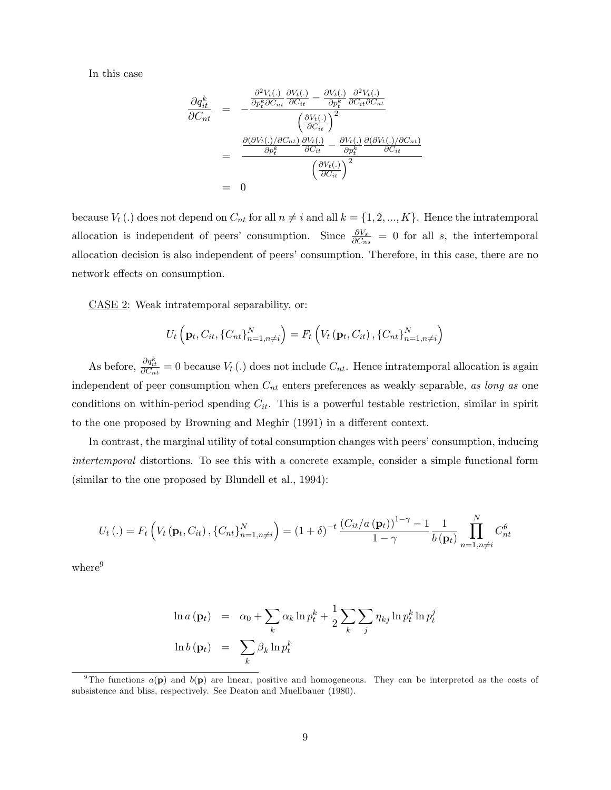In this case

$$
\frac{\partial q_{it}^k}{\partial C_{nt}} = -\frac{\frac{\partial^2 V_t(.)}{\partial p_t^k \partial C_{nt}} \frac{\partial V_t(.)}{\partial C_{it}} - \frac{\partial V_t(.)}{\partial p_t^k} \frac{\partial^2 V_t(.)}{\partial C_{it} \partial C_{nt}}}{\left(\frac{\partial V_t(.)}{\partial C_{it}}\right)^2}
$$
\n
$$
= \frac{\frac{\partial (\partial V_t(.)/\partial C_{nt})}{\partial p_t^k} \frac{\partial V_t(.)}{\partial C_{it}} - \frac{\partial V_t(.)}{\partial p_t^k} \frac{\partial (\partial V_t(.)/\partial C_{nt})}{\partial C_{it}}}{\left(\frac{\partial V_t(.)}{\partial C_{it}}\right)^2}
$$
\n
$$
= 0
$$

because  $V_t(.)$  does not depend on  $C_{nt}$  for all  $n \neq i$  and all  $k = \{1, 2, ..., K\}$ . Hence the intratemporal allocation is independent of peers' consumption. Since  $\frac{\partial V_s}{\partial C_{ns}} = 0$  for all s, the intertemporal allocation decision is also independent of peers' consumption. Therefore, in this case, there are no network effects on consumption.

CASE 2: Weak intratemporal separability, or:

$$
U_t\left(\mathbf{p}_t, C_{it}, \{C_{nt}\}_{n=1,n\neq i}^N\right) = F_t\left(V_t\left(\mathbf{p}_t, C_{it}\right), \{C_{nt}\}_{n=1,n\neq i}^N\right)
$$

As before,  $\frac{\partial q_{it}^k}{\partial C_{nt}} = 0$  because  $V_t(.)$  does not include  $C_{nt}$ . Hence intratemporal allocation is again independent of peer consumption when  $C_{nt}$  enters preferences as weakly separable, as long as one conditions on within-period spending  $C_{it}$ . This is a powerful testable restriction, similar in spirit to the one proposed by Browning and Meghir (1991) in a different context.

In contrast, the marginal utility of total consumption changes with peers' consumption, inducing intertemporal distortions. To see this with a concrete example, consider a simple functional form (similar to the one proposed by Blundell et al., 1994):

$$
U_t(.) = F_t\left(V_t\left(\mathbf{p}_t, C_{it}\right), \left\{C_{nt}\right\}_{n=1, n\neq i}^N\right) = (1+\delta)^{-t} \frac{\left(C_{it}/a\left(\mathbf{p}_t\right)\right)^{1-\gamma}-1}{1-\gamma} \frac{1}{b\left(\mathbf{p}_t\right)} \prod_{n=1, n\neq i}^N C_{nt}^{\theta}
$$

where<sup>9</sup>

$$
\ln a(\mathbf{p}_t) = \alpha_0 + \sum_k \alpha_k \ln p_t^k + \frac{1}{2} \sum_k \sum_j \eta_{kj} \ln p_t^k \ln p_t^j
$$
  

$$
\ln b(\mathbf{p}_t) = \sum_k \beta_k \ln p_t^k
$$

<sup>&</sup>lt;sup>9</sup>The functions  $a(\mathbf{p})$  and  $b(\mathbf{p})$  are linear, positive and homogeneous. They can be interpreted as the costs of subsistence and bliss, respectively. See Deaton and Muellbauer (1980).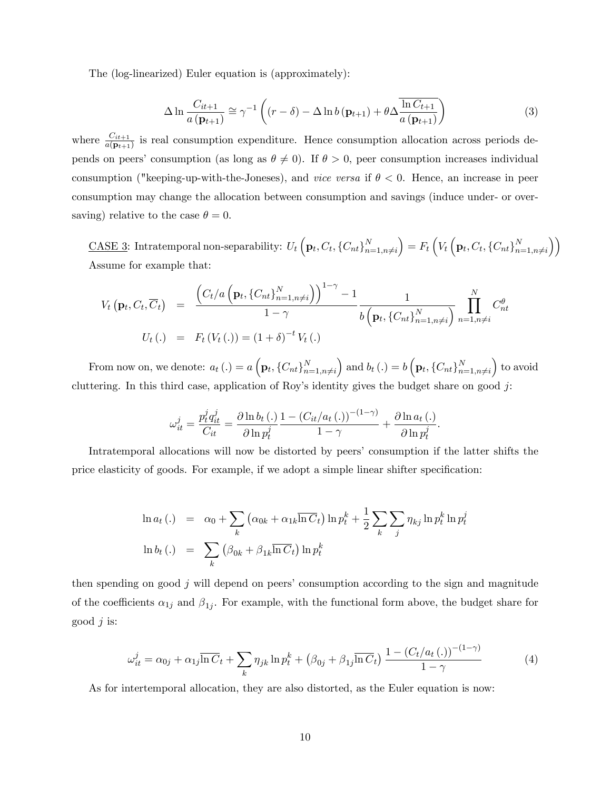The (log-linearized) Euler equation is (approximately):

$$
\Delta \ln \frac{C_{it+1}}{a\left(\mathbf{p}_{t+1}\right)} \cong \gamma^{-1} \left( \left(r - \delta\right) - \Delta \ln b\left(\mathbf{p}_{t+1}\right) + \theta \Delta \frac{\ln C_{t+1}}{a\left(\mathbf{p}_{t+1}\right)} \right) \tag{3}
$$

where  $\frac{C_{it+1}}{a(\mathbf{p}_{t+1})}$  is real consumption expenditure. Hence consumption allocation across periods depends on peers' consumption (as long as  $\theta \neq 0$ ). If  $\theta > 0$ , peer consumption increases individual consumption ("keeping-up-with-the-Joneses), and vice versa if  $\theta < 0$ . Hence, an increase in peer consumption may change the allocation between consumption and savings (induce under- or oversaving) relative to the case  $\theta = 0$ .

<u>CASE 3</u>: Intratemporal non-separability:  $U_t\left(\mathbf{p}_t, C_t, \{C_{nt}\}_{n=1}^N\right)$  $n=1,n\neq i$  $\Big) = F_t \left( V_t \left( \mathbf{p}_t, C_t, \{C_{nt}\}_{n=1}^N \right) \right)$  $n=1,n\neq i$  $\bigwedge$ Assume for example that:

$$
V_t(\mathbf{p}_t, C_t, \overline{C}_t) = \frac{\left(C_t/a\left(\mathbf{p}_t, \{C_{nt}\}_{n=1,n\neq i}^N\right)\right)^{1-\gamma} - 1}{1-\gamma} \frac{1}{b\left(\mathbf{p}_t, \{C_{nt}\}_{n=1,n\neq i}^N\right)} \prod_{n=1,n\neq i}^N C_{nt}^{\theta}
$$
  

$$
U_t(.) = F_t(V_t(.)) = (1+\delta)^{-t} V_t(.)
$$

From now on, we denote:  $a_t(.) = a\left(\mathbf{p}_t, \{C_{nt}\}_{n=1}^N\right)$  $n=1,n\neq i$ and  $b_t(.) = b\left(\mathbf{p}_t, \{C_{nt}\}_{n=1}^N\right)$  $n=1,n\neq i$  to avoid cluttering. In this third case, application of Roy's identity gives the budget share on good j:

$$
\omega_{it}^j = \frac{p_t^j q_{it}^j}{C_{it}} = \frac{\partial \ln b_t(.)}{\partial \ln p_t^j} \frac{1 - (C_{it}/a_t(.))^{-(1-\gamma)}}{1 - \gamma} + \frac{\partial \ln a_t(.)}{\partial \ln p_t^j}.
$$

Intratemporal allocations will now be distorted by peers' consumption if the latter shifts the price elasticity of goods. For example, if we adopt a simple linear shifter specification:

$$
\ln a_t(.) = \alpha_0 + \sum_k (\alpha_{0k} + \alpha_{1k} \overline{\ln C_t}) \ln p_t^k + \frac{1}{2} \sum_k \sum_j \eta_{kj} \ln p_t^k \ln p_t^j
$$
  

$$
\ln b_t(.) = \sum_k (\beta_{0k} + \beta_{1k} \overline{\ln C_t}) \ln p_t^k
$$

then spending on good  $j$  will depend on peers' consumption according to the sign and magnitude of the coefficients  $\alpha_{1j}$  and  $\beta_{1j}$ . For example, with the functional form above, the budget share for good  $j$  is:

$$
\omega_{it}^{j} = \alpha_{0j} + \alpha_{1j} \overline{\ln C}_{t} + \sum_{k} \eta_{jk} \ln p_{t}^{k} + (\beta_{0j} + \beta_{1j} \overline{\ln C}_{t}) \frac{1 - (C_{t}/a_{t}(.))^{-(1-\gamma)}}{1-\gamma}
$$
(4)

As for intertemporal allocation, they are also distorted, as the Euler equation is now: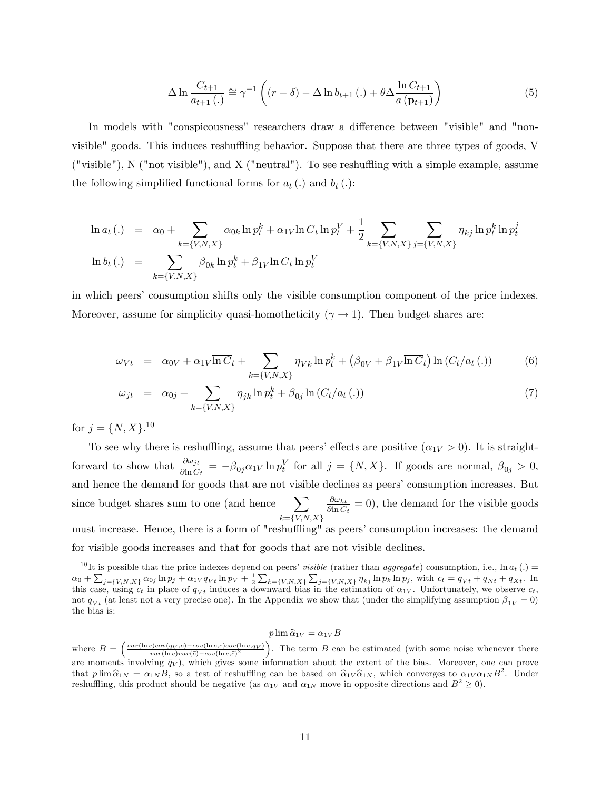$$
\Delta \ln \frac{C_{t+1}}{a_{t+1}(\cdot)} \cong \gamma^{-1} \left( (r - \delta) - \Delta \ln b_{t+1}(\cdot) + \theta \Delta \frac{\ln C_{t+1}}{a(\mathbf{p}_{t+1})} \right)
$$
(5)

In models with "conspicousness" researchers draw a difference between "visible" and "nonvisible" goods. This induces reshuffling behavior. Suppose that there are three types of goods, V ("visible"),  $N$  ("not visible"), and  $X$  ("neutral"). To see reshuffling with a simple example, assume the following simplified functional forms for  $a_t(.)$  and  $b_t(.)$ :

$$
\ln a_t(.) = \alpha_0 + \sum_{k=\{V,N,X\}} \alpha_{0k} \ln p_t^k + \alpha_{1V} \overline{\ln C_t} \ln p_t^V + \frac{1}{2} \sum_{k=\{V,N,X\}} \sum_{j=\{V,N,X\}} \eta_{kj} \ln p_t^k \ln p_t^j
$$
  

$$
\ln b_t(.) = \sum_{k=\{V,N,X\}} \beta_{0k} \ln p_t^k + \beta_{1V} \overline{\ln C_t} \ln p_t^V
$$

in which peers' consumption shifts only the visible consumption component of the price indexes. Moreover, assume for simplicity quasi-homotheticity ( $\gamma \rightarrow 1$ ). Then budget shares are:

$$
\omega_{Vt} = \alpha_{0V} + \alpha_{1V} \overline{\ln C}_t + \sum_{k=\{V, N, X\}} \eta_{Vk} \ln p_t^k + (\beta_{0V} + \beta_{1V} \overline{\ln C}_t) \ln (C_t / a_t (.))
$$
 (6)

$$
\omega_{jt} = \alpha_{0j} + \sum_{k=\{V, N, X\}} \eta_{jk} \ln p_t^k + \beta_{0j} \ln (C_t / a_t (.))
$$
\n(7)

for  $j = \{N, X\}$ .<sup>10</sup>

To see why there is reshuffling, assume that peers' effects are positive  $(\alpha_{1V} > 0)$ . It is straightforward to show that  $\frac{\partial \omega_{jt}}{\partial \ln C_t} = -\beta_{0j} \alpha_{1V} \ln p_t^V$  for all  $j = \{N, X\}$ . If goods are normal,  $\beta_{0j} > 0$ , and hence the demand for goods that are not visible declines as peers' consumption increases. But since budget shares sum to one (and hence  $\sum$  $k = \{V, N, X\}$  $\partial \omega_{kt}$  $\frac{\partial \omega_{kt}}{\partial \overline{\ln C_t}} = 0$ , the demand for the visible goods must increase. Hence, there is a form of "reshuffling" as peers' consumption increases: the demand for visible goods increases and that for goods that are not visible declines.

#### $p \lim \widehat{\alpha}_{1V} = \alpha_{1V} B$

<sup>&</sup>lt;sup>10</sup>It is possible that the price indexes depend on peers' *visible* (rather than *aggregate*) consumption, i.e.,  $\ln a_t(.)$  $\alpha_0 + \sum_{j=\{V,N,X\}} \alpha_{0j} \ln p_j + \alpha_{1V} \overline{q}_{Vt} \ln p_V + \frac{1}{2} \sum_{k=\{V,N,X\}} \sum_{j=\{V,N,X\}} \eta_{kj} \ln p_k \ln p_j$ , with  $\overline{c}_t = \overline{q}_{Vt} + \overline{q}_{Nt} + \overline{q}_{Xt}$ . In this case, using  $\bar{c}_t$  in place of  $\bar{q}_{Vt}$  induces a downward bias in the estimation of  $\alpha_{1V}$ . Unfortunately, we observe  $\bar{c}_t$ , not  $\overline{q}_{Vt}$  (at least not a very precise one). In the Appendix we show that (under the simplifying assumption  $\beta_{1V} = 0$ ) the bias is:

where  $B = \left(\frac{var(\ln c)cov(\bar{q}_V,\bar{c}) - cov(\ln c,\bar{c})cov(\ln c,\bar{q}_V)}{var(\ln c)var(\bar{c}) - cov(\ln c,\bar{c})^2}\right)$ . The term B can be estimated (with some noise whenever there are moments involving  $\bar{q}_V$ , which gives some information about the extent of the bias. Moreover, one can prove that  $p \lim \hat{\alpha}_{1N} = \alpha_{1N} B$ , so a test of reshuffling can be based on  $\hat{\alpha}_{1V} \hat{\alpha}_{1N}$ , which converges to  $\alpha_{1V} \alpha_{1N} B^2$ . Under reshuffling, this product should be negative (as  $\alpha_{1V}$  and  $\alpha_{1N}$  move in opposite directions and  $B^2 \ge 0$ ).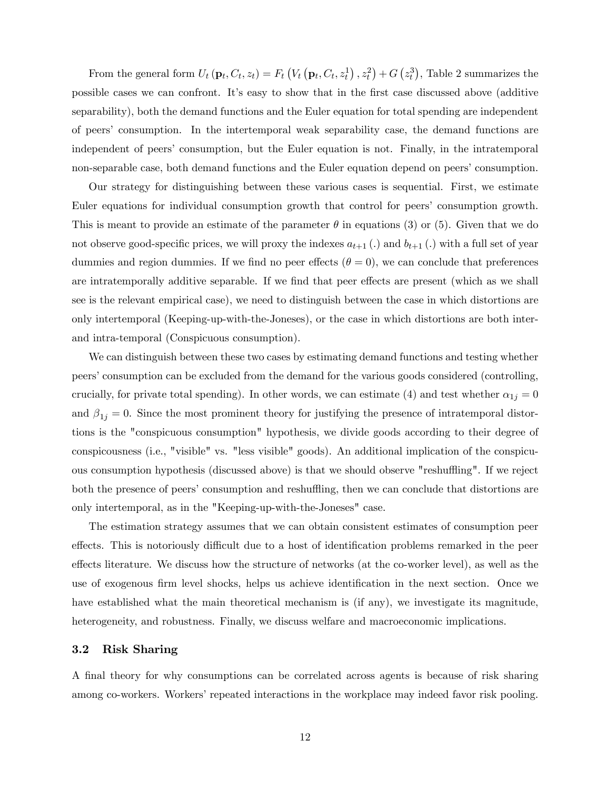From the general form  $U_t(\mathbf{p}_t, C_t, z_t) = F_t\left(V_t(\mathbf{p}_t, C_t, z_t^1), z_t^2\right) + G\left(z_t^3\right)$ , Table 2 summarizes the possible cases we can confront. Itís easy to show that in the Örst case discussed above (additive separability), both the demand functions and the Euler equation for total spending are independent of peersí consumption. In the intertemporal weak separability case, the demand functions are independent of peersí consumption, but the Euler equation is not. Finally, in the intratemporal non-separable case, both demand functions and the Euler equation depend on peers' consumption.

Our strategy for distinguishing between these various cases is sequential. First, we estimate Euler equations for individual consumption growth that control for peers' consumption growth. This is meant to provide an estimate of the parameter  $\theta$  in equations (3) or (5). Given that we do not observe good-specific prices, we will proxy the indexes  $a_{t+1}$  (.) and  $b_{t+1}$  (.) with a full set of year dummies and region dummies. If we find no peer effects ( $\theta = 0$ ), we can conclude that preferences are intratemporally additive separable. If we find that peer effects are present (which as we shall see is the relevant empirical case), we need to distinguish between the case in which distortions are only intertemporal (Keeping-up-with-the-Joneses), or the case in which distortions are both interand intra-temporal (Conspicuous consumption).

We can distinguish between these two cases by estimating demand functions and testing whether peersíconsumption can be excluded from the demand for the various goods considered (controlling, crucially, for private total spending). In other words, we can estimate (4) and test whether  $\alpha_{1j} = 0$ and  $\beta_{1j} = 0$ . Since the most prominent theory for justifying the presence of intratemporal distortions is the "conspicuous consumption" hypothesis, we divide goods according to their degree of conspicousness (i.e., "visible" vs. "less visible" goods). An additional implication of the conspicuous consumption hypothesis (discussed above) is that we should observe "reshuffling". If we reject both the presence of peers' consumption and reshuffling, then we can conclude that distortions are only intertemporal, as in the "Keeping-up-with-the-Joneses" case.

The estimation strategy assumes that we can obtain consistent estimates of consumption peer effects. This is notoriously difficult due to a host of identification problems remarked in the peer effects literature. We discuss how the structure of networks (at the co-worker level), as well as the use of exogenous firm level shocks, helps us achieve identification in the next section. Once we have established what the main theoretical mechanism is (if any), we investigate its magnitude, heterogeneity, and robustness. Finally, we discuss welfare and macroeconomic implications.

#### 3.2 Risk Sharing

A final theory for why consumptions can be correlated across agents is because of risk sharing among co-workers. Workers' repeated interactions in the workplace may indeed favor risk pooling.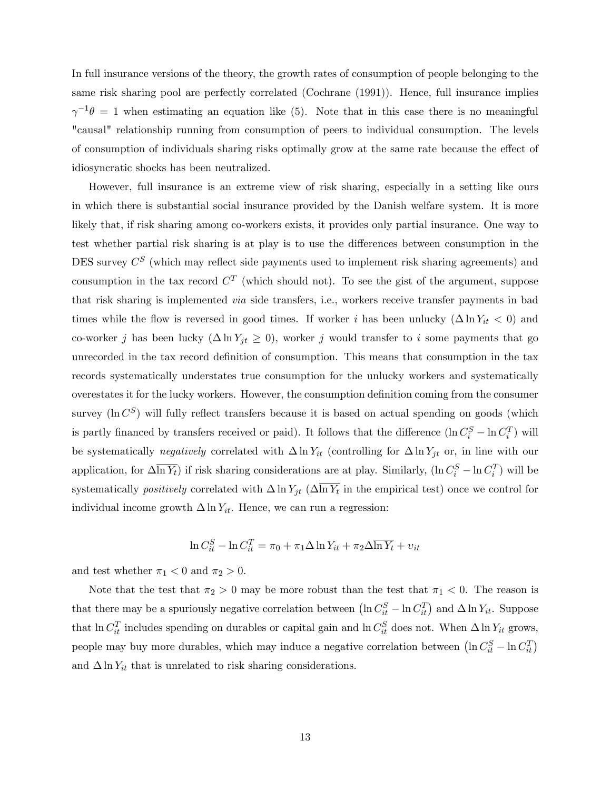In full insurance versions of the theory, the growth rates of consumption of people belonging to the same risk sharing pool are perfectly correlated (Cochrane (1991)). Hence, full insurance implies  $\gamma^{-1}\theta = 1$  when estimating an equation like (5). Note that in this case there is no meaningful "causal" relationship running from consumption of peers to individual consumption. The levels of consumption of individuals sharing risks optimally grow at the same rate because the effect of idiosyncratic shocks has been neutralized.

However, full insurance is an extreme view of risk sharing, especially in a setting like ours in which there is substantial social insurance provided by the Danish welfare system. It is more likely that, if risk sharing among co-workers exists, it provides only partial insurance. One way to test whether partial risk sharing is at play is to use the differences between consumption in the DES survey  $C^{S}$  (which may reflect side payments used to implement risk sharing agreements) and consumption in the tax record  $C^{T}$  (which should not). To see the gist of the argument, suppose that risk sharing is implemented via side transfers, i.e., workers receive transfer payments in bad times while the flow is reversed in good times. If worker i has been unlucky  $(\Delta \ln Y_{it} < 0)$  and co-worker j has been lucky  $(\Delta \ln Y_{jt} \geq 0)$ , worker j would transfer to i some payments that go unrecorded in the tax record definition of consumption. This means that consumption in the tax records systematically understates true consumption for the unlucky workers and systematically overestates it for the lucky workers. However, the consumption definition coming from the consumer survey ( $\ln C^S$ ) will fully reflect transfers because it is based on actual spending on goods (which is partly financed by transfers received or paid). It follows that the difference  $(\ln C_i^S - \ln C_i^T)$  will be systematically negatively correlated with  $\Delta \ln Y_{it}$  (controlling for  $\Delta \ln Y_{jt}$  or, in line with our application, for  $\Delta \overline{\ln Y_t}$ ) if risk sharing considerations are at play. Similarly,  $(\ln C_i^S - \ln C_i^T)$  will be systematically *positively* correlated with  $\Delta \ln Y_{jt}$  ( $\Delta \ln Y_t$  in the empirical test) once we control for individual income growth  $\Delta \ln Y_{it}$ . Hence, we can run a regression:

$$
\ln C_{it}^{S} - \ln C_{it}^{T} = \pi_0 + \pi_1 \Delta \ln Y_{it} + \pi_2 \Delta \overline{\ln Y_t} + v_{it}
$$

and test whether  $\pi_1 < 0$  and  $\pi_2 > 0$ .

Note that the test that  $\pi_2 > 0$  may be more robust than the test that  $\pi_1 < 0$ . The reason is that there may be a spuriously negative correlation between  $(\ln C_{it}^S - \ln C_{it}^T)$  and  $\Delta \ln Y_{it}$ . Suppose that  $\ln C_{it}^T$  includes spending on durables or capital gain and  $\ln C_{it}^S$  does not. When  $\Delta \ln Y_{it}$  grows, people may buy more durables, which may induce a negative correlation between  $\left(\ln C_{it}^{S} - \ln C_{it}^{T}\right)$ and  $\Delta \ln Y_{it}$  that is unrelated to risk sharing considerations.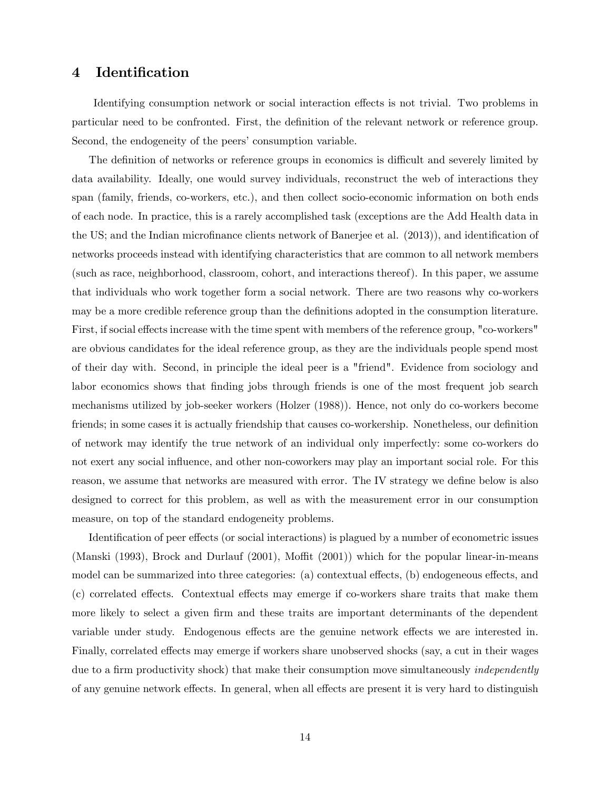### 4 Identification

Identifying consumption network or social interaction effects is not trivial. Two problems in particular need to be confronted. First, the definition of the relevant network or reference group. Second, the endogeneity of the peers' consumption variable.

The definition of networks or reference groups in economics is difficult and severely limited by data availability. Ideally, one would survey individuals, reconstruct the web of interactions they span (family, friends, co-workers, etc.), and then collect socio-economic information on both ends of each node. In practice, this is a rarely accomplished task (exceptions are the Add Health data in the US; and the Indian microfinance clients network of Banerjee et al. (2013)), and identification of networks proceeds instead with identifying characteristics that are common to all network members (such as race, neighborhood, classroom, cohort, and interactions thereof). In this paper, we assume that individuals who work together form a social network. There are two reasons why co-workers may be a more credible reference group than the definitions adopted in the consumption literature. First, if social effects increase with the time spent with members of the reference group, "co-workers" are obvious candidates for the ideal reference group, as they are the individuals people spend most of their day with. Second, in principle the ideal peer is a "friend". Evidence from sociology and labor economics shows that finding jobs through friends is one of the most frequent job search mechanisms utilized by job-seeker workers (Holzer (1988)). Hence, not only do co-workers become friends; in some cases it is actually friendship that causes co-workership. Nonetheless, our definition of network may identify the true network of an individual only imperfectly: some co-workers do not exert any social influence, and other non-coworkers may play an important social role. For this reason, we assume that networks are measured with error. The IV strategy we define below is also designed to correct for this problem, as well as with the measurement error in our consumption measure, on top of the standard endogeneity problems.

Identification of peer effects (or social interactions) is plagued by a number of econometric issues (Manski  $(1993)$ , Brock and Durlauf  $(2001)$ , Moffit  $(2001)$ ) which for the popular linear-in-means model can be summarized into three categories: (a) contextual effects, (b) endogeneous effects, and  $(c)$  correlated effects. Contextual effects may emerge if co-workers share traits that make them more likely to select a given firm and these traits are important determinants of the dependent variable under study. Endogenous effects are the genuine network effects we are interested in. Finally, correlated effects may emerge if workers share unobserved shocks (say, a cut in their wages due to a firm productivity shock) that make their consumption move simultaneously *independently* of any genuine network effects. In general, when all effects are present it is very hard to distinguish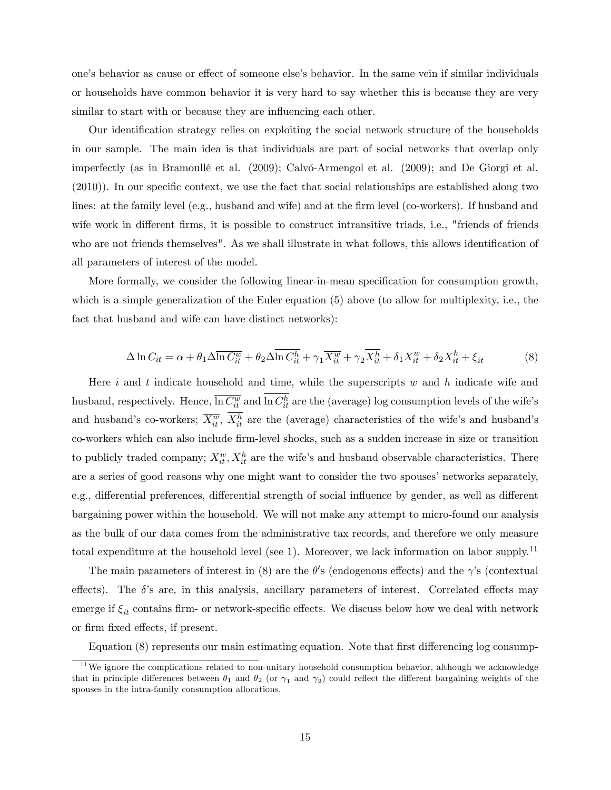one's behavior as cause or effect of someone else's behavior. In the same vein if similar individuals or households have common behavior it is very hard to say whether this is because they are very similar to start with or because they are influencing each other.

Our identification strategy relies on exploiting the social network structure of the households in our sample. The main idea is that individuals are part of social networks that overlap only imperfectly (as in Bramoullé et al. (2009); Calvó-Armengol et al. (2009); and De Giorgi et al.  $(2010)$ ). In our specific context, we use the fact that social relationships are established along two lines: at the family level (e.g., husband and wife) and at the firm level (co-workers). If husband and wife work in different firms, it is possible to construct intransitive triads, i.e., "friends of friends who are not friends themselves". As we shall illustrate in what follows, this allows identification of all parameters of interest of the model.

More formally, we consider the following linear-in-mean specification for consumption growth, which is a simple generalization of the Euler equation (5) above (to allow for multiplexity, i.e., the fact that husband and wife can have distinct networks):

$$
\Delta \ln C_{it} = \alpha + \theta_1 \Delta \overline{\ln C_{it}^w} + \theta_2 \Delta \overline{\ln C_{it}^h} + \gamma_1 \overline{X_{it}^w} + \gamma_2 \overline{X_{it}^h} + \delta_1 X_{it}^w + \delta_2 X_{it}^h + \xi_{it}
$$
(8)

Here i and t indicate household and time, while the superscripts  $w$  and  $h$  indicate wife and husband, respectively. Hence,  $\overline{\ln C_{it}^w}$  and  $\ln C_{it}^h$  are the (average) log consumption levels of the wife's and husband's co-workers;  $\overline{X_{it}^w}$ ,  $X_{it}^h$  are the (average) characteristics of the wife's and husband's co-workers which can also include Örm-level shocks, such as a sudden increase in size or transition to publicly traded company;  $X_{it}^w$ ,  $X_{it}^h$  are the wife's and husband observable characteristics. There are a series of good reasons why one might want to consider the two spouses' networks separately, e.g., differential preferences, differential strength of social influence by gender, as well as different bargaining power within the household. We will not make any attempt to micro-found our analysis as the bulk of our data comes from the administrative tax records, and therefore we only measure total expenditure at the household level (see 1). Moreover, we lack information on labor supply.<sup>11</sup>

The main parameters of interest in (8) are the  $\theta$ 's (endogenous effects) and the  $\gamma$ 's (contextual effects). The  $\delta$ 's are, in this analysis, ancillary parameters of interest. Correlated effects may emerge if  $\xi_{it}$  contains firm- or network-specific effects. We discuss below how we deal with network or firm fixed effects, if present.

Equation  $(8)$  represents our main estimating equation. Note that first differencing log consump-

 $11$ We ignore the complications related to non-unitary household consumption behavior, although we acknowledge that in principle differences between  $\theta_1$  and  $\theta_2$  (or  $\gamma_1$  and  $\gamma_2$ ) could reflect the different bargaining weights of the spouses in the intra-family consumption allocations.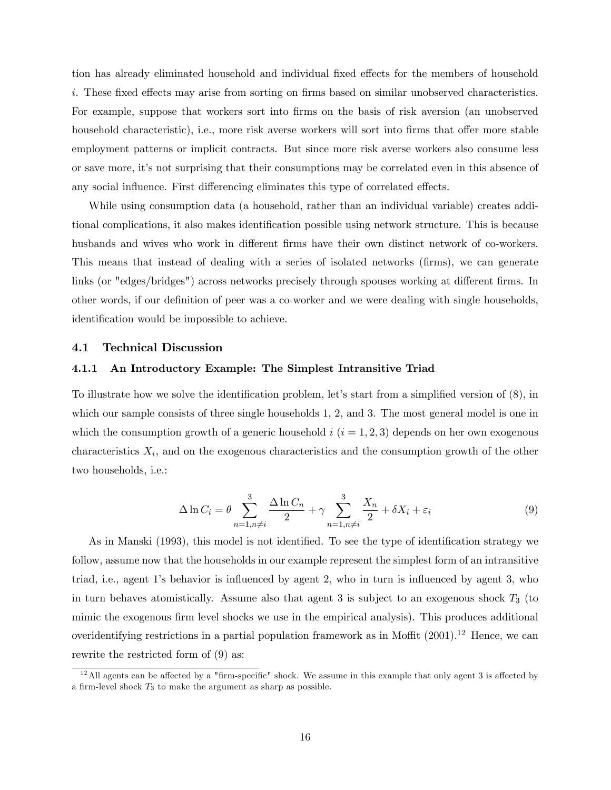tion has already eliminated household and individual fixed effects for the members of household  $i.$  These fixed effects may arise from sorting on firms based on similar unobserved characteristics. For example, suppose that workers sort into firms on the basis of risk aversion (an unobserved household characteristic), i.e., more risk averse workers will sort into firms that offer more stable employment patterns or implicit contracts. But since more risk averse workers also consume less or save more, itís not surprising that their consumptions may be correlated even in this absence of any social influence. First differencing eliminates this type of correlated effects.

While using consumption data (a household, rather than an individual variable) creates additional complications, it also makes identification possible using network structure. This is because husbands and wives who work in different firms have their own distinct network of co-workers. This means that instead of dealing with a series of isolated networks (Örms), we can generate links (or "edges/bridges") across networks precisely through spouses working at different firms. In other words, if our definition of peer was a co-worker and we were dealing with single households, identification would be impossible to achieve.

#### 4.1 Technical Discussion

#### 4.1.1 An Introductory Example: The Simplest Intransitive Triad

To illustrate how we solve the identification problem, let's start from a simplified version of  $(8)$ , in which our sample consists of three single households 1, 2, and 3. The most general model is one in which the consumption growth of a generic household  $i$   $(i = 1, 2, 3)$  depends on her own exogenous characteristics  $X_i$ , and on the exogenous characteristics and the consumption growth of the other two households, i.e.:

$$
\Delta \ln C_i = \theta \sum_{n=1, n \neq i}^3 \frac{\Delta \ln C_n}{2} + \gamma \sum_{n=1, n \neq i}^3 \frac{X_n}{2} + \delta X_i + \varepsilon_i \tag{9}
$$

As in Manski (1993), this model is not identified. To see the type of identification strategy we follow, assume now that the households in our example represent the simplest form of an intransitive triad, i.e., agent 1's behavior is influenced by agent 2, who in turn is influenced by agent 3, who in turn behaves atomistically. Assume also that agent 3 is subject to an exogenous shock  $T_3$  (to mimic the exogenous firm level shocks we use in the empirical analysis). This produces additional overidentifying restrictions in a partial population framework as in Moffit  $(2001).<sup>12</sup>$  Hence, we can rewrite the restricted form of (9) as:

 $12$ All agents can be affected by a "firm-specific" shock. We assume in this example that only agent 3 is affected by a firm-level shock  $T_3$  to make the argument as sharp as possible.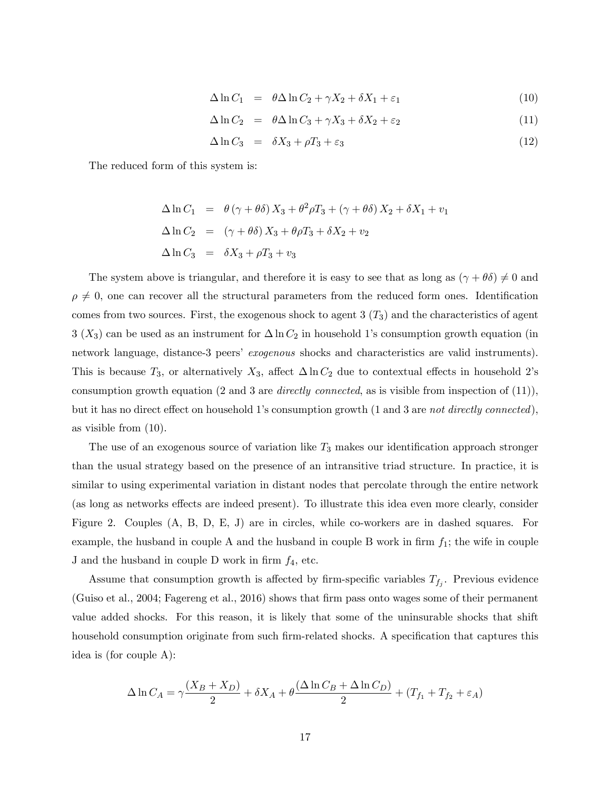$$
\Delta \ln C_1 = \theta \Delta \ln C_2 + \gamma X_2 + \delta X_1 + \varepsilon_1 \tag{10}
$$

$$
\Delta \ln C_2 = \theta \Delta \ln C_3 + \gamma X_3 + \delta X_2 + \varepsilon_2 \tag{11}
$$

$$
\Delta \ln C_3 = \delta X_3 + \rho T_3 + \varepsilon_3 \tag{12}
$$

The reduced form of this system is:

$$
\Delta \ln C_1 = \theta (\gamma + \theta \delta) X_3 + \theta^2 \rho T_3 + (\gamma + \theta \delta) X_2 + \delta X_1 + v_1
$$
  
\n
$$
\Delta \ln C_2 = (\gamma + \theta \delta) X_3 + \theta \rho T_3 + \delta X_2 + v_2
$$
  
\n
$$
\Delta \ln C_3 = \delta X_3 + \rho T_3 + v_3
$$

The system above is triangular, and therefore it is easy to see that as long as  $(\gamma + \theta \delta) \neq 0$  and  $\rho \neq 0$ , one can recover all the structural parameters from the reduced form ones. Identification comes from two sources. First, the exogenous shock to agent  $3(T_3)$  and the characteristics of agent  $3 (X_3)$  can be used as an instrument for  $\Delta \ln C_2$  in household 1's consumption growth equation (in network language, distance-3 peers' exogenous shocks and characteristics are valid instruments). This is because  $T_3$ , or alternatively  $X_3$ , affect  $\Delta \ln C_2$  due to contextual effects in household 2's consumption growth equation (2 and 3 are *directly connected*, as is visible from inspection of  $(11)$ ), but it has no direct effect on household 1's consumption growth  $(1 \text{ and } 3 \text{ are not directly connected}),$ as visible from (10).

The use of an exogenous source of variation like  $T_3$  makes our identification approach stronger than the usual strategy based on the presence of an intransitive triad structure. In practice, it is similar to using experimental variation in distant nodes that percolate through the entire network (as long as networks effects are indeed present). To illustrate this idea even more clearly, consider Figure 2. Couples (A, B, D, E, J) are in circles, while co-workers are in dashed squares. For example, the husband in couple A and the husband in couple B work in firm  $f_1$ ; the wife in couple J and the husband in couple D work in firm  $f_4$ , etc.

Assume that consumption growth is affected by firm-specific variables  $T_{f_j}$ . Previous evidence (Guiso et al., 2004; Fagereng et al., 2016) shows that Örm pass onto wages some of their permanent value added shocks. For this reason, it is likely that some of the uninsurable shocks that shift household consumption originate from such firm-related shocks. A specification that captures this idea is (for couple A):

$$
\Delta \ln C_A = \gamma \frac{(X_B + X_D)}{2} + \delta X_A + \theta \frac{(\Delta \ln C_B + \Delta \ln C_D)}{2} + (T_{f_1} + T_{f_2} + \varepsilon_A)
$$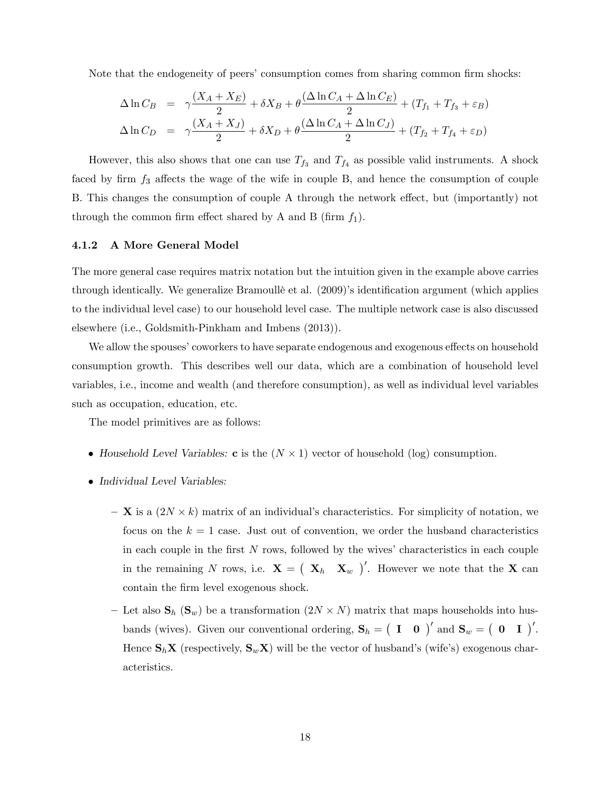Note that the endogeneity of peers' consumption comes from sharing common firm shocks:

$$
\Delta \ln C_B = \gamma \frac{(X_A + X_E)}{2} + \delta X_B + \theta \frac{(\Delta \ln C_A + \Delta \ln C_E)}{2} + (T_{f_1} + T_{f_3} + \varepsilon_B)
$$
  

$$
\Delta \ln C_D = \gamma \frac{(X_A + X_J)}{2} + \delta X_D + \theta \frac{(\Delta \ln C_A + \Delta \ln C_J)}{2} + (T_{f_2} + T_{f_4} + \varepsilon_D)
$$

However, this also shows that one can use  $T_{f_3}$  and  $T_{f_4}$  as possible valid instruments. A shock faced by firm  $f_3$  affects the wage of the wife in couple B, and hence the consumption of couple B. This changes the consumption of couple A through the network effect, but (importantly) not through the common firm effect shared by A and B (firm  $f_1$ ).

#### 4.1.2 A More General Model

The more general case requires matrix notation but the intuition given in the example above carries through identically. We generalize Bramoullé et al. (2009)'s identification argument (which applies to the individual level case) to our household level case. The multiple network case is also discussed elsewhere (i.e., Goldsmith-Pinkham and Imbens (2013)).

We allow the spouses' coworkers to have separate endogenous and exogenous effects on household consumption growth. This describes well our data, which are a combination of household level variables, i.e., income and wealth (and therefore consumption), as well as individual level variables such as occupation, education, etc.

The model primitives are as follows:

- Household Level Variables: **c** is the  $(N \times 1)$  vector of household (log) consumption.
- Individual Level Variables:
	- $-\mathbf{X}$  is a  $(2N \times k)$  matrix of an individual's characteristics. For simplicity of notation, we focus on the  $k = 1$  case. Just out of convention, we order the husband characteristics in each couple in the first  $N$  rows, followed by the wives' characteristics in each couple in the remaining N rows, i.e.  $\mathbf{X} = (\mathbf{X}_h \ \mathbf{X}_w)^\prime$ . However we note that the X can contain the firm level exogenous shock.
	- Let also  $\mathbf{S}_h$  ( $\mathbf{S}_w$ ) be a transformation  $(2N \times N)$  matrix that maps households into husbands (wives). Given our conventional ordering,  $S_h = (I \ 0)'$  and  $S_w = (0 \ I)'$ . Hence  $\mathbf{S}_h \mathbf{X}$  (respectively,  $\mathbf{S}_w \mathbf{X}$ ) will be the vector of husband's (wife's) exogenous characteristics.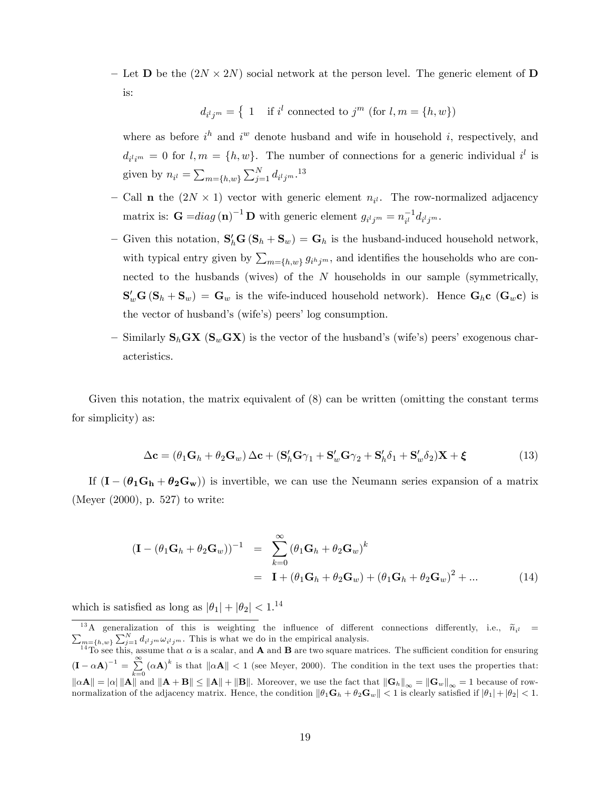- Let **D** be the  $(2N \times 2N)$  social network at the person level. The generic element of **D** is:

$$
d_{i^lj^m} = \{ 1 \text{ if } i^l \text{ connected to } j^m \text{ (for } l, m = \{h, w\})
$$

where as before  $i^h$  and  $i^w$  denote husband and wife in household i, respectively, and  $d_{i l i m} = 0$  for  $l, m = \{h, w\}$ . The number of connections for a generic individual  $i^{l}$  is given by  $n_{i} = \sum_{m=\{h,w\}} \sum_{j=1}^{N} d_{i} t_{j}^{m}$ .<sup>13</sup>

- Call **n** the  $(2N \times 1)$  vector with generic element  $n_{i}$ . The row-normalized adjacency matrix is:  $\mathbf{G} = diag(\mathbf{n})^{-1} \mathbf{D}$  with generic element  $g_{i^l j^m} = n_{i^l}^{-1} d_{i^l j^m}$ .
- Given this notation,  $S_h'G(S_h + S_w) = G_h$  is the husband-induced household network, with typical entry given by  $\sum_{m=\{h,w\}} g_{i^h j^m}$ , and identifies the households who are connected to the husbands (wives) of the  $N$  households in our sample (symmetrically,  $\mathbf{S}_w' \mathbf{G} (\mathbf{S}_h + \mathbf{S}_w) = \mathbf{G}_w$  is the wife-induced household network). Hence  $\mathbf{G}_h$ c  $(\mathbf{G}_w \mathbf{c})$  is the vector of husband's (wife's) peers' log consumption.
- Similarly  $\mathbf{S}_h$ **GX** ( $\mathbf{S}_w$ **GX**) is the vector of the husband's (wife's) peers' exogenous characteristics.

Given this notation, the matrix equivalent of  $(8)$  can be written (omitting the constant terms for simplicity) as:

$$
\Delta \mathbf{c} = (\theta_1 \mathbf{G}_h + \theta_2 \mathbf{G}_w) \Delta \mathbf{c} + (\mathbf{S}_h' \mathbf{G} \gamma_1 + \mathbf{S}_w' \mathbf{G} \gamma_2 + \mathbf{S}_h' \delta_1 + \mathbf{S}_w' \delta_2) \mathbf{X} + \boldsymbol{\xi}
$$
(13)

If  $(I - (\theta_1G_h + \theta_2G_w))$  is invertible, we can use the Neumann series expansion of a matrix (Meyer (2000), p. 527) to write:

$$
(\mathbf{I} - (\theta_1 \mathbf{G}_h + \theta_2 \mathbf{G}_w))^{-1} = \sum_{k=0}^{\infty} (\theta_1 \mathbf{G}_h + \theta_2 \mathbf{G}_w)^k
$$
  
=  $\mathbf{I} + (\theta_1 \mathbf{G}_h + \theta_2 \mathbf{G}_w) + (\theta_1 \mathbf{G}_h + \theta_2 \mathbf{G}_w)^2 + ...$  (14)

which is satisfied as long as  $|\theta_1| + |\theta_2| < 1^{14}$ 

<sup>&</sup>lt;sup>13</sup>A generalization of this is weighting the influence of different connections differently, i.e.,  $\tilde{n}_{i}$  =  $\sum_{j=1}^N d_{i}l_j m \omega_{i}l_j m$ . This is what we do in the empirical analysis.

<sup>&</sup>lt;sup>14</sup>To see this, assume that  $\alpha$  is a scalar, and **A** and **B** are two square matrices. The sufficient condition for ensuring  $\left(\mathbf{I}-\alpha\mathbf{A}\right)^{-1}=\sum\limits_{i=1}^{\infty}% \alpha_{i}\left(\mathbf{I}-\alpha\mathbf{A}\right).$  $\sum_{k=0}^{\infty} (\alpha \mathbf{A})^k$  is that  $\|\alpha \mathbf{A}\| < 1$  (see Meyer, 2000). The condition in the text uses the properties that:  $\|\alpha A\| = |\alpha| \|A\|$  and  $\|A + B\| \le \|A\| + \|B\|$ . Moreover, we use the fact that  $\|G_h\|_{\infty} = \|G_w\|_{\infty} = 1$  because of rownormalization of the adjacency matrix. Hence, the condition  $\|\theta_1\mathbf{G}_h + \theta_2\mathbf{G}_w\| < 1$  is clearly satisfied if  $|\theta_1| + |\theta_2| < 1$ .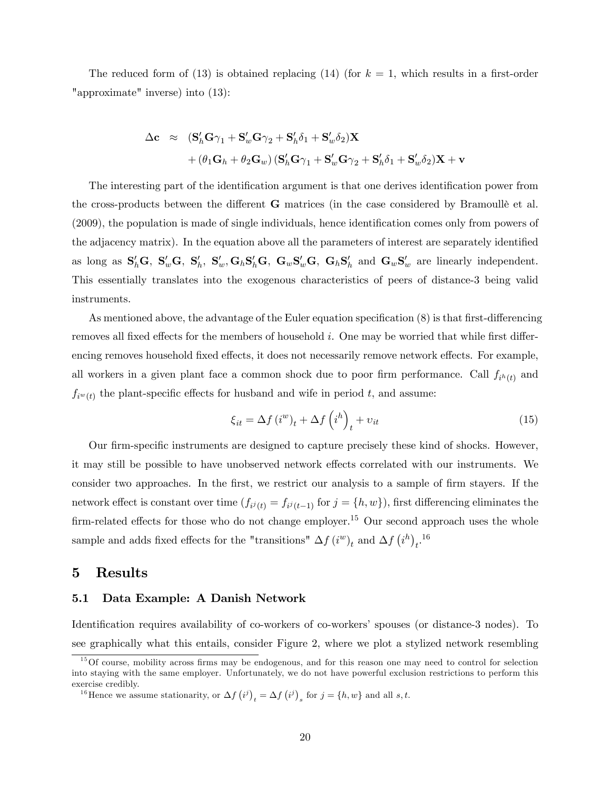The reduced form of (13) is obtained replacing (14) (for  $k = 1$ , which results in a first-order "approximate" inverse) into (13):

$$
\begin{array}{ll}\Delta\mathbf{c} & \approx & (\mathbf{S}_h'\mathbf{G}\boldsymbol{\gamma}_1 + \mathbf{S}_w'\mathbf{G}\boldsymbol{\gamma}_2 + \mathbf{S}_h'\boldsymbol{\delta}_1 + \mathbf{S}_w'\boldsymbol{\delta}_2)\mathbf{X} \\[1mm] & + \left(\theta_1\mathbf{G}_h + \theta_2\mathbf{G}_w\right)\left(\mathbf{S}_h'\mathbf{G}\boldsymbol{\gamma}_1 + \mathbf{S}_w'\mathbf{G}\boldsymbol{\gamma}_2 + \mathbf{S}_h'\boldsymbol{\delta}_1 + \mathbf{S}_w'\boldsymbol{\delta}_2\right)\mathbf{X} + \mathbf{v}\end{array}
$$

The interesting part of the identification argument is that one derives identification power from the cross-products between the different  $G$  matrices (in the case considered by Bramoullè et al.  $(2009)$ , the population is made of single individuals, hence identification comes only from powers of the adjacency matrix). In the equation above all the parameters of interest are separately identified as long as  $S_h'G$ ,  $S_w'G$ ,  $S_h'$ ,  $S_w'$ ,  $G_hS_h'G$ ,  $G_wS_w'G$ ,  $G_hS_h'$  and  $G_wS_w'$  are linearly independent. This essentially translates into the exogenous characteristics of peers of distance-3 being valid instruments.

As mentioned above, the advantage of the Euler equation specification  $(8)$  is that first-differencing removes all fixed effects for the members of household  $i$ . One may be worried that while first differencing removes household fixed effects, it does not necessarily remove network effects. For example, all workers in a given plant face a common shock due to poor firm performance. Call  $f_{i^h(t)}$  and  $f_{i^w(t)}$  the plant-specific effects for husband and wife in period t, and assume:

$$
\xi_{it} = \Delta f \left( i^w \right)_t + \Delta f \left( i^h \right)_t + v_{it} \tag{15}
$$

Our firm-specific instruments are designed to capture precisely these kind of shocks. However, it may still be possible to have unobserved network effects correlated with our instruments. We consider two approaches. In the first, we restrict our analysis to a sample of firm stayers. If the network effect is constant over time  $(f_{i^j(t)} = f_{i^j(t-1)}$  for  $j = \{h, w\})$ , first differencing eliminates the firm-related effects for those who do not change employer.<sup>15</sup> Our second approach uses the whole sample and adds fixed effects for the "transitions"  $\Delta f (i^w)_t$  and  $\Delta f (i^h)_{t}$ .<sup>16</sup>

### 5 Results

#### 5.1 Data Example: A Danish Network

Identification requires availability of co-workers of co-workers' spouses (or distance-3 nodes). To see graphically what this entails, consider Figure 2, where we plot a stylized network resembling

 $15$ Of course, mobility across firms may be endogenous, and for this reason one may need to control for selection into staying with the same employer. Unfortunately, we do not have powerful exclusion restrictions to perform this exercise credibly.

<sup>&</sup>lt;sup>16</sup>Hence we assume stationarity, or  $\Delta f(i^j)_t = \Delta f(i^j)_s$  for  $j = \{h, w\}$  and all s, t.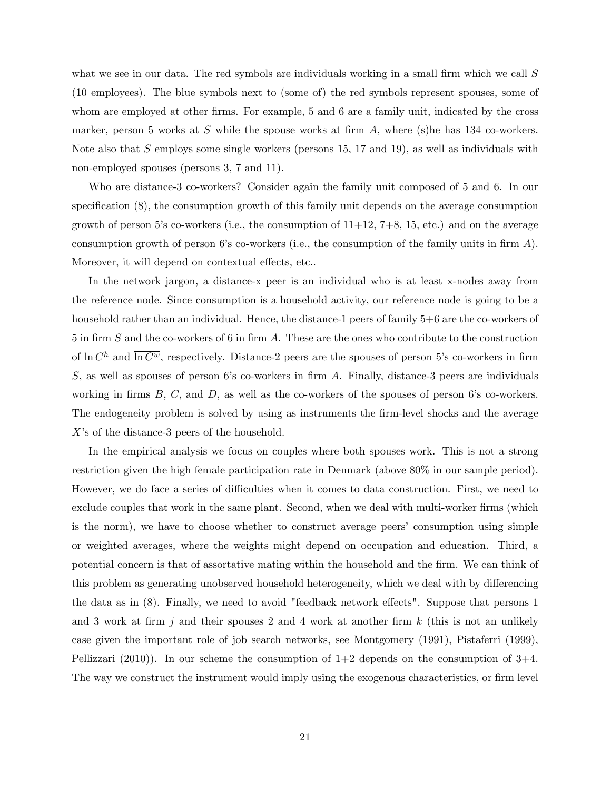what we see in our data. The red symbols are individuals working in a small firm which we call  $S$ (10 employees). The blue symbols next to (some of) the red symbols represent spouses, some of whom are employed at other firms. For example, 5 and 6 are a family unit, indicated by the cross marker, person 5 works at  $S$  while the spouse works at firm  $A$ , where (s)he has 134 co-workers. Note also that S employs some single workers (persons  $15, 17$  and  $19$ ), as well as individuals with non-employed spouses (persons 3, 7 and 11).

Who are distance-3 co-workers? Consider again the family unit composed of 5 and 6. In our specification  $(8)$ , the consumption growth of this family unit depends on the average consumption growth of person 5's co-workers (i.e., the consumption of  $11+12$ ,  $7+8$ ,  $15$ , etc.) and on the average consumption growth of person 6's co-workers (i.e., the consumption of the family units in firm  $A$ ). Moreover, it will depend on contextual effects, etc...

In the network jargon, a distance-x peer is an individual who is at least x-nodes away from the reference node. Since consumption is a household activity, our reference node is going to be a household rather than an individual. Hence, the distance-1 peers of family  $5+6$  are the co-workers of 5 in firm S and the co-workers of 6 in firm A. These are the ones who contribute to the construction of  $\overline{\ln C^h}$  and  $\overline{\ln C^w}$ , respectively. Distance-2 peers are the spouses of person 5's co-workers in firm  $S$ , as well as spouses of person 6's co-workers in firm  $A$ . Finally, distance-3 peers are individuals working in firms  $B, C$ , and  $D$ , as well as the co-workers of the spouses of person 6's co-workers. The endogeneity problem is solved by using as instruments the Örm-level shocks and the average  $X$ 's of the distance-3 peers of the household.

In the empirical analysis we focus on couples where both spouses work. This is not a strong restriction given the high female participation rate in Denmark (above 80% in our sample period). However, we do face a series of difficulties when it comes to data construction. First, we need to exclude couples that work in the same plant. Second, when we deal with multi-worker firms (which is the norm), we have to choose whether to construct average peers' consumption using simple or weighted averages, where the weights might depend on occupation and education. Third, a potential concern is that of assortative mating within the household and the firm. We can think of this problem as generating unobserved household heterogeneity, which we deal with by differencing the data as in  $(8)$ . Finally, we need to avoid "feedback network effects". Suppose that persons 1 and 3 work at firm  $i$  and their spouses 2 and 4 work at another firm k (this is not an unlikely case given the important role of job search networks, see Montgomery (1991), Pistaferri (1999), Pellizzari (2010)). In our scheme the consumption of  $1+2$  depends on the consumption of  $3+4$ . The way we construct the instrument would imply using the exogenous characteristics, or firm level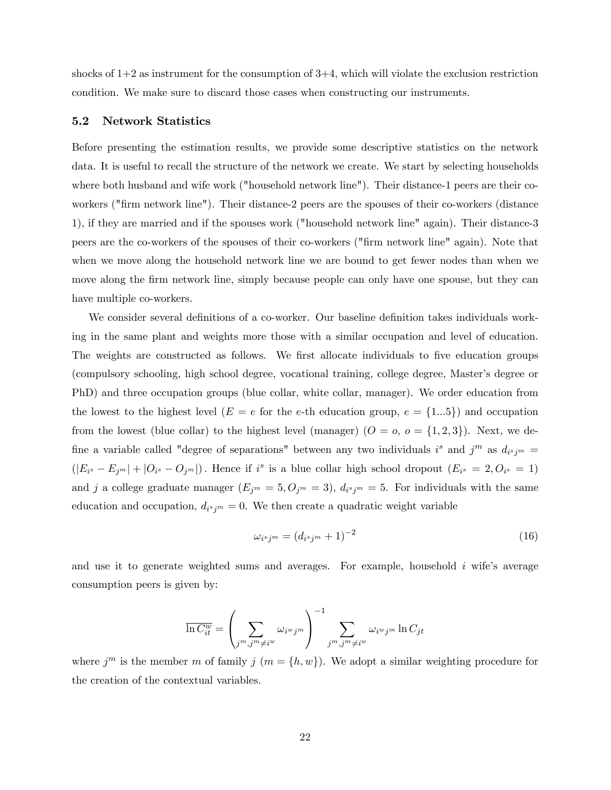shocks of  $1+2$  as instrument for the consumption of  $3+4$ , which will violate the exclusion restriction condition. We make sure to discard those cases when constructing our instruments.

#### 5.2 Network Statistics

Before presenting the estimation results, we provide some descriptive statistics on the network data. It is useful to recall the structure of the network we create. We start by selecting households where both husband and wife work ("household network line"). Their distance-1 peers are their coworkers ("Örm network line"). Their distance-2 peers are the spouses of their co-workers (distance 1), if they are married and if the spouses work ("household network line" again). Their distance-3 peers are the co-workers of the spouses of their co-workers ("Örm network line" again). Note that when we move along the household network line we are bound to get fewer nodes than when we move along the firm network line, simply because people can only have one spouse, but they can have multiple co-workers.

We consider several definitions of a co-worker. Our baseline definition takes individuals working in the same plant and weights more those with a similar occupation and level of education. The weights are constructed as follows. We first allocate individuals to five education groups (compulsory schooling, high school degree, vocational training, college degree, Masterís degree or PhD) and three occupation groups (blue collar, white collar, manager). We order education from the lowest to the highest level  $(E = e$  for the e-th education group,  $e = \{1...5\}$  and occupation from the lowest (blue collar) to the highest level (manager)  $(O = o, o = \{1, 2, 3\})$ . Next, we define a variable called "degree of separations" between any two individuals i<sup>s</sup> and  $j^m$  as  $d_{i^s j^m} =$  $(|E_{i^s}-E_{j^m}|+|O_{i^s}-O_{j^m}|)$ . Hence if  $i^s$  is a blue collar high school dropout  $(E_{i^s}=2,O_{i^s}=1)$ and j a college graduate manager  $(E_{j^m} = 5, O_{j^m} = 3), d_{i^s j^m} = 5$ . For individuals with the same education and occupation,  $d_{i^s j^m} = 0$ . We then create a quadratic weight variable

$$
\omega_{i^sj^m} = \left(d_{i^sj^m} + 1\right)^{-2} \tag{16}
$$

and use it to generate weighted sums and averages. For example, household  $i$  wife's average consumption peers is given by:

$$
\overline{\ln C_{it}^w} = \left(\sum_{j^m, j^m \neq i^w} \omega_{i^w j^m}\right)^{-1} \sum_{j^m, j^m \neq i^w} \omega_{i^w j^m} \ln C_{jt}
$$

where  $j^m$  is the member m of family  $j$   $(m = \{h, w\})$ . We adopt a similar weighting procedure for the creation of the contextual variables.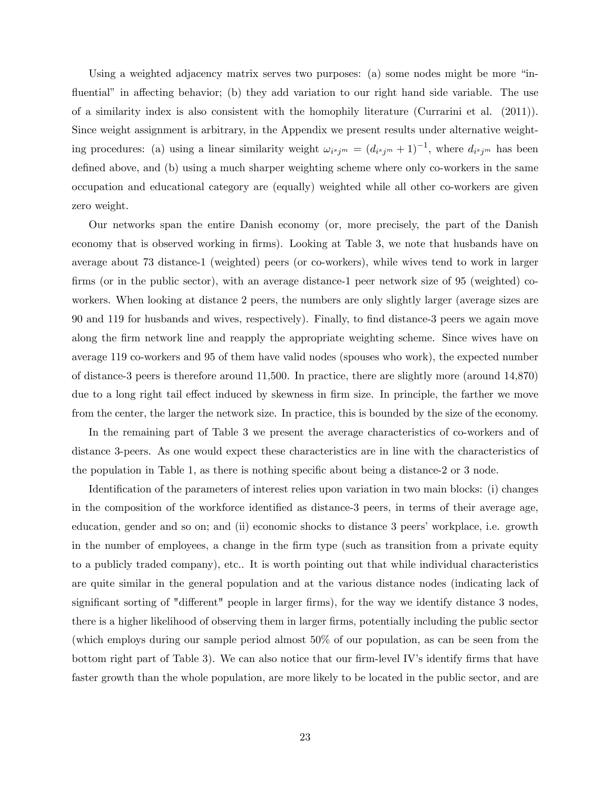Using a weighted adjacency matrix serves two purposes: (a) some nodes might be more  $\ddots$ fluential" in affecting behavior; (b) they add variation to our right hand side variable. The use of a similarity index is also consistent with the homophily literature (Currarini et al. (2011)). Since weight assignment is arbitrary, in the Appendix we present results under alternative weighting procedures: (a) using a linear similarity weight  $\omega_{i^s j^m} = (d_{i^s j^m} + 1)^{-1}$ , where  $d_{i^s j^m}$  has been defined above, and (b) using a much sharper weighting scheme where only co-workers in the same occupation and educational category are (equally) weighted while all other co-workers are given zero weight.

Our networks span the entire Danish economy (or, more precisely, the part of the Danish economy that is observed working in firms). Looking at Table 3, we note that husbands have on average about 73 distance-1 (weighted) peers (or co-workers), while wives tend to work in larger firms (or in the public sector), with an average distance-1 peer network size of 95 (weighted) coworkers. When looking at distance 2 peers, the numbers are only slightly larger (average sizes are 90 and 119 for husbands and wives, respectively). Finally, to Önd distance-3 peers we again move along the firm network line and reapply the appropriate weighting scheme. Since wives have on average 119 co-workers and 95 of them have valid nodes (spouses who work), the expected number of distance-3 peers is therefore around 11,500. In practice, there are slightly more (around 14,870) due to a long right tail effect induced by skewness in firm size. In principle, the farther we move from the center, the larger the network size. In practice, this is bounded by the size of the economy.

In the remaining part of Table 3 we present the average characteristics of co-workers and of distance 3-peers. As one would expect these characteristics are in line with the characteristics of the population in Table 1, as there is nothing specific about being a distance-2 or  $3$  node.

Identification of the parameters of interest relies upon variation in two main blocks: (i) changes in the composition of the workforce identified as distance-3 peers, in terms of their average age, education, gender and so on; and (ii) economic shocks to distance 3 peers' workplace, i.e. growth in the number of employees, a change in the firm type (such as transition from a private equity to a publicly traded company), etc.. It is worth pointing out that while individual characteristics are quite similar in the general population and at the various distance nodes (indicating lack of significant sorting of "different" people in larger firms), for the way we identify distance 3 nodes, there is a higher likelihood of observing them in larger Örms, potentially including the public sector (which employs during our sample period almost 50% of our population, as can be seen from the bottom right part of Table 3). We can also notice that our firm-level IV's identify firms that have faster growth than the whole population, are more likely to be located in the public sector, and are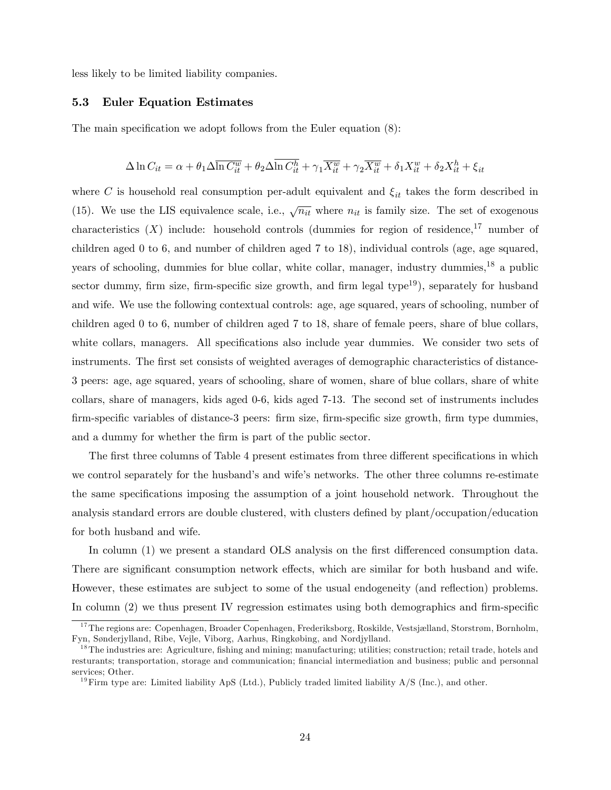less likely to be limited liability companies.

#### 5.3 Euler Equation Estimates

The main specification we adopt follows from the Euler equation  $(8)$ :

$$
\Delta \ln C_{it} = \alpha + \theta_1 \Delta \overline{\ln C_{it}^w} + \theta_2 \Delta \overline{\ln C_{it}^h} + \gamma_1 \overline{X_{it}^w} + \gamma_2 \overline{X_{it}^w} + \delta_1 X_{it}^w + \delta_2 X_{it}^h + \xi_{it}
$$

where C is household real consumption per-adult equivalent and  $\xi_{it}$  takes the form described in (15). We use the LIS equivalence scale, i.e.,  $\sqrt{n_{it}}$  where  $n_{it}$  is family size. The set of exogenous characteristics  $(X)$  include: household controls (dummies for region of residence,<sup>17</sup> number of children aged 0 to 6, and number of children aged 7 to 18), individual controls (age, age squared, years of schooling, dummies for blue collar, white collar, manager, industry dummies,<sup>18</sup> a public sector dummy, firm size, firm-specific size growth, and firm legal type<sup>19</sup>), separately for husband and wife. We use the following contextual controls: age, age squared, years of schooling, number of children aged 0 to 6, number of children aged 7 to 18, share of female peers, share of blue collars, white collars, managers. All specifications also include year dummies. We consider two sets of instruments. The first set consists of weighted averages of demographic characteristics of distance-3 peers: age, age squared, years of schooling, share of women, share of blue collars, share of white collars, share of managers, kids aged 0-6, kids aged 7-13. The second set of instruments includes Örm-speciÖc variables of distance-3 peers: Örm size, Örm-speciÖc size growth, Örm type dummies, and a dummy for whether the firm is part of the public sector.

The first three columns of Table 4 present estimates from three different specifications in which we control separately for the husband's and wife's networks. The other three columns re-estimate the same specifications imposing the assumption of a joint household network. Throughout the analysis standard errors are double clustered, with clusters defined by plant/occupation/education for both husband and wife.

In column (1) we present a standard OLS analysis on the first differenced consumption data. There are significant consumption network effects, which are similar for both husband and wife. However, these estimates are subject to some of the usual endogeneity (and reflection) problems. In column  $(2)$  we thus present IV regression estimates using both demographics and firm-specific

<sup>&</sup>lt;sup>17</sup>The regions are: Copenhagen, Broader Copenhagen, Frederiksborg, Roskilde, Vestsjælland, Storstrøm, Bornholm. Fyn, Sønderjylland, Ribe, Vejle, Viborg, Aarhus, Ringkøbing, and Nordjylland.

<sup>&</sup>lt;sup>18</sup>The industries are: Agriculture, fishing and mining; manufacturing; utilities; construction; retail trade, hotels and resturants; transportation, storage and communication; financial intermediation and business; public and personnal services: Other.

<sup>&</sup>lt;sup>19</sup>Firm type are: Limited liability ApS (Ltd.), Publicly traded limited liability  $A/S$  (Inc.), and other.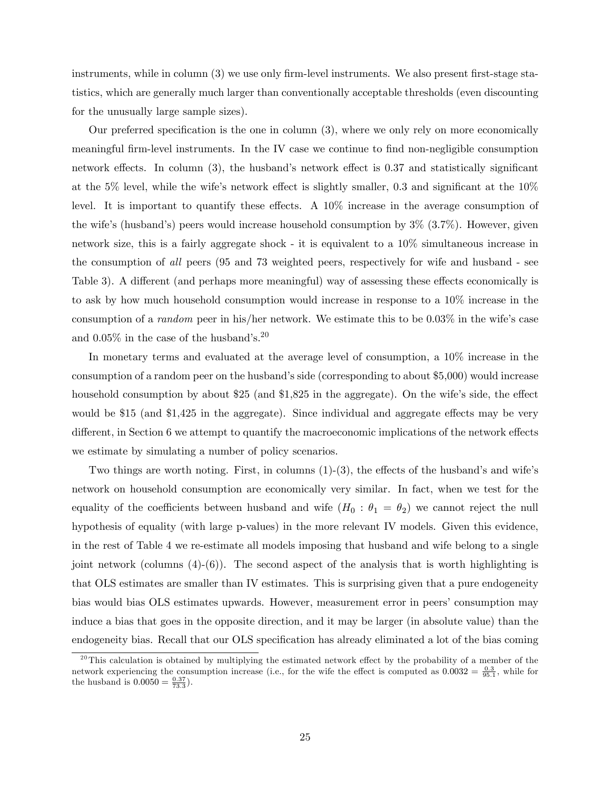instruments, while in column  $(3)$  we use only firm-level instruments. We also present first-stage statistics, which are generally much larger than conventionally acceptable thresholds (even discounting for the unusually large sample sizes).

Our preferred specification is the one in column  $(3)$ , where we only rely on more economically meaningful firm-level instruments. In the IV case we continue to find non-negligible consumption network effects. In column  $(3)$ , the husband's network effect is 0.37 and statistically significant at the 5% level, while the wife's network effect is slightly smaller, 0.3 and significant at the  $10\%$ level. It is important to quantify these effects. A  $10\%$  increase in the average consumption of the wife's (husband's) peers would increase household consumption by  $3\%$   $(3.7\%)$ . However, given network size, this is a fairly aggregate shock - it is equivalent to a 10% simultaneous increase in the consumption of all peers (95 and 73 weighted peers, respectively for wife and husband - see Table 3). A different (and perhaps more meaningful) way of assessing these effects economically is to ask by how much household consumption would increase in response to a 10% increase in the consumption of a *random* peer in his/her network. We estimate this to be  $0.03\%$  in the wife's case and  $0.05\%$  in the case of the husband's.<sup>20</sup>

In monetary terms and evaluated at the average level of consumption, a 10% increase in the consumption of a random peer on the husband's side (corresponding to about  $$5,000$ ) would increase household consumption by about  $$25$  (and  $$1,825$  in the aggregate). On the wife's side, the effect would be \$15 (and \$1,425 in the aggregate). Since individual and aggregate effects may be very different, in Section 6 we attempt to quantify the macroeconomic implications of the network effects we estimate by simulating a number of policy scenarios.

Two things are worth noting. First, in columns  $(1)-(3)$ , the effects of the husband's and wife's network on household consumption are economically very similar. In fact, when we test for the equality of the coefficients between husband and wife  $(H_0 : \theta_1 = \theta_2)$  we cannot reject the null hypothesis of equality (with large p-values) in the more relevant IV models. Given this evidence, in the rest of Table 4 we re-estimate all models imposing that husband and wife belong to a single joint network (columns  $(4)-(6)$ ). The second aspect of the analysis that is worth highlighting is that OLS estimates are smaller than IV estimates. This is surprising given that a pure endogeneity bias would bias OLS estimates upwards. However, measurement error in peersíconsumption may induce a bias that goes in the opposite direction, and it may be larger (in absolute value) than the endogeneity bias. Recall that our OLS specification has already eliminated a lot of the bias coming

<sup>&</sup>lt;sup>20</sup>This calculation is obtained by multiplying the estimated network effect by the probability of a member of the network experiencing the consumption increase (i.e., for the wife the effect is computed as  $0.0032 = \frac{0.3}{95.1}$ , while for the husband is  $0.0050 = \frac{0.37}{73.3}$ .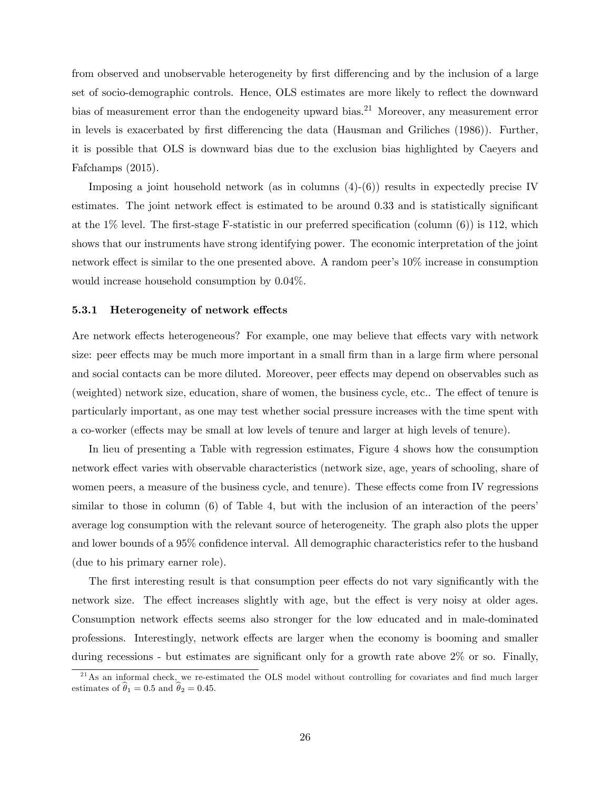from observed and unobservable heterogeneity by first differencing and by the inclusion of a large set of socio-demographic controls. Hence, OLS estimates are more likely to reflect the downward bias of measurement error than the endogeneity upward bias.<sup>21</sup> Moreover, any measurement error in levels is exacerbated by first differencing the data (Hausman and Griliches (1986)). Further, it is possible that OLS is downward bias due to the exclusion bias highlighted by Caeyers and Fafchamps (2015).

Imposing a joint household network (as in columns  $(4)-(6)$ ) results in expectedly precise IV estimates. The joint network effect is estimated to be around  $0.33$  and is statistically significant at the  $1\%$  level. The first-stage F-statistic in our preferred specification (column  $(6)$ ) is 112, which shows that our instruments have strong identifying power. The economic interpretation of the joint network effect is similar to the one presented above. A random peer's  $10\%$  increase in consumption would increase household consumption by 0.04%.

#### 5.3.1 Heterogeneity of network effects

Are network effects heterogeneous? For example, one may believe that effects vary with network size: peer effects may be much more important in a small firm than in a large firm where personal and social contacts can be more diluted. Moreover, peer effects may depend on observables such as (weighted) network size, education, share of women, the business cycle, etc.. The effect of tenure is particularly important, as one may test whether social pressure increases with the time spent with a co-worker (effects may be small at low levels of tenure and larger at high levels of tenure).

In lieu of presenting a Table with regression estimates, Figure 4 shows how the consumption network effect varies with observable characteristics (network size, age, years of schooling, share of women peers, a measure of the business cycle, and tenure). These effects come from IV regressions similar to those in column (6) of Table 4, but with the inclusion of an interaction of the peers' average log consumption with the relevant source of heterogeneity. The graph also plots the upper and lower bounds of a 95% confidence interval. All demographic characteristics refer to the husband (due to his primary earner role).

The first interesting result is that consumption peer effects do not vary significantly with the network size. The effect increases slightly with age, but the effect is very noisy at older ages. Consumption network effects seems also stronger for the low educated and in male-dominated professions. Interestingly, network effects are larger when the economy is booming and smaller during recessions - but estimates are significant only for a growth rate above  $2\%$  or so. Finally,

 $^{21}$ As an informal check, we re-estimated the OLS model without controlling for covariates and find much larger estimates of  $\hat{\theta}_1 = 0.5$  and  $\hat{\theta}_2 = 0.45$ .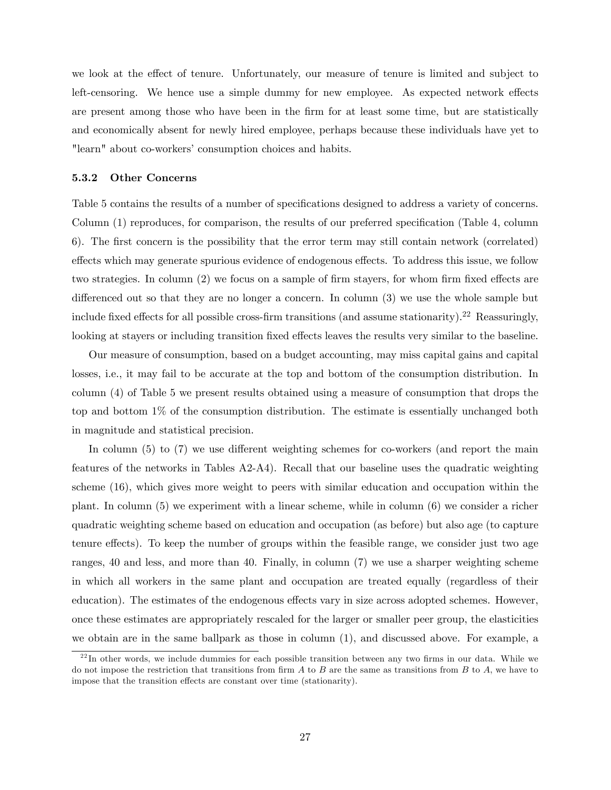we look at the effect of tenure. Unfortunately, our measure of tenure is limited and subject to left-censoring. We hence use a simple dummy for new employee. As expected network effects are present among those who have been in the firm for at least some time, but are statistically and economically absent for newly hired employee, perhaps because these individuals have yet to "learn" about co-workers' consumption choices and habits.

#### 5.3.2 Other Concerns

Table 5 contains the results of a number of specifications designed to address a variety of concerns. Column  $(1)$  reproduces, for comparison, the results of our preferred specification (Table 4, column 6). The first concern is the possibility that the error term may still contain network (correlated) effects which may generate spurious evidence of endogenous effects. To address this issue, we follow two strategies. In column  $(2)$  we focus on a sample of firm stayers, for whom firm fixed effects are differenced out so that they are no longer a concern. In column  $(3)$  we use the whole sample but include fixed effects for all possible cross-firm transitions (and assume stationarity).<sup>22</sup> Reassuringly, looking at stayers or including transition fixed effects leaves the results very similar to the baseline.

Our measure of consumption, based on a budget accounting, may miss capital gains and capital losses, i.e., it may fail to be accurate at the top and bottom of the consumption distribution. In column (4) of Table 5 we present results obtained using a measure of consumption that drops the top and bottom 1% of the consumption distribution. The estimate is essentially unchanged both in magnitude and statistical precision.

In column  $(5)$  to  $(7)$  we use different weighting schemes for co-workers (and report the main features of the networks in Tables A2-A4). Recall that our baseline uses the quadratic weighting scheme (16), which gives more weight to peers with similar education and occupation within the plant. In column (5) we experiment with a linear scheme, while in column (6) we consider a richer quadratic weighting scheme based on education and occupation (as before) but also age (to capture tenure effects). To keep the number of groups within the feasible range, we consider just two age ranges, 40 and less, and more than 40. Finally, in column (7) we use a sharper weighting scheme in which all workers in the same plant and occupation are treated equally (regardless of their education). The estimates of the endogenous effects vary in size across adopted schemes. However, once these estimates are appropriately rescaled for the larger or smaller peer group, the elasticities we obtain are in the same ballpark as those in column (1), and discussed above. For example, a

 $^{22}$ In other words, we include dummies for each possible transition between any two firms in our data. While we do not impose the restriction that transitions from firm  $A$  to  $B$  are the same as transitions from  $B$  to  $A$ , we have to impose that the transition effects are constant over time (stationarity).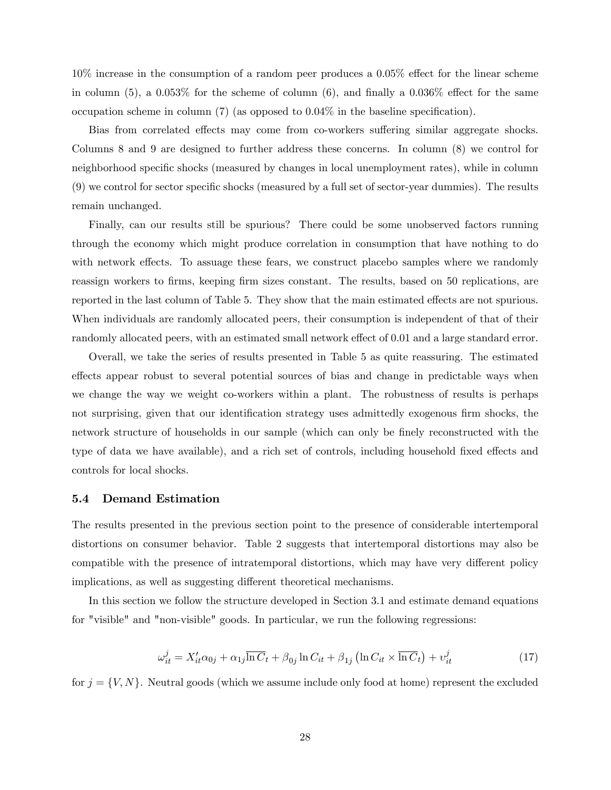$10\%$  increase in the consumption of a random peer produces a 0.05% effect for the linear scheme in column (5), a  $0.053\%$  for the scheme of column (6), and finally a  $0.036\%$  effect for the same occupation scheme in column (7) (as opposed to  $0.04\%$  in the baseline specification).

Bias from correlated effects may come from co-workers suffering similar aggregate shocks. Columns 8 and 9 are designed to further address these concerns. In column (8) we control for neighborhood specific shocks (measured by changes in local unemployment rates), while in column  $(9)$  we control for sector specific shocks (measured by a full set of sector-year dummies). The results remain unchanged.

Finally, can our results still be spurious? There could be some unobserved factors running through the economy which might produce correlation in consumption that have nothing to do with network effects. To assuage these fears, we construct placebo samples where we randomly reassign workers to firms, keeping firm sizes constant. The results, based on 50 replications, are reported in the last column of Table 5. They show that the main estimated effects are not spurious. When individuals are randomly allocated peers, their consumption is independent of that of their randomly allocated peers, with an estimated small network effect of 0.01 and a large standard error.

Overall, we take the series of results presented in Table 5 as quite reassuring. The estimated effects appear robust to several potential sources of bias and change in predictable ways when we change the way we weight co-workers within a plant. The robustness of results is perhaps not surprising, given that our identification strategy uses admittedly exogenous firm shocks, the network structure of households in our sample (which can only be finely reconstructed with the type of data we have available), and a rich set of controls, including household fixed effects and controls for local shocks.

#### 5.4 Demand Estimation

The results presented in the previous section point to the presence of considerable intertemporal distortions on consumer behavior. Table 2 suggests that intertemporal distortions may also be compatible with the presence of intratemporal distortions, which may have very different policy implications, as well as suggesting different theoretical mechanisms.

In this section we follow the structure developed in Section 3.1 and estimate demand equations for "visible" and "non-visible" goods. In particular, we run the following regressions:

$$
\omega_{it}^{j} = X_{it}^{\prime} \alpha_{0j} + \alpha_{1j} \overline{\ln C}_{t} + \beta_{0j} \ln C_{it} + \beta_{1j} \left( \ln C_{it} \times \overline{\ln C}_{t} \right) + v_{it}^{j}
$$
(17)

for  $j = \{V, N\}$ . Neutral goods (which we assume include only food at home) represent the excluded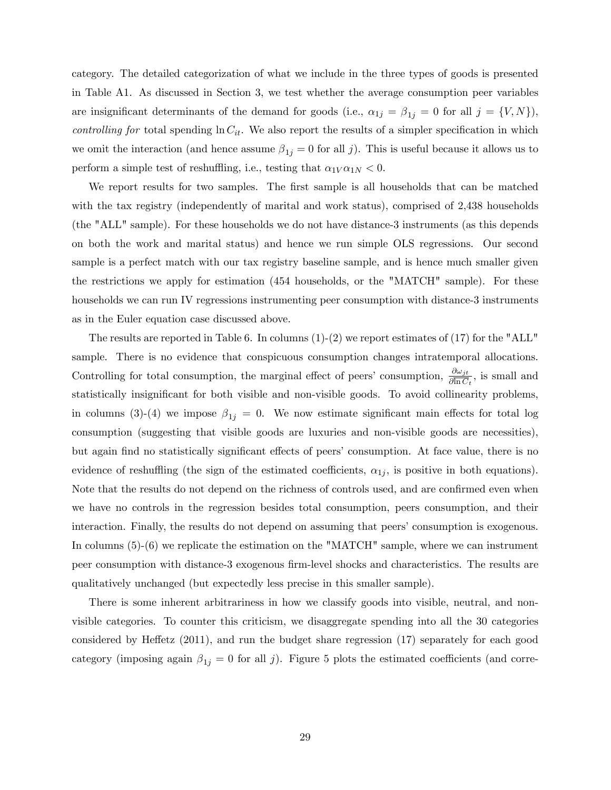category. The detailed categorization of what we include in the three types of goods is presented in Table A1. As discussed in Section 3, we test whether the average consumption peer variables are insignificant determinants of the demand for goods (i.e.,  $\alpha_{1j} = \beta_{1j} = 0$  for all  $j = \{V, N\}$ ), *controlling for* total spending  $\ln C_{it}$ . We also report the results of a simpler specification in which we omit the interaction (and hence assume  $\beta_{1j} = 0$  for all j). This is useful because it allows us to perform a simple test of reshuffling, i.e., testing that  $\alpha_1\gamma\alpha_1\gamma < 0$ .

We report results for two samples. The first sample is all households that can be matched with the tax registry (independently of marital and work status), comprised of 2,438 households (the "ALL" sample). For these households we do not have distance-3 instruments (as this depends on both the work and marital status) and hence we run simple OLS regressions. Our second sample is a perfect match with our tax registry baseline sample, and is hence much smaller given the restrictions we apply for estimation (454 households, or the "MATCH" sample). For these households we can run IV regressions instrumenting peer consumption with distance-3 instruments as in the Euler equation case discussed above.

The results are reported in Table 6. In columns  $(1)-(2)$  we report estimates of  $(17)$  for the "ALL" sample. There is no evidence that conspicuous consumption changes intratemporal allocations. Controlling for total consumption, the marginal effect of peers' consumption,  $\frac{\partial \omega_{jt}}{\partial \ln C_t}$ , is small and statistically insignificant for both visible and non-visible goods. To avoid collinearity problems, in columns (3)-(4) we impose  $\beta_{1j} = 0$ . We now estimate significant main effects for total log consumption (suggesting that visible goods are luxuries and non-visible goods are necessities), but again find no statistically significant effects of peers' consumption. At face value, there is no evidence of reshuffling (the sign of the estimated coefficients,  $\alpha_{1j}$ , is positive in both equations). Note that the results do not depend on the richness of controls used, and are confirmed even when we have no controls in the regression besides total consumption, peers consumption, and their interaction. Finally, the results do not depend on assuming that peers' consumption is exogenous. In columns (5)-(6) we replicate the estimation on the "MATCH" sample, where we can instrument peer consumption with distance-3 exogenous Örm-level shocks and characteristics. The results are qualitatively unchanged (but expectedly less precise in this smaller sample).

There is some inherent arbitrariness in how we classify goods into visible, neutral, and nonvisible categories. To counter this criticism, we disaggregate spending into all the 30 categories considered by Heffetz  $(2011)$ , and run the budget share regression  $(17)$  separately for each good category (imposing again  $\beta_{1j} = 0$  for all j). Figure 5 plots the estimated coefficients (and corre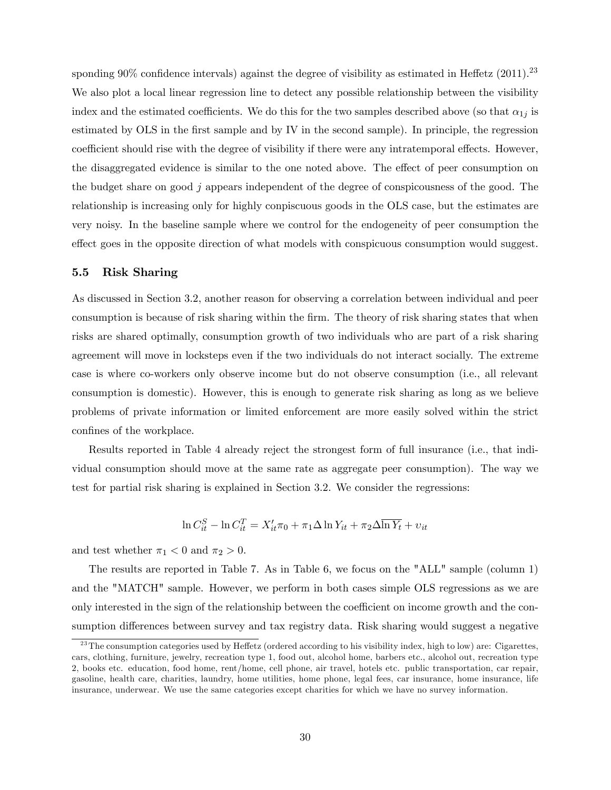sponding  $90\%$  confidence intervals) against the degree of visibility as estimated in Heffetz (2011).<sup>23</sup> We also plot a local linear regression line to detect any possible relationship between the visibility index and the estimated coefficients. We do this for the two samples described above (so that  $\alpha_{1j}$  is estimated by OLS in the first sample and by IV in the second sample). In principle, the regression coefficient should rise with the degree of visibility if there were any intratemporal effects. However, the disaggregated evidence is similar to the one noted above. The effect of peer consumption on the budget share on good j appears independent of the degree of conspicousness of the good. The relationship is increasing only for highly conpiscuous goods in the OLS case, but the estimates are very noisy. In the baseline sample where we control for the endogeneity of peer consumption the effect goes in the opposite direction of what models with conspicuous consumption would suggest.

#### 5.5 Risk Sharing

As discussed in Section 3.2, another reason for observing a correlation between individual and peer consumption is because of risk sharing within the firm. The theory of risk sharing states that when risks are shared optimally, consumption growth of two individuals who are part of a risk sharing agreement will move in locksteps even if the two individuals do not interact socially. The extreme case is where co-workers only observe income but do not observe consumption (i.e., all relevant consumption is domestic). However, this is enough to generate risk sharing as long as we believe problems of private information or limited enforcement are more easily solved within the strict confines of the workplace.

Results reported in Table 4 already reject the strongest form of full insurance (i.e., that individual consumption should move at the same rate as aggregate peer consumption). The way we test for partial risk sharing is explained in Section 3.2. We consider the regressions:

$$
\ln C_{it}^{S} - \ln C_{it}^{T} = X_{it}' \pi_0 + \pi_1 \Delta \ln Y_{it} + \pi_2 \Delta \overline{\ln Y_t} + v_{it}
$$

and test whether  $\pi_1 < 0$  and  $\pi_2 > 0$ .

The results are reported in Table 7. As in Table 6, we focus on the "ALL" sample (column 1) and the "MATCH" sample. However, we perform in both cases simple OLS regressions as we are only interested in the sign of the relationship between the coefficient on income growth and the consumption differences between survey and tax registry data. Risk sharing would suggest a negative

 $^{23}$ The consumption categories used by Heffetz (ordered according to his visibility index, high to low) are: Cigarettes, cars, clothing, furniture, jewelry, recreation type 1, food out, alcohol home, barbers etc., alcohol out, recreation type 2, books etc. education, food home, rent/home, cell phone, air travel, hotels etc. public transportation, car repair, gasoline, health care, charities, laundry, home utilities, home phone, legal fees, car insurance, home insurance, life insurance, underwear. We use the same categories except charities for which we have no survey information.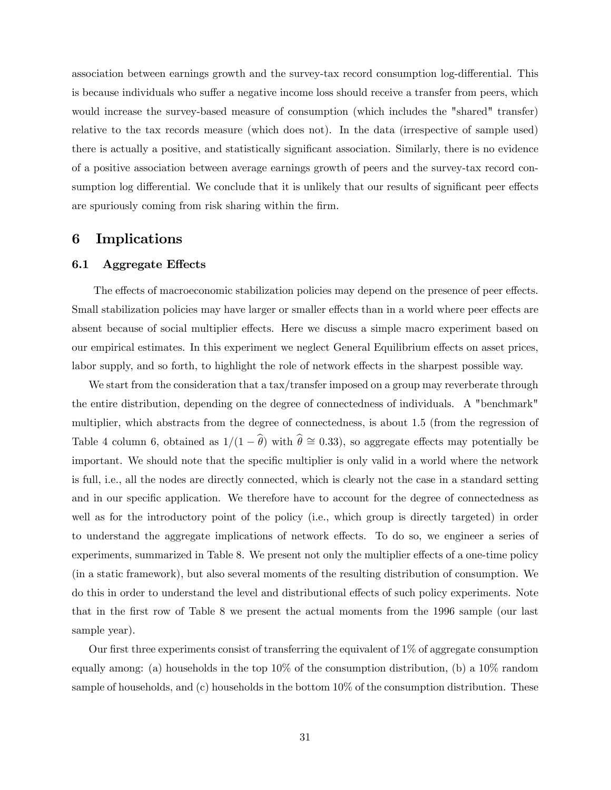association between earnings growth and the survey-tax record consumption log-differential. This is because individuals who suffer a negative income loss should receive a transfer from peers, which would increase the survey-based measure of consumption (which includes the "shared" transfer) relative to the tax records measure (which does not). In the data (irrespective of sample used) there is actually a positive, and statistically significant association. Similarly, there is no evidence of a positive association between average earnings growth of peers and the survey-tax record consumption log differential. We conclude that it is unlikely that our results of significant peer effects are spuriously coming from risk sharing within the firm.

### 6 Implications

#### 6.1 Aggregate Effects

The effects of macroeconomic stabilization policies may depend on the presence of peer effects. Small stabilization policies may have larger or smaller effects than in a world where peer effects are absent because of social multiplier effects. Here we discuss a simple macro experiment based on our empirical estimates. In this experiment we neglect General Equilibrium effects on asset prices, labor supply, and so forth, to highlight the role of network effects in the sharpest possible way.

We start from the consideration that a tax/transfer imposed on a group may reverberate through the entire distribution, depending on the degree of connectedness of individuals. A "benchmark" multiplier, which abstracts from the degree of connectedness, is about 1.5 (from the regression of Table 4 column 6, obtained as  $1/(1 - \hat{\theta})$  with  $\hat{\theta} \approx 0.33$ , so aggregate effects may potentially be important. We should note that the specific multiplier is only valid in a world where the network is full, i.e., all the nodes are directly connected, which is clearly not the case in a standard setting and in our specific application. We therefore have to account for the degree of connectedness as well as for the introductory point of the policy (i.e., which group is directly targeted) in order to understand the aggregate implications of network effects. To do so, we engineer a series of experiments, summarized in Table 8. We present not only the multiplier effects of a one-time policy (in a static framework), but also several moments of the resulting distribution of consumption. We do this in order to understand the level and distributional effects of such policy experiments. Note that in the Örst row of Table 8 we present the actual moments from the 1996 sample (our last sample year).

Our first three experiments consist of transferring the equivalent of  $1\%$  of aggregate consumption equally among: (a) households in the top 10% of the consumption distribution, (b) a 10% random sample of households, and (c) households in the bottom  $10\%$  of the consumption distribution. These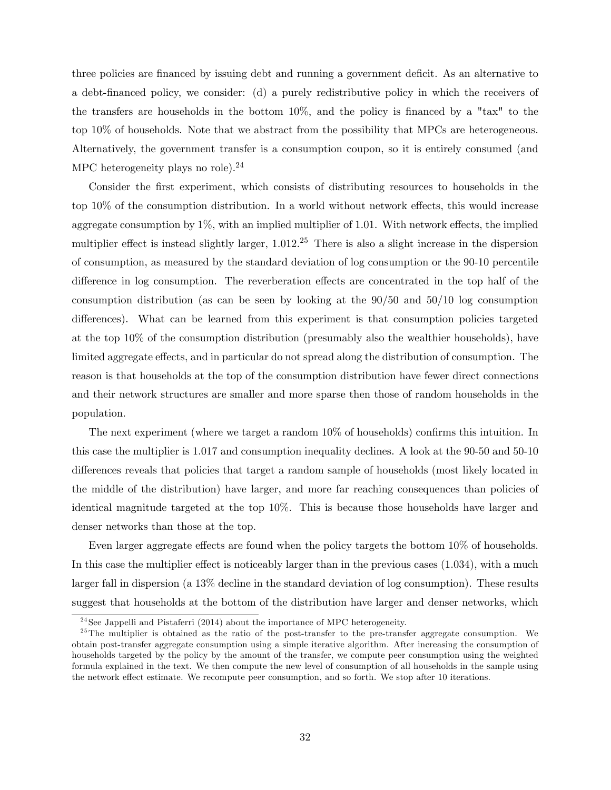three policies are financed by issuing debt and running a government deficit. As an alternative to a debt-Önanced policy, we consider: (d) a purely redistributive policy in which the receivers of the transfers are households in the bottom  $10\%$ , and the policy is financed by a "tax" to the top 10% of households. Note that we abstract from the possibility that MPCs are heterogeneous. Alternatively, the government transfer is a consumption coupon, so it is entirely consumed (and MPC heterogeneity plays no role).<sup>24</sup>

Consider the first experiment, which consists of distributing resources to households in the top  $10\%$  of the consumption distribution. In a world without network effects, this would increase aggregate consumption by  $1\%$ , with an implied multiplier of 1.01. With network effects, the implied multiplier effect is instead slightly larger,  $1.012<sup>25</sup>$  There is also a slight increase in the dispersion of consumption, as measured by the standard deviation of log consumption or the 90-10 percentile difference in log consumption. The reverberation effects are concentrated in the top half of the consumption distribution (as can be seen by looking at the 90/50 and 50/10 log consumption differences). What can be learned from this experiment is that consumption policies targeted at the top 10% of the consumption distribution (presumably also the wealthier households), have limited aggregate effects, and in particular do not spread along the distribution of consumption. The reason is that households at the top of the consumption distribution have fewer direct connections and their network structures are smaller and more sparse then those of random households in the population.

The next experiment (where we target a random  $10\%$  of households) confirms this intuition. In this case the multiplier is 1.017 and consumption inequality declines. A look at the 90-50 and 50-10 differences reveals that policies that target a random sample of households (most likely located in the middle of the distribution) have larger, and more far reaching consequences than policies of identical magnitude targeted at the top 10%. This is because those households have larger and denser networks than those at the top.

Even larger aggregate effects are found when the policy targets the bottom 10% of households. In this case the multiplier effect is noticeably larger than in the previous cases  $(1.034)$ , with a much larger fall in dispersion (a 13% decline in the standard deviation of log consumption). These results suggest that households at the bottom of the distribution have larger and denser networks, which

<sup>&</sup>lt;sup>24</sup>See Jappelli and Pistaferri (2014) about the importance of MPC heterogeneity.

<sup>&</sup>lt;sup>25</sup>The multiplier is obtained as the ratio of the post-transfer to the pre-transfer aggregate consumption. We obtain post-transfer aggregate consumption using a simple iterative algorithm. After increasing the consumption of households targeted by the policy by the amount of the transfer, we compute peer consumption using the weighted formula explained in the text. We then compute the new level of consumption of all households in the sample using the network effect estimate. We recompute peer consumption, and so forth. We stop after 10 iterations.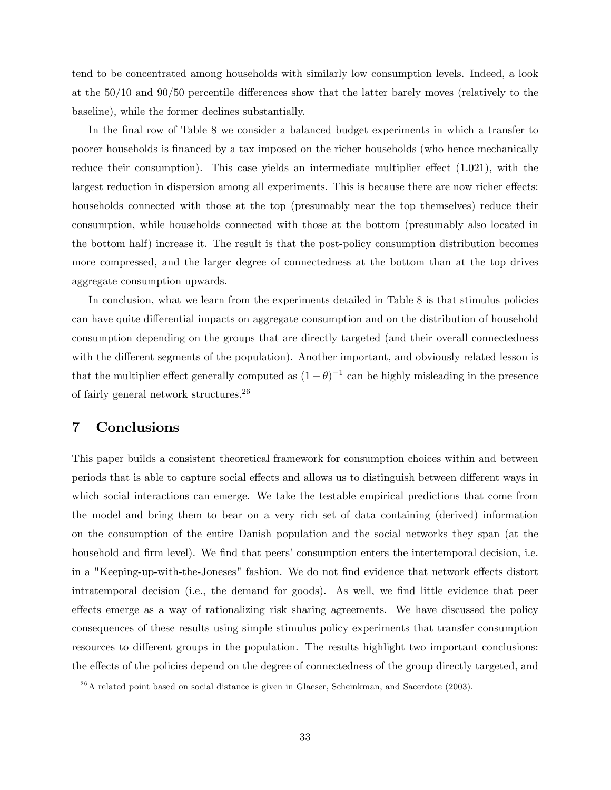tend to be concentrated among households with similarly low consumption levels. Indeed, a look at the  $50/10$  and  $90/50$  percentile differences show that the latter barely moves (relatively to the baseline), while the former declines substantially.

In the final row of Table 8 we consider a balanced budget experiments in which a transfer to poorer households is Önanced by a tax imposed on the richer households (who hence mechanically reduce their consumption). This case yields an intermediate multiplier effect  $(1.021)$ , with the largest reduction in dispersion among all experiments. This is because there are now richer effects: households connected with those at the top (presumably near the top themselves) reduce their consumption, while households connected with those at the bottom (presumably also located in the bottom half) increase it. The result is that the post-policy consumption distribution becomes more compressed, and the larger degree of connectedness at the bottom than at the top drives aggregate consumption upwards.

In conclusion, what we learn from the experiments detailed in Table 8 is that stimulus policies can have quite differential impacts on aggregate consumption and on the distribution of household consumption depending on the groups that are directly targeted (and their overall connectedness with the different segments of the population). Another important, and obviously related lesson is that the multiplier effect generally computed as  $(1 - \theta)^{-1}$  can be highly misleading in the presence of fairly general network structures.<sup>26</sup>

### 7 Conclusions

This paper builds a consistent theoretical framework for consumption choices within and between periods that is able to capture social effects and allows us to distinguish between different ways in which social interactions can emerge. We take the testable empirical predictions that come from the model and bring them to bear on a very rich set of data containing (derived) information on the consumption of the entire Danish population and the social networks they span (at the household and firm level). We find that peers' consumption enters the intertemporal decision, i.e. in a "Keeping-up-with-the-Joneses" fashion. We do not find evidence that network effects distort intratemporal decision (i.e., the demand for goods). As well, we find little evidence that peer effects emerge as a way of rationalizing risk sharing agreements. We have discussed the policy consequences of these results using simple stimulus policy experiments that transfer consumption resources to different groups in the population. The results highlight two important conclusions: the effects of the policies depend on the degree of connectedness of the group directly targeted, and

 $2<sup>6</sup>A$  related point based on social distance is given in Glaeser, Scheinkman, and Sacerdote (2003).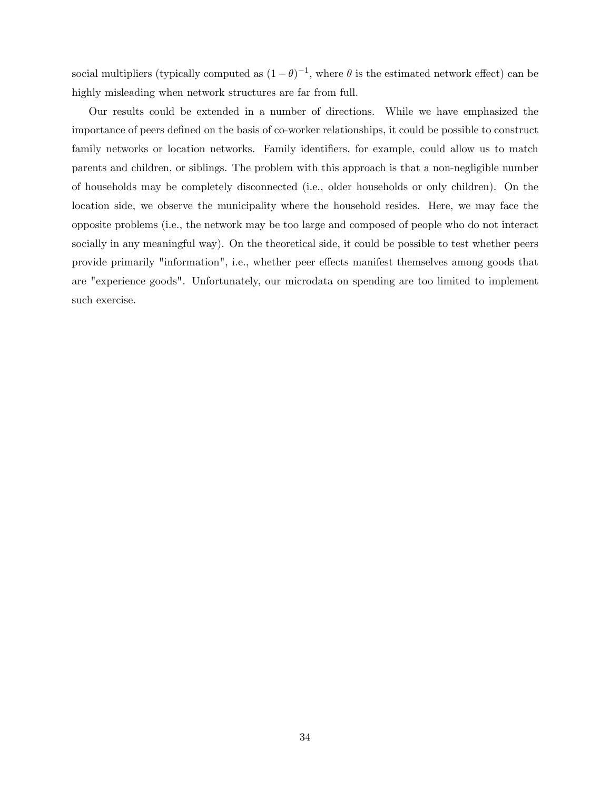social multipliers (typically computed as  $(1 - \theta)^{-1}$ , where  $\theta$  is the estimated network effect) can be highly misleading when network structures are far from full.

Our results could be extended in a number of directions. While we have emphasized the importance of peers defined on the basis of co-worker relationships, it could be possible to construct family networks or location networks. Family identifiers, for example, could allow us to match parents and children, or siblings. The problem with this approach is that a non-negligible number of households may be completely disconnected (i.e., older households or only children). On the location side, we observe the municipality where the household resides. Here, we may face the opposite problems (i.e., the network may be too large and composed of people who do not interact socially in any meaningful way). On the theoretical side, it could be possible to test whether peers provide primarily "information", i.e., whether peer effects manifest themselves among goods that are "experience goods". Unfortunately, our microdata on spending are too limited to implement such exercise.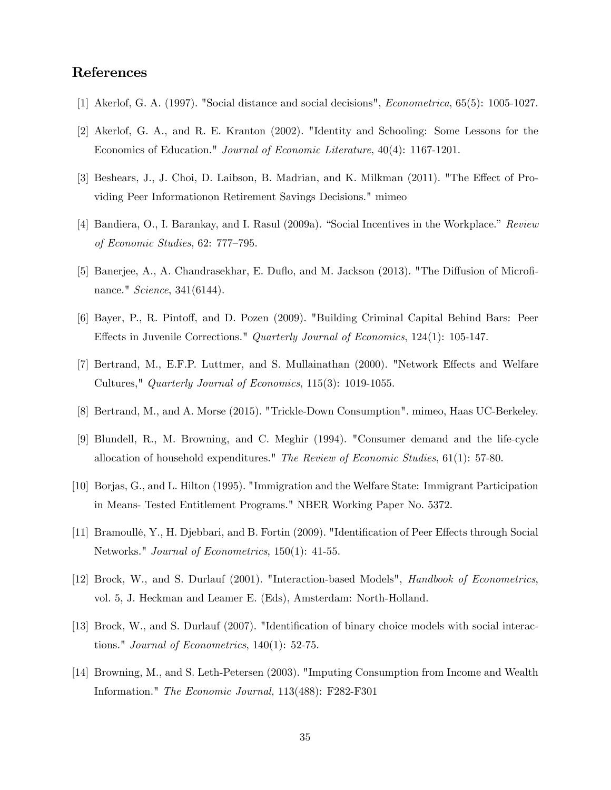### References

- [1] Akerlof, G. A. (1997). "Social distance and social decisions", Econometrica, 65(5): 1005-1027.
- [2] Akerlof, G. A., and R. E. Kranton (2002). "Identity and Schooling: Some Lessons for the Economics of Education." Journal of Economic Literature, 40(4): 1167-1201.
- [3] Beshears, J., J. Choi, D. Laibson, B. Madrian, and K. Milkman (2011). "The Effect of Providing Peer Informationon Retirement Savings Decisions." mimeo
- [4] Bandiera, O., I. Barankay, and I. Rasul (2009a). "Social Incentives in the Workplace." Review of Economic Studies,  $62: 777-795$ .
- [5] Banerjee, A., A. Chandrasekhar, E. Duflo, and M. Jackson (2013). "The Diffusion of Microfinance." Science, 341(6144).
- [6] Bayer, P., R. Pintoff, and D. Pozen (2009). "Building Criminal Capital Behind Bars: Peer Effects in Juvenile Corrections." Quarterly Journal of Economics, 124(1): 105-147.
- [7] Bertrand, M., E.F.P. Luttmer, and S. Mullainathan (2000). "Network Effects and Welfare Cultures," Quarterly Journal of Economics, 115(3): 1019-1055.
- [8] Bertrand, M., and A. Morse (2015). "Trickle-Down Consumption". mimeo, Haas UC-Berkeley.
- [9] Blundell, R., M. Browning, and C. Meghir (1994). "Consumer demand and the life-cycle allocation of household expenditures." The Review of Economic Studies, 61(1): 57-80.
- [10] Borjas, G., and L. Hilton (1995). "Immigration and the Welfare State: Immigrant Participation in Means- Tested Entitlement Programs." NBER Working Paper No. 5372.
- [11] Bramoullé, Y., H. Djebbari, and B. Fortin (2009). "Identification of Peer Effects through Social Networks." Journal of Econometrics, 150(1): 41-55.
- [12] Brock, W., and S. Durlauf (2001). "Interaction-based Models", Handbook of Econometrics, vol. 5, J. Heckman and Leamer E. (Eds), Amsterdam: North-Holland.
- [13] Brock, W., and S. Durlauf (2007). "Identification of binary choice models with social interactions." Journal of Econometrics, 140(1): 52-75.
- [14] Browning, M., and S. Leth-Petersen (2003). "Imputing Consumption from Income and Wealth Information." The Economic Journal, 113(488): F282-F301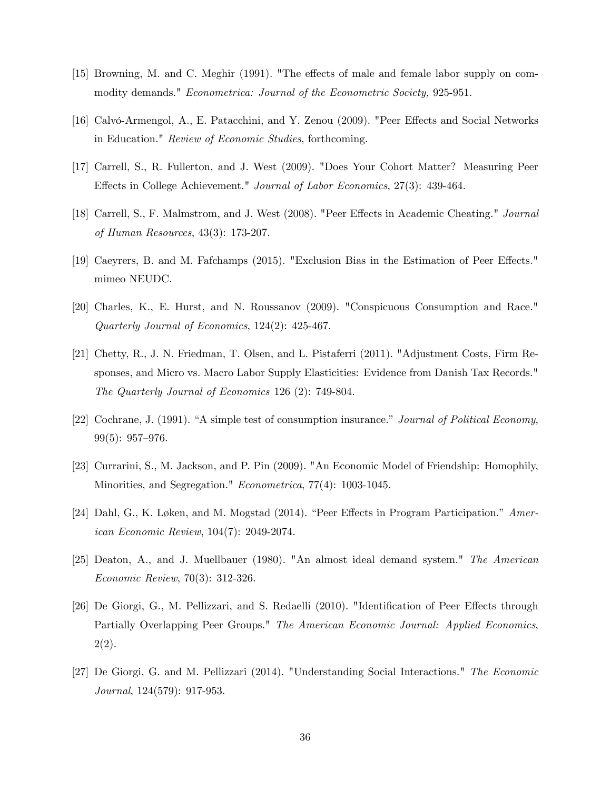- [15] Browning, M. and C. Meghir (1991). "The effects of male and female labor supply on commodity demands." Econometrica: Journal of the Econometric Society, 925-951.
- [16] Calvó-Armengol, A., E. Patacchini, and Y. Zenou (2009). "Peer Effects and Social Networks in Education." Review of Economic Studies, forthcoming.
- [17] Carrell, S., R. Fullerton, and J. West (2009). "Does Your Cohort Matter? Measuring Peer Effects in College Achievement." Journal of Labor Economics, 27(3): 439-464.
- [18] Carrell, S., F. Malmstrom, and J. West (2008). "Peer Effects in Academic Cheating." Journal of Human Resources, 43(3): 173-207.
- [19] Caeyrers, B. and M. Fafchamps (2015). "Exclusion Bias in the Estimation of Peer Effects." mimeo NEUDC.
- [20] Charles, K., E. Hurst, and N. Roussanov (2009). "Conspicuous Consumption and Race." Quarterly Journal of Economics, 124(2): 425-467.
- [21] Chetty, R., J. N. Friedman, T. Olsen, and L. Pistaferri (2011). "Adjustment Costs, Firm Responses, and Micro vs. Macro Labor Supply Elasticities: Evidence from Danish Tax Records." The Quarterly Journal of Economics 126 (2): 749-804.
- [22] Cochrane, J. (1991). "A simple test of consumption insurance." Journal of Political Economy,  $99(5): 957-976.$
- [23] Currarini, S., M. Jackson, and P. Pin (2009). "An Economic Model of Friendship: Homophily, Minorities, and Segregation." Econometrica, 77(4): 1003-1045.
- [24] Dahl, G., K. Løken, and M. Mogstad (2014). "Peer Effects in Program Participation."  $Amer$ ican Economic Review, 104(7): 2049-2074.
- [25] Deaton, A., and J. Muellbauer (1980). "An almost ideal demand system." The American Economic Review, 70(3): 312-326.
- [26] De Giorgi, G., M. Pellizzari, and S. Redaelli (2010). "Identification of Peer Effects through Partially Overlapping Peer Groups." The American Economic Journal: Applied Economics, 2(2).
- [27] De Giorgi, G. and M. Pellizzari (2014). "Understanding Social Interactions." The Economic Journal, 124(579): 917-953.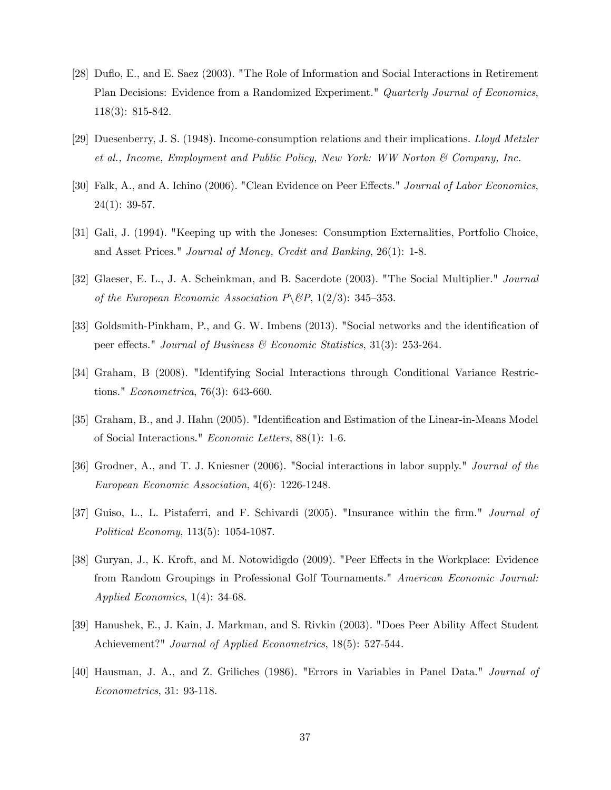- [28] Duáo, E., and E. Saez (2003). "The Role of Information and Social Interactions in Retirement Plan Decisions: Evidence from a Randomized Experiment." Quarterly Journal of Economics, 118(3): 815-842.
- [29] Duesenberry, J. S. (1948). Income-consumption relations and their implications. Lloyd Metzler et al., Income, Employment and Public Policy, New York: WW Norton & Company, Inc.
- [30] Falk, A., and A. Ichino (2006). "Clean Evidence on Peer Effects." Journal of Labor Economics,  $24(1): 39-57.$
- [31] Gali, J. (1994). "Keeping up with the Joneses: Consumption Externalities, Portfolio Choice, and Asset Prices." Journal of Money, Credit and Banking, 26(1): 1-8.
- [32] Glaeser, E. L., J. A. Scheinkman, and B. Sacerdote (2003). "The Social Multiplier." Journal of the European Economic Association  $P \setminus \mathcal{B}P$ , 1(2/3): 345–353.
- [33] Goldsmith-Pinkham, P., and G. W. Imbens (2013). "Social networks and the identification of peer effects." Journal of Business & Economic Statistics, 31(3): 253-264.
- [34] Graham, B (2008). "Identifying Social Interactions through Conditional Variance Restrictions." Econometrica, 76(3): 643-660.
- [35] Graham, B., and J. Hahn (2005). "Identification and Estimation of the Linear-in-Means Model of Social Interactions." Economic Letters, 88(1): 1-6.
- [36] Grodner, A., and T. J. Kniesner (2006). "Social interactions in labor supply." Journal of the European Economic Association, 4(6): 1226-1248.
- [37] Guiso, L., L. Pistaferri, and F. Schivardi (2005). "Insurance within the firm." Journal of Political Economy, 113(5): 1054-1087.
- [38] Guryan, J., K. Kroft, and M. Notowidigdo (2009). "Peer Effects in the Workplace: Evidence from Random Groupings in Professional Golf Tournaments." American Economic Journal: Applied Economics, 1(4): 34-68.
- [39] Hanushek, E., J. Kain, J. Markman, and S. Rivkin (2003). "Does Peer Ability Affect Student Achievement?" *Journal of Applied Econometrics*, 18(5): 527-544.
- [40] Hausman, J. A., and Z. Griliches (1986). "Errors in Variables in Panel Data." Journal of Econometrics, 31: 93-118.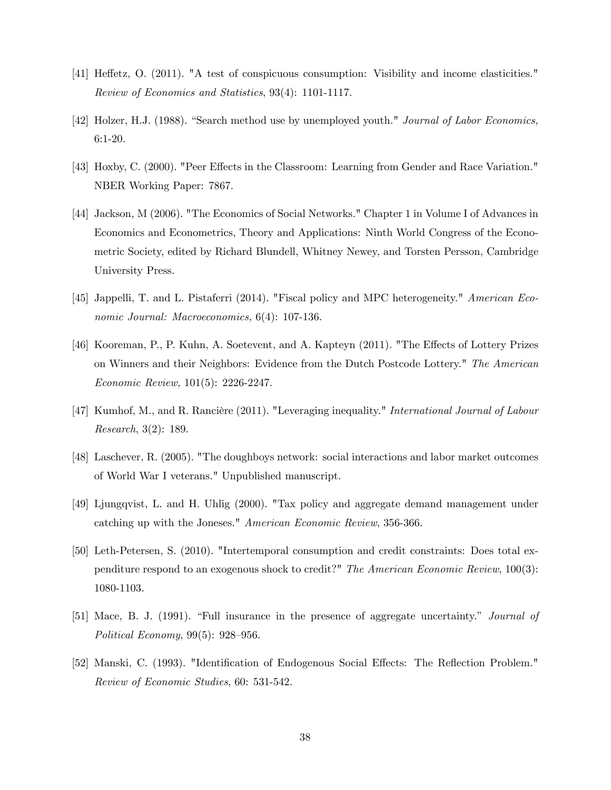- [41] Heffetz, O. (2011). "A test of conspicuous consumption: Visibility and income elasticities." Review of Economics and Statistics, 93(4): 1101-1117.
- [42] Holzer, H.J. (1988). "Search method use by unemployed youth." Journal of Labor Economics, 6:1-20.
- [43] Hoxby, C. (2000). "Peer Effects in the Classroom: Learning from Gender and Race Variation." NBER Working Paper: 7867.
- [44] Jackson, M (2006). "The Economics of Social Networks." Chapter 1 in Volume I of Advances in Economics and Econometrics, Theory and Applications: Ninth World Congress of the Econometric Society, edited by Richard Blundell, Whitney Newey, and Torsten Persson, Cambridge University Press.
- [45] Jappelli, T. and L. Pistaferri (2014). "Fiscal policy and MPC heterogeneity." American Economic Journal: Macroeconomics, 6(4): 107-136.
- [46] Kooreman, P., P. Kuhn, A. Soetevent, and A. Kapteyn (2011). "The Effects of Lottery Prizes on Winners and their Neighbors: Evidence from the Dutch Postcode Lottery." The American Economic Review, 101(5): 2226-2247.
- [47] Kumhof, M., and R. Rancière (2011). "Leveraging inequality." International Journal of Labour Research, 3(2): 189.
- [48] Laschever, R. (2005). "The doughboys network: social interactions and labor market outcomes of World War I veterans." Unpublished manuscript.
- [49] Ljungqvist, L. and H. Uhlig (2000). "Tax policy and aggregate demand management under catching up with the Joneses." American Economic Review, 356-366.
- [50] Leth-Petersen, S. (2010). "Intertemporal consumption and credit constraints: Does total expenditure respond to an exogenous shock to credit?" The American Economic Review, 100(3): 1080-1103.
- [51] Mace, B. J. (1991). "Full insurance in the presence of aggregate uncertainty." *Journal of* Political Economy,  $99(5)$ :  $928-956$ .
- [52] Manski, C. (1993). "Identification of Endogenous Social Effects: The Reflection Problem." Review of Economic Studies, 60: 531-542.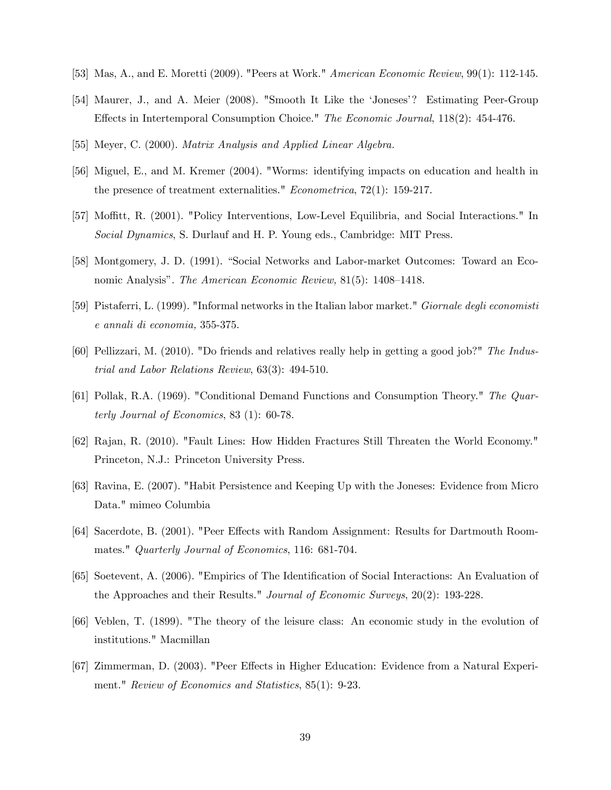- [53] Mas, A., and E. Moretti (2009). "Peers at Work." *American Economic Review*, 99(1): 112-145.
- [54] Maurer, J., and A. Meier (2008). "Smooth It Like the 'Joneses'? Estimating Peer-Group Effects in Intertemporal Consumption Choice." The Economic Journal,  $118(2)$ : 454-476.
- [55] Meyer, C. (2000). Matrix Analysis and Applied Linear Algebra.
- [56] Miguel, E., and M. Kremer (2004). "Worms: identifying impacts on education and health in the presence of treatment externalities." Econometrica, 72(1): 159-217.
- [57] Moffitt, R. (2001). "Policy Interventions, Low-Level Equilibria, and Social Interactions." In Social Dynamics, S. Durlauf and H. P. Young eds., Cambridge: MIT Press.
- [58] Montgomery, J. D. (1991). "Social Networks and Labor-market Outcomes: Toward an Economic Analysis". The American Economic Review,  $81(5)$ : 1408–1418.
- [59] Pistaferri, L. (1999). "Informal networks in the Italian labor market." Giornale degli economisti e annali di economia, 355-375.
- [60] Pellizzari, M. (2010). "Do friends and relatives really help in getting a good job?" The Industrial and Labor Relations Review, 63(3): 494-510.
- [61] Pollak, R.A. (1969). "Conditional Demand Functions and Consumption Theory." The Quarterly Journal of Economics, 83 (1): 60-78.
- [62] Rajan, R. (2010). "Fault Lines: How Hidden Fractures Still Threaten the World Economy." Princeton, N.J.: Princeton University Press.
- [63] Ravina, E. (2007). "Habit Persistence and Keeping Up with the Joneses: Evidence from Micro Data." mimeo Columbia
- [64] Sacerdote, B. (2001). "Peer Effects with Random Assignment: Results for Dartmouth Roommates." Quarterly Journal of Economics, 116: 681-704.
- [65] Soetevent, A. (2006). "Empirics of The Identification of Social Interactions: An Evaluation of the Approaches and their Results." Journal of Economic Surveys, 20(2): 193-228.
- [66] Veblen, T. (1899). "The theory of the leisure class: An economic study in the evolution of institutions." Macmillan
- [67] Zimmerman, D. (2003). "Peer Effects in Higher Education: Evidence from a Natural Experiment." Review of Economics and Statistics, 85(1): 9-23.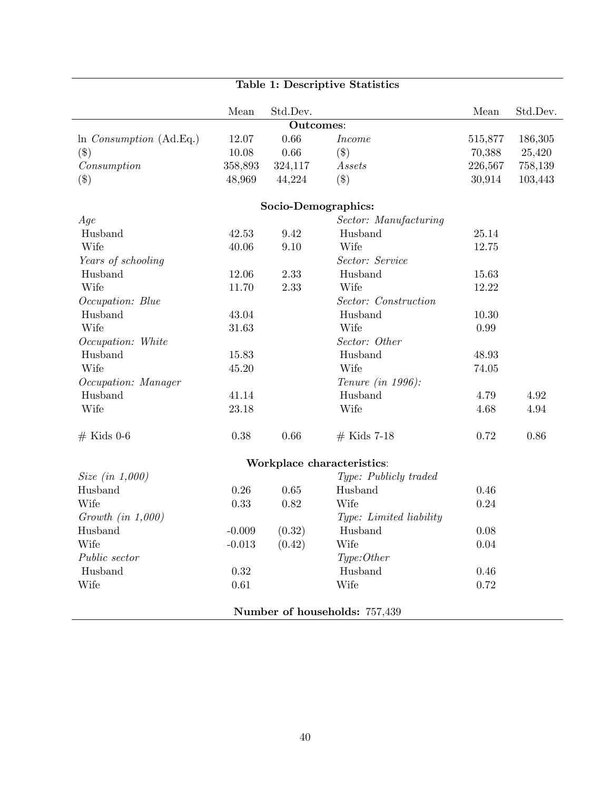| Table 1: Descriptive Statistics   |          |                     |                               |         |          |  |  |  |
|-----------------------------------|----------|---------------------|-------------------------------|---------|----------|--|--|--|
|                                   | Mean     | Std.Dev.            |                               | Mean    | Std.Dev. |  |  |  |
|                                   |          | <b>Outcomes:</b>    |                               |         |          |  |  |  |
| $\ln$ <i>Consumption</i> (Ad.Eq.) | 12.07    | 0.66                | <i>Income</i>                 | 515,877 | 186,305  |  |  |  |
| $(\$\)$                           | 10.08    | 0.66                | $(\$\)$                       | 70,388  | 25,420   |  |  |  |
| Consumption                       | 358,893  | 324,117             | Assets                        | 226,567 | 758,139  |  |  |  |
| $(\$\)$                           | 48,969   | 44,224              | $(\$\)$                       | 30,914  | 103,443  |  |  |  |
|                                   |          | Socio-Demographics: |                               |         |          |  |  |  |
| Age                               |          |                     | Sector: Manufacturing         |         |          |  |  |  |
| Husband                           | 42.53    | 9.42                | Husband                       | 25.14   |          |  |  |  |
| Wife                              | 40.06    | 9.10                | Wife                          | 12.75   |          |  |  |  |
| Years of schooling                |          |                     | Sector: Service               |         |          |  |  |  |
| Husband                           | 12.06    | 2.33                | Husband                       | 15.63   |          |  |  |  |
| Wife                              | 11.70    | 2.33                | Wife                          | 12.22   |          |  |  |  |
| Occupation: Blue                  |          |                     | Sector: Construction          |         |          |  |  |  |
| Husband                           | 43.04    |                     | Husband                       | 10.30   |          |  |  |  |
| Wife                              | 31.63    |                     | Wife                          | 0.99    |          |  |  |  |
| Occupation: White                 |          |                     | Sector: Other                 |         |          |  |  |  |
| Husband                           | 15.83    |                     | Husband                       | 48.93   |          |  |  |  |
| Wife                              | 45.20    |                     | Wife                          | 74.05   |          |  |  |  |
| Occupation: Manager               |          |                     | Tenure (in 1996):             |         |          |  |  |  |
| Husband                           | 41.14    |                     | Husband                       | 4.79    | 4.92     |  |  |  |
| Wife                              | 23.18    |                     | Wife                          | 4.68    | 4.94     |  |  |  |
| $#$ Kids 0-6                      | 0.38     | 0.66                | $#$ Kids 7-18                 | 0.72    | 0.86     |  |  |  |
|                                   |          |                     | Workplace characteristics:    |         |          |  |  |  |
| <i>Size</i> (in $1,000$ )         |          |                     | Type: Publicly traded         |         |          |  |  |  |
| Husband                           | 0.26     | 0.65                | Husband                       | 0.46    |          |  |  |  |
| Wife                              | 0.33     | 0.82                | Wife                          | 0.24    |          |  |  |  |
| Growth $(in 1,000)$               |          |                     | Type: Limited liability       |         |          |  |  |  |
| Husband                           | $-0.009$ | (0.32)              | Husband                       | 0.08    |          |  |  |  |
| Wife                              | $-0.013$ | (0.42)              | Wife                          | 0.04    |          |  |  |  |
| Public sector                     |          |                     | Type: Other                   |         |          |  |  |  |
| Husband                           | $0.32\,$ |                     | Husband                       | 0.46    |          |  |  |  |
| Wife                              | 0.61     |                     | Wife                          | 0.72    |          |  |  |  |
|                                   |          |                     | Number of households: 757,439 |         |          |  |  |  |

### 40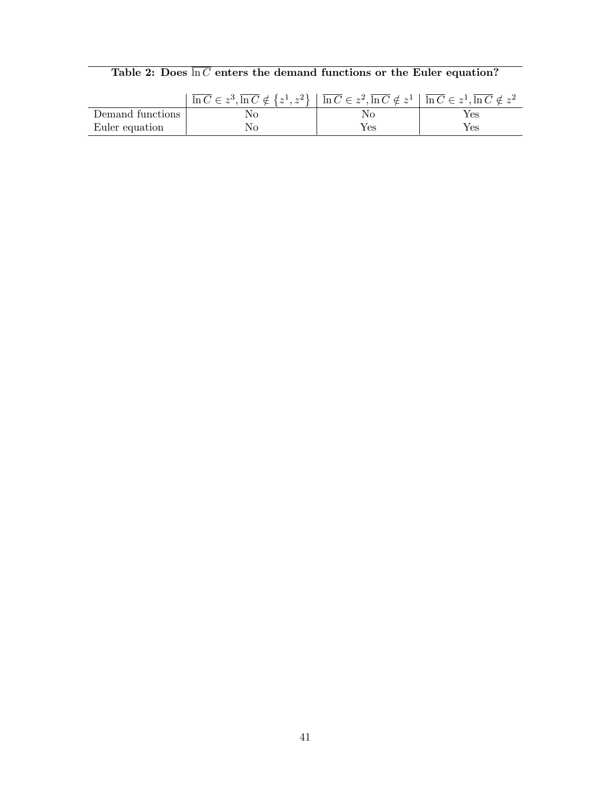|  |  |  |  |  |  | Table 2: Does $\ln C$ enters the demand functions or the Euler equation? |  |  |  |  |  |
|--|--|--|--|--|--|--------------------------------------------------------------------------|--|--|--|--|--|
|--|--|--|--|--|--|--------------------------------------------------------------------------|--|--|--|--|--|

|                  | $\overline{\ln C} \in z^3$ , $\overline{\ln C} \notin \{z^1, z^2\}$ $\overline{\ln C} \in z^2$ , $\overline{\ln C} \notin z^1$ $\overline{\ln C} \in z^1$ , $\overline{\ln C} \notin z^2$ |     |     |
|------------------|-------------------------------------------------------------------------------------------------------------------------------------------------------------------------------------------|-----|-----|
| Demand functions | Nο                                                                                                                                                                                        |     | Yes |
| Euler equation   | Nο                                                                                                                                                                                        | Yes | Yes |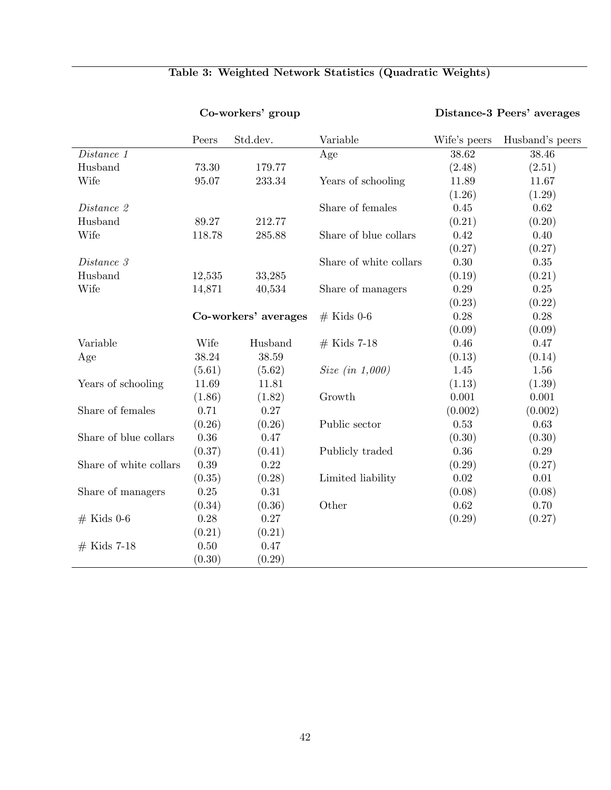|                        |        | Co-workers' group    |                                   |              | Distance-3 Peers' averages |
|------------------------|--------|----------------------|-----------------------------------|--------------|----------------------------|
|                        | Peers  | Std.dev.             | Variable                          | Wife's peers | Husband's peers            |
| Distance 1             |        |                      | Age                               | 38.62        | 38.46                      |
| Husband                | 73.30  | 179.77               |                                   | (2.48)       | (2.51)                     |
| Wife                   | 95.07  | 233.34               | Years of schooling                | 11.89        | 11.67                      |
|                        |        |                      |                                   | (1.26)       | (1.29)                     |
| Distance 2             |        |                      | Share of females                  | 0.45         | 0.62                       |
| Husband                | 89.27  | 212.77               |                                   | (0.21)       | (0.20)                     |
| Wife                   | 118.78 | 285.88               | Share of blue collars             | 0.42         | $0.40\,$                   |
|                        |        |                      |                                   | (0.27)       | (0.27)                     |
| Distance 3             |        |                      | Share of white collars            | 0.30         | 0.35                       |
| Husband                | 12,535 | 33,285               |                                   | (0.19)       | (0.21)                     |
| Wife                   | 14,871 | 40,534               | Share of managers                 | 0.29         | 0.25                       |
|                        |        |                      |                                   | (0.23)       | (0.22)                     |
|                        |        | Co-workers' averages | $#$ Kids 0-6                      | 0.28         | 0.28                       |
|                        |        |                      |                                   | (0.09)       | (0.09)                     |
| Variable               | Wife   | Husband              | $#$ Kids 7-18                     | 0.46         | 0.47                       |
| Age                    | 38.24  | 38.59                |                                   | (0.13)       | (0.14)                     |
|                        | (5.61) | (5.62)               | <i>Size</i> ( <i>in</i> $1,000$ ) | 1.45         | 1.56                       |
| Years of schooling     | 11.69  | 11.81                |                                   | (1.13)       | (1.39)                     |
|                        | (1.86) | (1.82)               | Growth                            | 0.001        | 0.001                      |
| Share of females       | 0.71   | 0.27                 |                                   | (0.002)      | (0.002)                    |
|                        | (0.26) | (0.26)               | Public sector                     | 0.53         | $0.63\,$                   |
| Share of blue collars  | 0.36   | 0.47                 |                                   | (0.30)       | (0.30)                     |
|                        | (0.37) | (0.41)               | Publicly traded                   | $0.36\,$     | $0.29\,$                   |
| Share of white collars | 0.39   | 0.22                 |                                   | (0.29)       | (0.27)                     |
|                        | (0.35) | (0.28)               | Limited liability                 | 0.02         | $0.01\,$                   |
| Share of managers      | 0.25   | $0.31\,$             |                                   | (0.08)       | (0.08)                     |
|                        | (0.34) | (0.36)               | Other                             | 0.62         | 0.70                       |
| $#$ Kids 0-6           | 0.28   | 0.27                 |                                   | (0.29)       | (0.27)                     |
|                        | (0.21) | (0.21)               |                                   |              |                            |
| $#$ Kids 7-18          | 0.50   | 0.47                 |                                   |              |                            |
|                        | (0.30) | (0.29)               |                                   |              |                            |

## Table 3: Weighted Network Statistics (Quadratic Weights)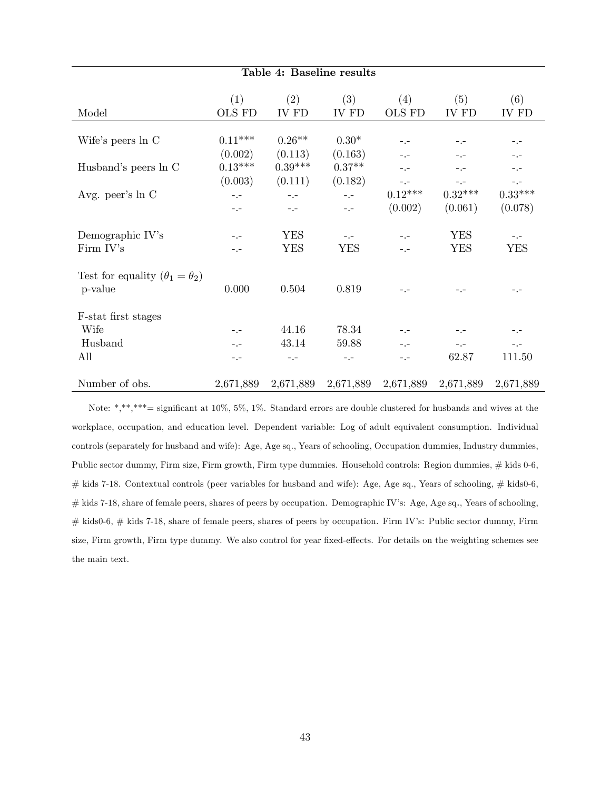| Table 4: Baseline results                 |                                 |                          |                                |                              |                              |                              |  |  |
|-------------------------------------------|---------------------------------|--------------------------|--------------------------------|------------------------------|------------------------------|------------------------------|--|--|
| Model                                     | (1)<br>OLS FD                   | (2)<br>IV FD             | (3)<br>IV FD                   | (4)<br><b>OLS FD</b>         | (5)<br>IV FD                 | (6)<br>IV FD                 |  |  |
| Wife's peers ln C                         | $0.11***$                       | $0.26**$                 | $0.30*$                        | $-1$                         | $-1$                         | $-1 -$                       |  |  |
| Husband's peers ln C                      | (0.002)<br>$0.13***$<br>(0.003) | (0.113)<br>$0.39***$     | (0.163)<br>$0.37**$<br>(0.182) | $-1$<br>$-1$                 | $-1 -$<br>$-1$               | $- -$<br>$-1$                |  |  |
| Avg. peer's ln C                          | $-1$<br>$-1 -$                  | (0.111)<br>$-1$<br>$ -$  | $-1$<br>$-1$                   | $ -$<br>$0.12***$<br>(0.002) | $-1$<br>$0.32***$<br>(0.061) | $-1$<br>$0.33***$<br>(0.078) |  |  |
| Demographic IV's<br>Firm IV's             | $-1$<br>$- -$                   | <b>YES</b><br><b>YES</b> | $-1$<br><b>YES</b>             | $-1$<br>$-1$                 | <b>YES</b><br><b>YES</b>     | $-$ . $-$<br><b>YES</b>      |  |  |
| Test for equality $(\theta_1 = \theta_2)$ |                                 |                          |                                |                              |                              |                              |  |  |
| p-value<br>F-stat first stages            | 0.000                           | 0.504                    | 0.819                          | $- -$                        | $- -$                        | $-1 -$                       |  |  |
| Wife                                      | $ -$                            | 44.16                    | 78.34                          | $-1$                         | $-1 -$                       | $-1 -$                       |  |  |
| Husband                                   | $-1$                            | 43.14                    | 59.88                          | $-1$                         | $ -$                         | $-1$                         |  |  |
| All                                       | $- -$                           | $- - -$                  | $-1$                           | $-1$                         | 62.87                        | 111.50                       |  |  |
| Number of obs.                            | 2,671,889                       | 2,671,889                | 2,671,889                      | 2,671,889                    | 2,671,889                    | 2,671,889                    |  |  |

Note: \*,\*\*,\*\*\*= significant at 10%, 5%, 1%. Standard errors are double clustered for husbands and wives at the workplace, occupation, and education level. Dependent variable: Log of adult equivalent consumption. Individual controls (separately for husband and wife): Age, Age sq., Years of schooling, Occupation dummies, Industry dummies, Public sector dummy, Firm size, Firm growth, Firm type dummies. Household controls: Region dummies, # kids 0-6,  $#$  kids 7-18. Contextual controls (peer variables for husband and wife): Age, Age sq., Years of schooling,  $#$  kids0-6, # kids 7-18, share of female peers, shares of peers by occupation. Demographic IV's: Age, Age sq., Years of schooling, # kids0-6, # kids 7-18, share of female peers, shares of peers by occupation. Firm IV's: Public sector dummy, Firm size, Firm growth, Firm type dummy. We also control for year fixed-effects. For details on the weighting schemes see the main text.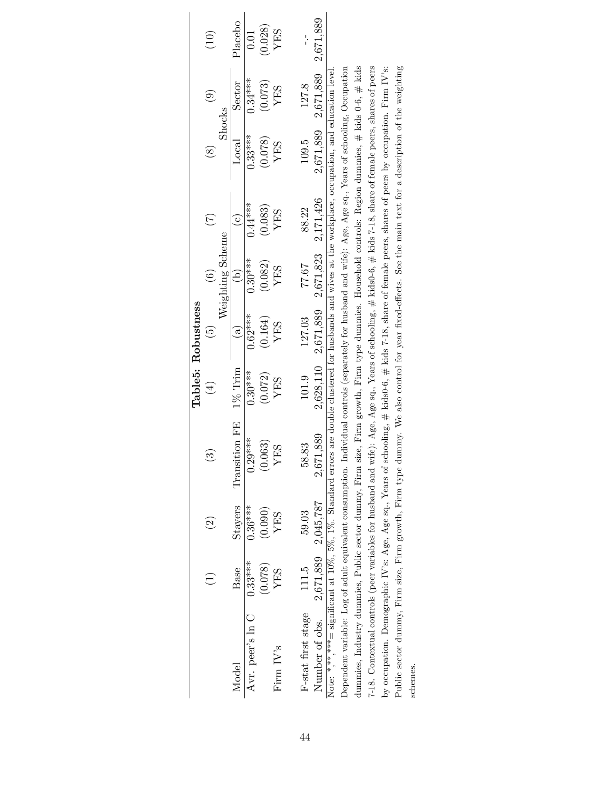|                                                                                                                                                                   |                     |                    |               |                              | Table5: Robustness                      |                              |                  |                     |                                     |         |
|-------------------------------------------------------------------------------------------------------------------------------------------------------------------|---------------------|--------------------|---------------|------------------------------|-----------------------------------------|------------------------------|------------------|---------------------|-------------------------------------|---------|
|                                                                                                                                                                   |                     | $\widehat{\Omega}$ |               | $\left( \frac{1}{2} \right)$ | $\widehat{5}$                           | $\widehat{\mathbf{c}}$       | $(\overline{7})$ | $\widehat{\otimes}$ | $\widehat{e}$                       | (10)    |
|                                                                                                                                                                   |                     |                    |               |                              |                                         | Weighting Scheme             |                  |                     | Shocks                              |         |
| Model                                                                                                                                                             | Base                | <b>Stayers</b>     | Transition FE | $1\%$ Trim                   | $\widehat{a}$                           | $\left( \frac{1}{q} \right)$ | $\odot$          | $_{\rm Local}$      | Sector                              | Placebo |
| Avr. peer's ln C                                                                                                                                                  | $0.33***$           | $0.36***$          | $0.29***$     | $0.30***$                    | $0.62***$                               | $0.30***$                    | $0.44***$        | $0.33***$           | $0.34***$                           | 0.01    |
|                                                                                                                                                                   | (0.078)             | (0.090)            | (0.063)       | (0.072)                      | (0.164)                                 | (0.082)                      | (0.083)          | (0.078)             | (0.073)                             | (0.028) |
| Firm $IV$ <sup>s</sup>                                                                                                                                            | YES                 | YES                | YES           | YES                          | YES                                     | YES                          | YES              | YES                 | YES                                 | YES     |
|                                                                                                                                                                   |                     |                    |               |                              |                                         |                              |                  |                     |                                     |         |
| F-stat first stage                                                                                                                                                | 111.5               | 59.03              | 83<br>58.     | 101.9                        | 127.03                                  | 77.67                        | 88.22            | 109.5               | 127.8                               |         |
| Number of obs.                                                                                                                                                    | 2,671,889 2,045,787 |                    | 2,671,889     |                              | 2,628,110 2,671,889 2,671,823 2,171,426 |                              |                  |                     | $2,671,889$ $2,671,889$ $2,671,889$ |         |
| Note: ******= significant at $10\%, 5\%, 1\%, 5$ standard errors are double clustered for husbands and wives at the workplace, occupation, and education level    |                     |                    |               |                              |                                         |                              |                  |                     |                                     |         |
| Dependent variable: Log of adult equivalent consumption. Individual controls (separately for husband and wife): Age, Age $sq$ , Years of schooling, Occupation    |                     |                    |               |                              |                                         |                              |                  |                     |                                     |         |
| dummies, Industry dummies, Public sector dummy, Firm size, Firm growth, Firm type dummies. Household controls: Region dummies, # kids $0-6$ , # kids              |                     |                    |               |                              |                                         |                              |                  |                     |                                     |         |
| 7-18. Contextual controls (peer variables for husband and wife): Age, Age sq., Years of schooling, # kids0-6, # kids 7-18, share of female peers, shares of peers |                     |                    |               |                              |                                         |                              |                  |                     |                                     |         |
| by occupation. Demographic IV's: Age, Age sq., Years of schooling, $\#$ kids0-6, $\#$ kids 7-18, share of female peers, shares of peers by occupation. Firm IV's: |                     |                    |               |                              |                                         |                              |                  |                     |                                     |         |
| Public sector dummy, Firm size, Firm growth, Firm type dummy. We also control for year fixed-effects. See the main text for a description of the weighting        |                     |                    |               |                              |                                         |                              |                  |                     |                                     |         |
| schemes.                                                                                                                                                          |                     |                    |               |                              |                                         |                              |                  |                     |                                     |         |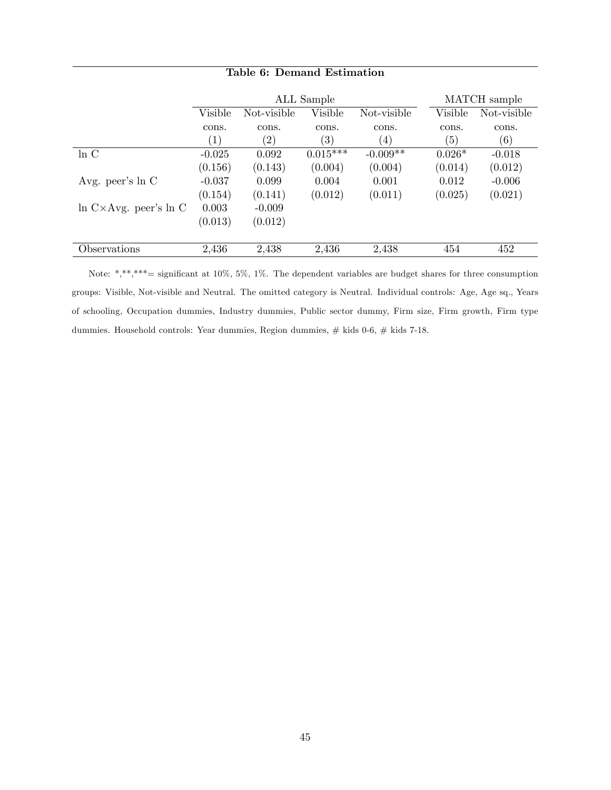|                                    |                   |                   | ALL Sample        |             |          | MATCH sample |
|------------------------------------|-------------------|-------------------|-------------------|-------------|----------|--------------|
|                                    | Visible           | Not-visible       | Visible           | Not-visible | Visible  | Not-visible  |
|                                    | cons.             | cons.             | cons.             | cons.       | cons.    | cons.        |
|                                    | $\left( 1\right)$ | $\left( 2\right)$ | $\left( 3\right)$ | (4)         | (5)      | (6)          |
| $\ln C$                            | $-0.025$          | 0.092             | $0.015***$        | $-0.009**$  | $0.026*$ | $-0.018$     |
|                                    | (0.156)           | (0.143)           | (0.004)           | (0.004)     | (0.014)  | (0.012)      |
| Avg. peer's $ln C$                 | $-0.037$          | 0.099             | 0.004             | 0.001       | 0.012    | $-0.006$     |
|                                    | (0.154)           | (0.141)           | (0.012)           | (0.011)     | (0.025)  | (0.021)      |
| $\ln C \times Avg.$ peer's $\ln C$ | 0.003             | $-0.009$          |                   |             |          |              |
|                                    | (0.013)           | (0.012)           |                   |             |          |              |
|                                    |                   |                   |                   |             |          |              |
| Observations                       | 2,436             | 2,438             | 2,436             | 2,438       | 454      | 452          |

### Table 6: Demand Estimation

Note: \*,\*\*,\*\*\*= significant at 10%, 5%, 1%. The dependent variables are budget shares for three consumption groups: Visible, Not-visible and Neutral. The omitted category is Neutral. Individual controls: Age, Age sq., Years of schooling, Occupation dummies, Industry dummies, Public sector dummy, Firm size, Firm growth, Firm type dummies. Household controls: Year dummies, Region dummies, # kids 0-6, # kids 7-18.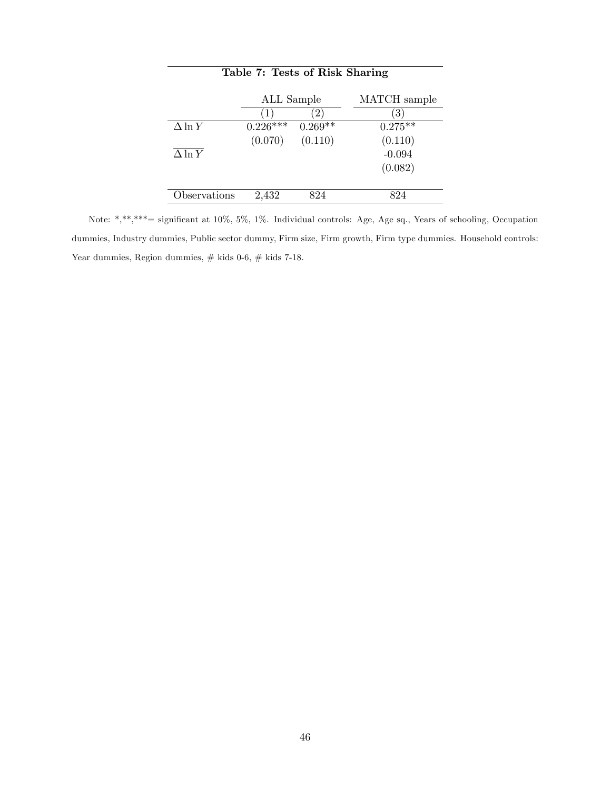|                | ALL Sample |             | MATCH sample |
|----------------|------------|-------------|--------------|
|                | 1          | $2^{\circ}$ | $3^{\circ}$  |
| $\Delta \ln Y$ | $0.226***$ | $0.269**$   | $0.275***$   |
|                | (0.070)    | (0.110)     | (0.110)      |
| $\Delta \ln Y$ |            |             | $-0.094$     |
|                |            |             | (0.082)      |
|                |            |             |              |
| Observations   | 2,432      | $\circ$ 24  |              |

Table 7: Tests of Risk Sharing

Note: \*,\*\*,\*\*\*= signiÖcant at 10%, 5%, 1%. Individual controls: Age, Age sq., Years of schooling, Occupation dummies, Industry dummies, Public sector dummy, Firm size, Firm growth, Firm type dummies. Household controls: Year dummies, Region dummies,  $\#$  kids 0-6,  $\#$  kids 7-18.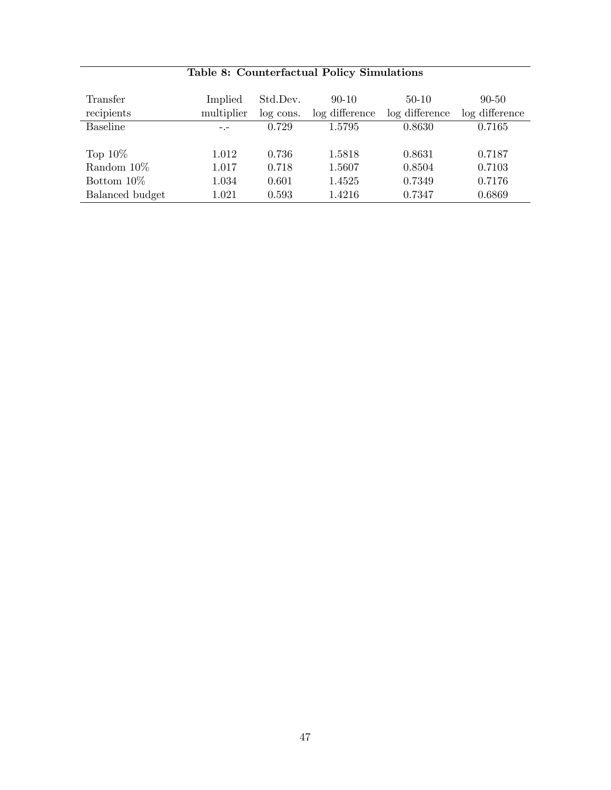| Transfer<br>recipients | Implied<br>multiplier | Std.Dev.<br>log cons. | $90 - 10$<br>log difference | $50-10$<br>log difference | $90 - 50$<br>log difference |
|------------------------|-----------------------|-----------------------|-----------------------------|---------------------------|-----------------------------|
| <b>Baseline</b>        |                       | 0.729                 | 1.5795                      | 0.8630                    | 0.7165                      |
| Top $10\%$             | 1.012                 | 0.736                 | 1.5818                      | 0.8631                    | 0.7187                      |
| Random $10\%$          | 1.017                 | 0.718                 | 1.5607                      | 0.8504                    | 0.7103                      |
| Bottom $10\%$          | 1.034                 | 0.601                 | 1.4525                      | 0.7349                    | 0.7176                      |
| Balanced budget        | $1.021\,$             | 0.593                 | 1.4216                      | 0.7347                    | 0.6869                      |

## Table 8: Counterfactual Policy Simulations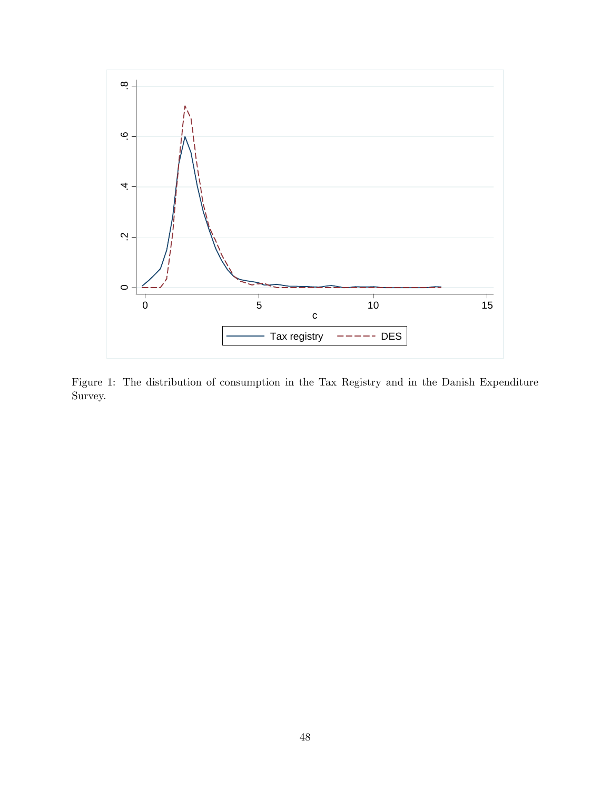

Figure 1: The distribution of consumption in the Tax Registry and in the Danish Expenditure Survey.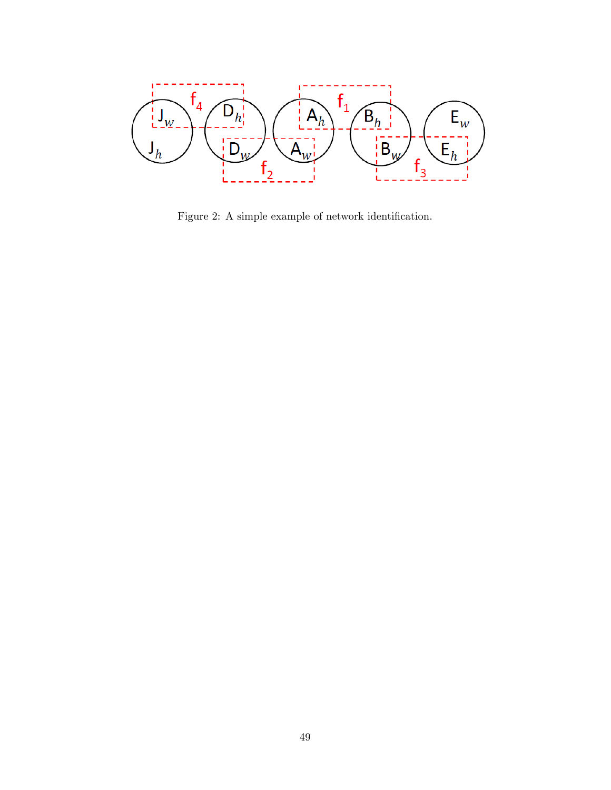

Figure 2: A simple example of network identification.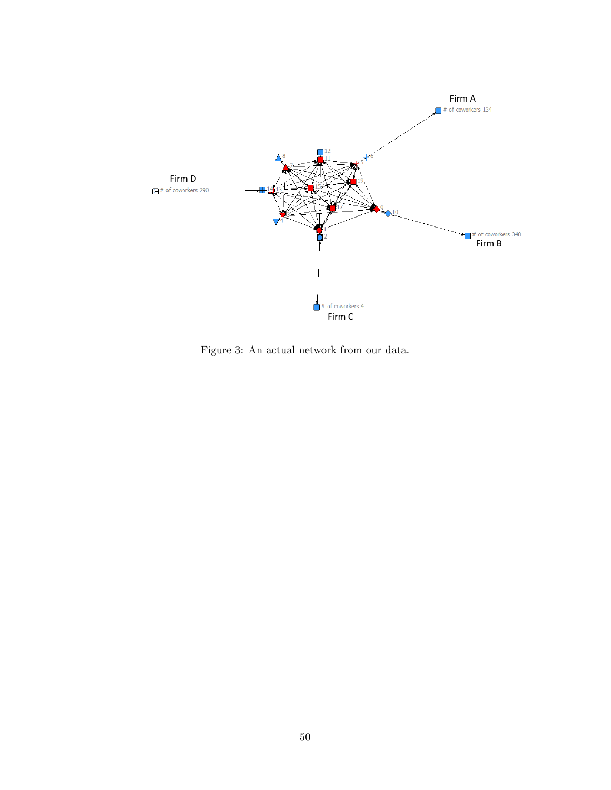

Figure 3: An actual network from our data.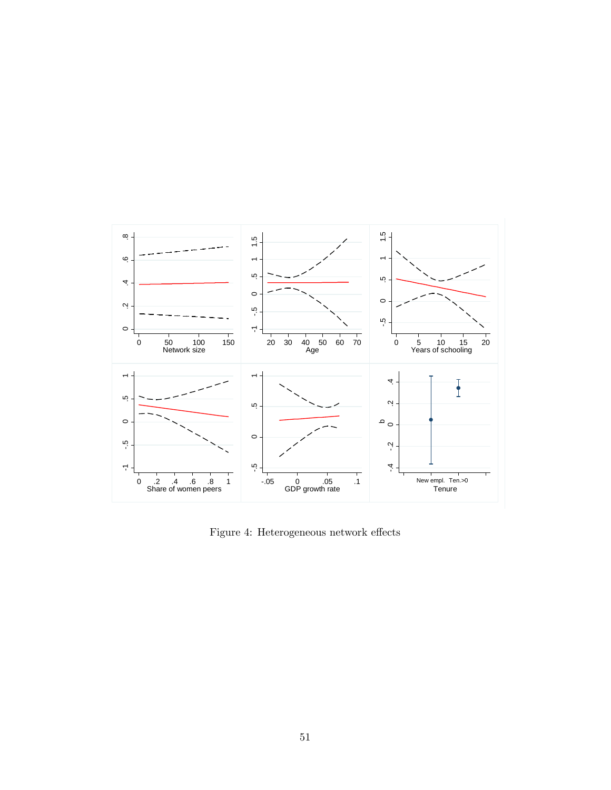

Figure 4: Heterogeneous network effects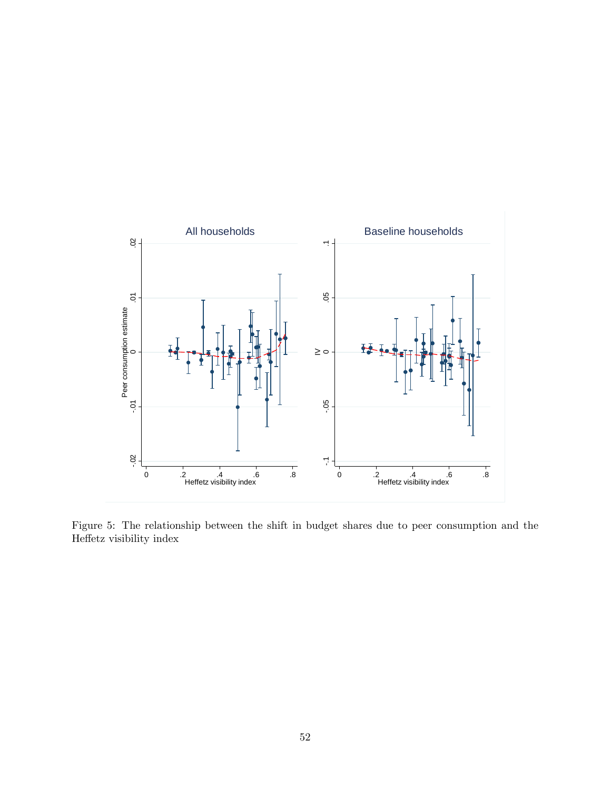

Figure 5: The relationship between the shift in budget shares due to peer consumption and the Heffetz visibility index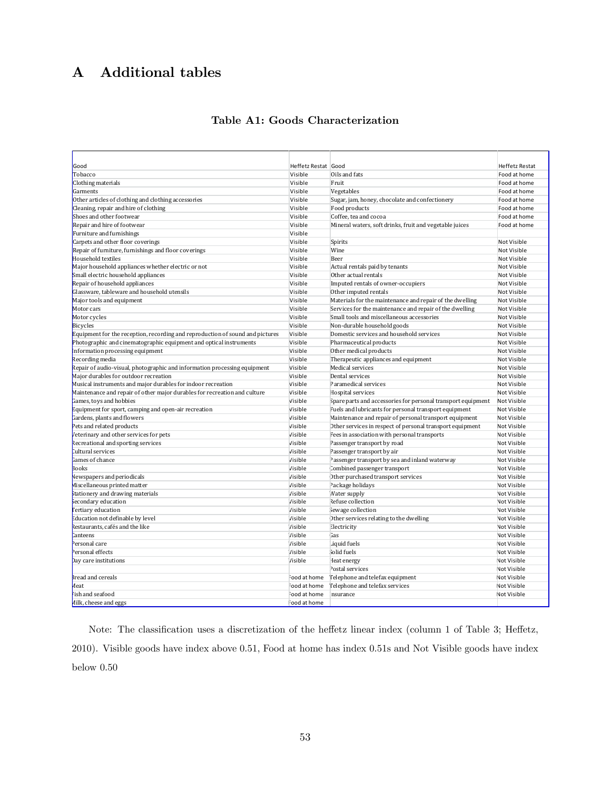## A Additional tables

### Table A1: Goods Characterization

| Heffetz Restat Good<br>Good<br><b>Heffetz Restat</b><br>Visible<br>Oils and fats<br>Tobacco<br>Food at home<br>Clothing materials<br>Fruit<br>Visible<br>Food at home<br>Garments<br>Visible<br>Vegetables<br>Food at home<br>Other articles of clothing and clothing accessories<br>Visible<br>Sugar, jam, honey, chocolate and confectionery<br>Food at home<br>Cleaning, repair and hire of clothing<br>Visible<br>Food products<br>Food at home<br>Shoes and other footwear<br>Coffee, tea and cocoa<br>Visible<br>Food at home<br>Repair and hire of footwear<br>Mineral waters, soft drinks, fruit and vegetable juices<br>Visible<br>Food at home<br>Furniture and furnishings<br>Visible<br>Carpets and other floor coverings<br>Visible<br>Spirits<br><b>Not Visible</b><br>Repair of furniture, furnishings and floor coverings<br>Wine<br>Visible<br>Not Visible<br>Household textiles<br>Beer<br>Visible<br>Not Visible<br>Major household appliances whether electric or not<br>Visible<br>Actual rentals paid by tenants<br>Not Visible<br>Small electric household appliances<br>Other actual rentals<br>Visible<br>Not Visible<br>Repair of household appliances<br>Visible<br>Imputed rentals of owner-occupiers<br>Not Visible<br>Glassware, tableware and household utensils<br>Visible<br>Other imputed rentals<br>Not Visible<br>Major tools and equipment<br>Visible<br>Materials for the maintenance and repair of the dwelling<br>Not Visible<br>Motor cars<br>Services for the maintenance and repair of the dwelling<br>Visible<br>Not Visible<br>Motor cycles<br>Visible<br>Small tools and miscellaneous accessories<br><b>Not Visible</b><br>Bicycles<br>Visible<br>Non-durable household goods<br>Not Visible<br>Equipment for the reception, recording and reproduction of sound and pictures<br>Visible<br>Domestic services and household services<br>Not Visible<br>Photographic and cinematographic equipment and optical instruments<br>Visible<br>Pharmaceutical products<br>Not Visible<br>Information processing equipment<br>Visible<br>Other medical products<br>Not Visible<br>Recording media<br>Visible<br>Therapeutic appliances and equipment<br>Not Visible<br>Repair of audio-visual, photographic and information processing equipment<br>Visible<br>Medical services<br>Not Visible<br>Dental services<br>Major durables for outdoor recreation<br>Visible<br><b>Not Visible</b><br>Musical instruments and major durables for indoor recreation<br>Visible<br>Paramedical services<br>Not Visible |
|------------------------------------------------------------------------------------------------------------------------------------------------------------------------------------------------------------------------------------------------------------------------------------------------------------------------------------------------------------------------------------------------------------------------------------------------------------------------------------------------------------------------------------------------------------------------------------------------------------------------------------------------------------------------------------------------------------------------------------------------------------------------------------------------------------------------------------------------------------------------------------------------------------------------------------------------------------------------------------------------------------------------------------------------------------------------------------------------------------------------------------------------------------------------------------------------------------------------------------------------------------------------------------------------------------------------------------------------------------------------------------------------------------------------------------------------------------------------------------------------------------------------------------------------------------------------------------------------------------------------------------------------------------------------------------------------------------------------------------------------------------------------------------------------------------------------------------------------------------------------------------------------------------------------------------------------------------------------------------------------------------------------------------------------------------------------------------------------------------------------------------------------------------------------------------------------------------------------------------------------------------------------------------------------------------------------------------------------------------------------------------------------------------------------------------------------------------------------------------------------------------------------------------------------------|
|                                                                                                                                                                                                                                                                                                                                                                                                                                                                                                                                                                                                                                                                                                                                                                                                                                                                                                                                                                                                                                                                                                                                                                                                                                                                                                                                                                                                                                                                                                                                                                                                                                                                                                                                                                                                                                                                                                                                                                                                                                                                                                                                                                                                                                                                                                                                                                                                                                                                                                                                                      |
|                                                                                                                                                                                                                                                                                                                                                                                                                                                                                                                                                                                                                                                                                                                                                                                                                                                                                                                                                                                                                                                                                                                                                                                                                                                                                                                                                                                                                                                                                                                                                                                                                                                                                                                                                                                                                                                                                                                                                                                                                                                                                                                                                                                                                                                                                                                                                                                                                                                                                                                                                      |
|                                                                                                                                                                                                                                                                                                                                                                                                                                                                                                                                                                                                                                                                                                                                                                                                                                                                                                                                                                                                                                                                                                                                                                                                                                                                                                                                                                                                                                                                                                                                                                                                                                                                                                                                                                                                                                                                                                                                                                                                                                                                                                                                                                                                                                                                                                                                                                                                                                                                                                                                                      |
|                                                                                                                                                                                                                                                                                                                                                                                                                                                                                                                                                                                                                                                                                                                                                                                                                                                                                                                                                                                                                                                                                                                                                                                                                                                                                                                                                                                                                                                                                                                                                                                                                                                                                                                                                                                                                                                                                                                                                                                                                                                                                                                                                                                                                                                                                                                                                                                                                                                                                                                                                      |
|                                                                                                                                                                                                                                                                                                                                                                                                                                                                                                                                                                                                                                                                                                                                                                                                                                                                                                                                                                                                                                                                                                                                                                                                                                                                                                                                                                                                                                                                                                                                                                                                                                                                                                                                                                                                                                                                                                                                                                                                                                                                                                                                                                                                                                                                                                                                                                                                                                                                                                                                                      |
|                                                                                                                                                                                                                                                                                                                                                                                                                                                                                                                                                                                                                                                                                                                                                                                                                                                                                                                                                                                                                                                                                                                                                                                                                                                                                                                                                                                                                                                                                                                                                                                                                                                                                                                                                                                                                                                                                                                                                                                                                                                                                                                                                                                                                                                                                                                                                                                                                                                                                                                                                      |
|                                                                                                                                                                                                                                                                                                                                                                                                                                                                                                                                                                                                                                                                                                                                                                                                                                                                                                                                                                                                                                                                                                                                                                                                                                                                                                                                                                                                                                                                                                                                                                                                                                                                                                                                                                                                                                                                                                                                                                                                                                                                                                                                                                                                                                                                                                                                                                                                                                                                                                                                                      |
|                                                                                                                                                                                                                                                                                                                                                                                                                                                                                                                                                                                                                                                                                                                                                                                                                                                                                                                                                                                                                                                                                                                                                                                                                                                                                                                                                                                                                                                                                                                                                                                                                                                                                                                                                                                                                                                                                                                                                                                                                                                                                                                                                                                                                                                                                                                                                                                                                                                                                                                                                      |
|                                                                                                                                                                                                                                                                                                                                                                                                                                                                                                                                                                                                                                                                                                                                                                                                                                                                                                                                                                                                                                                                                                                                                                                                                                                                                                                                                                                                                                                                                                                                                                                                                                                                                                                                                                                                                                                                                                                                                                                                                                                                                                                                                                                                                                                                                                                                                                                                                                                                                                                                                      |
|                                                                                                                                                                                                                                                                                                                                                                                                                                                                                                                                                                                                                                                                                                                                                                                                                                                                                                                                                                                                                                                                                                                                                                                                                                                                                                                                                                                                                                                                                                                                                                                                                                                                                                                                                                                                                                                                                                                                                                                                                                                                                                                                                                                                                                                                                                                                                                                                                                                                                                                                                      |
|                                                                                                                                                                                                                                                                                                                                                                                                                                                                                                                                                                                                                                                                                                                                                                                                                                                                                                                                                                                                                                                                                                                                                                                                                                                                                                                                                                                                                                                                                                                                                                                                                                                                                                                                                                                                                                                                                                                                                                                                                                                                                                                                                                                                                                                                                                                                                                                                                                                                                                                                                      |
|                                                                                                                                                                                                                                                                                                                                                                                                                                                                                                                                                                                                                                                                                                                                                                                                                                                                                                                                                                                                                                                                                                                                                                                                                                                                                                                                                                                                                                                                                                                                                                                                                                                                                                                                                                                                                                                                                                                                                                                                                                                                                                                                                                                                                                                                                                                                                                                                                                                                                                                                                      |
|                                                                                                                                                                                                                                                                                                                                                                                                                                                                                                                                                                                                                                                                                                                                                                                                                                                                                                                                                                                                                                                                                                                                                                                                                                                                                                                                                                                                                                                                                                                                                                                                                                                                                                                                                                                                                                                                                                                                                                                                                                                                                                                                                                                                                                                                                                                                                                                                                                                                                                                                                      |
|                                                                                                                                                                                                                                                                                                                                                                                                                                                                                                                                                                                                                                                                                                                                                                                                                                                                                                                                                                                                                                                                                                                                                                                                                                                                                                                                                                                                                                                                                                                                                                                                                                                                                                                                                                                                                                                                                                                                                                                                                                                                                                                                                                                                                                                                                                                                                                                                                                                                                                                                                      |
|                                                                                                                                                                                                                                                                                                                                                                                                                                                                                                                                                                                                                                                                                                                                                                                                                                                                                                                                                                                                                                                                                                                                                                                                                                                                                                                                                                                                                                                                                                                                                                                                                                                                                                                                                                                                                                                                                                                                                                                                                                                                                                                                                                                                                                                                                                                                                                                                                                                                                                                                                      |
|                                                                                                                                                                                                                                                                                                                                                                                                                                                                                                                                                                                                                                                                                                                                                                                                                                                                                                                                                                                                                                                                                                                                                                                                                                                                                                                                                                                                                                                                                                                                                                                                                                                                                                                                                                                                                                                                                                                                                                                                                                                                                                                                                                                                                                                                                                                                                                                                                                                                                                                                                      |
|                                                                                                                                                                                                                                                                                                                                                                                                                                                                                                                                                                                                                                                                                                                                                                                                                                                                                                                                                                                                                                                                                                                                                                                                                                                                                                                                                                                                                                                                                                                                                                                                                                                                                                                                                                                                                                                                                                                                                                                                                                                                                                                                                                                                                                                                                                                                                                                                                                                                                                                                                      |
|                                                                                                                                                                                                                                                                                                                                                                                                                                                                                                                                                                                                                                                                                                                                                                                                                                                                                                                                                                                                                                                                                                                                                                                                                                                                                                                                                                                                                                                                                                                                                                                                                                                                                                                                                                                                                                                                                                                                                                                                                                                                                                                                                                                                                                                                                                                                                                                                                                                                                                                                                      |
|                                                                                                                                                                                                                                                                                                                                                                                                                                                                                                                                                                                                                                                                                                                                                                                                                                                                                                                                                                                                                                                                                                                                                                                                                                                                                                                                                                                                                                                                                                                                                                                                                                                                                                                                                                                                                                                                                                                                                                                                                                                                                                                                                                                                                                                                                                                                                                                                                                                                                                                                                      |
|                                                                                                                                                                                                                                                                                                                                                                                                                                                                                                                                                                                                                                                                                                                                                                                                                                                                                                                                                                                                                                                                                                                                                                                                                                                                                                                                                                                                                                                                                                                                                                                                                                                                                                                                                                                                                                                                                                                                                                                                                                                                                                                                                                                                                                                                                                                                                                                                                                                                                                                                                      |
|                                                                                                                                                                                                                                                                                                                                                                                                                                                                                                                                                                                                                                                                                                                                                                                                                                                                                                                                                                                                                                                                                                                                                                                                                                                                                                                                                                                                                                                                                                                                                                                                                                                                                                                                                                                                                                                                                                                                                                                                                                                                                                                                                                                                                                                                                                                                                                                                                                                                                                                                                      |
|                                                                                                                                                                                                                                                                                                                                                                                                                                                                                                                                                                                                                                                                                                                                                                                                                                                                                                                                                                                                                                                                                                                                                                                                                                                                                                                                                                                                                                                                                                                                                                                                                                                                                                                                                                                                                                                                                                                                                                                                                                                                                                                                                                                                                                                                                                                                                                                                                                                                                                                                                      |
|                                                                                                                                                                                                                                                                                                                                                                                                                                                                                                                                                                                                                                                                                                                                                                                                                                                                                                                                                                                                                                                                                                                                                                                                                                                                                                                                                                                                                                                                                                                                                                                                                                                                                                                                                                                                                                                                                                                                                                                                                                                                                                                                                                                                                                                                                                                                                                                                                                                                                                                                                      |
|                                                                                                                                                                                                                                                                                                                                                                                                                                                                                                                                                                                                                                                                                                                                                                                                                                                                                                                                                                                                                                                                                                                                                                                                                                                                                                                                                                                                                                                                                                                                                                                                                                                                                                                                                                                                                                                                                                                                                                                                                                                                                                                                                                                                                                                                                                                                                                                                                                                                                                                                                      |
|                                                                                                                                                                                                                                                                                                                                                                                                                                                                                                                                                                                                                                                                                                                                                                                                                                                                                                                                                                                                                                                                                                                                                                                                                                                                                                                                                                                                                                                                                                                                                                                                                                                                                                                                                                                                                                                                                                                                                                                                                                                                                                                                                                                                                                                                                                                                                                                                                                                                                                                                                      |
|                                                                                                                                                                                                                                                                                                                                                                                                                                                                                                                                                                                                                                                                                                                                                                                                                                                                                                                                                                                                                                                                                                                                                                                                                                                                                                                                                                                                                                                                                                                                                                                                                                                                                                                                                                                                                                                                                                                                                                                                                                                                                                                                                                                                                                                                                                                                                                                                                                                                                                                                                      |
|                                                                                                                                                                                                                                                                                                                                                                                                                                                                                                                                                                                                                                                                                                                                                                                                                                                                                                                                                                                                                                                                                                                                                                                                                                                                                                                                                                                                                                                                                                                                                                                                                                                                                                                                                                                                                                                                                                                                                                                                                                                                                                                                                                                                                                                                                                                                                                                                                                                                                                                                                      |
|                                                                                                                                                                                                                                                                                                                                                                                                                                                                                                                                                                                                                                                                                                                                                                                                                                                                                                                                                                                                                                                                                                                                                                                                                                                                                                                                                                                                                                                                                                                                                                                                                                                                                                                                                                                                                                                                                                                                                                                                                                                                                                                                                                                                                                                                                                                                                                                                                                                                                                                                                      |
| Maintenance and repair of other major durables for recreation and culture<br>Visible<br>Hospital services<br>Not Visible                                                                                                                                                                                                                                                                                                                                                                                                                                                                                                                                                                                                                                                                                                                                                                                                                                                                                                                                                                                                                                                                                                                                                                                                                                                                                                                                                                                                                                                                                                                                                                                                                                                                                                                                                                                                                                                                                                                                                                                                                                                                                                                                                                                                                                                                                                                                                                                                                             |
| Visible<br>Spare parts and accessories for personal transport equipment<br>Games, toys and hobbies<br>Not Visible                                                                                                                                                                                                                                                                                                                                                                                                                                                                                                                                                                                                                                                                                                                                                                                                                                                                                                                                                                                                                                                                                                                                                                                                                                                                                                                                                                                                                                                                                                                                                                                                                                                                                                                                                                                                                                                                                                                                                                                                                                                                                                                                                                                                                                                                                                                                                                                                                                    |
| Equipment for sport, camping and open-air recreation<br>Visible<br>Fuels and lubricants for personal transport equipment<br>Not Visible                                                                                                                                                                                                                                                                                                                                                                                                                                                                                                                                                                                                                                                                                                                                                                                                                                                                                                                                                                                                                                                                                                                                                                                                                                                                                                                                                                                                                                                                                                                                                                                                                                                                                                                                                                                                                                                                                                                                                                                                                                                                                                                                                                                                                                                                                                                                                                                                              |
| Gardens, plants and flowers<br>Maintenance and repair of personal transport equipment<br>Visible<br>Not Visible                                                                                                                                                                                                                                                                                                                                                                                                                                                                                                                                                                                                                                                                                                                                                                                                                                                                                                                                                                                                                                                                                                                                                                                                                                                                                                                                                                                                                                                                                                                                                                                                                                                                                                                                                                                                                                                                                                                                                                                                                                                                                                                                                                                                                                                                                                                                                                                                                                      |
| Pets and related products<br>Visible<br>Other services in respect of personal transport equipment<br>Not Visible                                                                                                                                                                                                                                                                                                                                                                                                                                                                                                                                                                                                                                                                                                                                                                                                                                                                                                                                                                                                                                                                                                                                                                                                                                                                                                                                                                                                                                                                                                                                                                                                                                                                                                                                                                                                                                                                                                                                                                                                                                                                                                                                                                                                                                                                                                                                                                                                                                     |
| Veterinary and other services for pets<br>Fees in association with personal transports<br>Visible<br>Not Visible                                                                                                                                                                                                                                                                                                                                                                                                                                                                                                                                                                                                                                                                                                                                                                                                                                                                                                                                                                                                                                                                                                                                                                                                                                                                                                                                                                                                                                                                                                                                                                                                                                                                                                                                                                                                                                                                                                                                                                                                                                                                                                                                                                                                                                                                                                                                                                                                                                     |
| Recreational and sporting services<br>Visible<br>Passenger transport by road<br>Not Visible                                                                                                                                                                                                                                                                                                                                                                                                                                                                                                                                                                                                                                                                                                                                                                                                                                                                                                                                                                                                                                                                                                                                                                                                                                                                                                                                                                                                                                                                                                                                                                                                                                                                                                                                                                                                                                                                                                                                                                                                                                                                                                                                                                                                                                                                                                                                                                                                                                                          |
| Cultural services<br>Passenger transport by air<br>Visible<br>Not Visible                                                                                                                                                                                                                                                                                                                                                                                                                                                                                                                                                                                                                                                                                                                                                                                                                                                                                                                                                                                                                                                                                                                                                                                                                                                                                                                                                                                                                                                                                                                                                                                                                                                                                                                                                                                                                                                                                                                                                                                                                                                                                                                                                                                                                                                                                                                                                                                                                                                                            |
| Games of chance<br>Passenger transport by sea and inland waterway<br>Visible<br>Not Visible                                                                                                                                                                                                                                                                                                                                                                                                                                                                                                                                                                                                                                                                                                                                                                                                                                                                                                                                                                                                                                                                                                                                                                                                                                                                                                                                                                                                                                                                                                                                                                                                                                                                                                                                                                                                                                                                                                                                                                                                                                                                                                                                                                                                                                                                                                                                                                                                                                                          |
| Combined passenger transport<br><b>Books</b><br>Visible<br>Not Visible                                                                                                                                                                                                                                                                                                                                                                                                                                                                                                                                                                                                                                                                                                                                                                                                                                                                                                                                                                                                                                                                                                                                                                                                                                                                                                                                                                                                                                                                                                                                                                                                                                                                                                                                                                                                                                                                                                                                                                                                                                                                                                                                                                                                                                                                                                                                                                                                                                                                               |
| Newspapers and periodicals<br>Visible<br>Other purchased transport services<br><b>Not Visible</b>                                                                                                                                                                                                                                                                                                                                                                                                                                                                                                                                                                                                                                                                                                                                                                                                                                                                                                                                                                                                                                                                                                                                                                                                                                                                                                                                                                                                                                                                                                                                                                                                                                                                                                                                                                                                                                                                                                                                                                                                                                                                                                                                                                                                                                                                                                                                                                                                                                                    |
| Miscellaneous printed matter<br>Package holidays<br>Visible<br><b>Not Visible</b>                                                                                                                                                                                                                                                                                                                                                                                                                                                                                                                                                                                                                                                                                                                                                                                                                                                                                                                                                                                                                                                                                                                                                                                                                                                                                                                                                                                                                                                                                                                                                                                                                                                                                                                                                                                                                                                                                                                                                                                                                                                                                                                                                                                                                                                                                                                                                                                                                                                                    |
| <b>Stationery and drawing materials</b><br>Water supply<br>Visible<br><b>Not Visible</b>                                                                                                                                                                                                                                                                                                                                                                                                                                                                                                                                                                                                                                                                                                                                                                                                                                                                                                                                                                                                                                                                                                                                                                                                                                                                                                                                                                                                                                                                                                                                                                                                                                                                                                                                                                                                                                                                                                                                                                                                                                                                                                                                                                                                                                                                                                                                                                                                                                                             |
| Refuse collection<br>secondary education<br>Visible<br><b>Not Visible</b>                                                                                                                                                                                                                                                                                                                                                                                                                                                                                                                                                                                                                                                                                                                                                                                                                                                                                                                                                                                                                                                                                                                                                                                                                                                                                                                                                                                                                                                                                                                                                                                                                                                                                                                                                                                                                                                                                                                                                                                                                                                                                                                                                                                                                                                                                                                                                                                                                                                                            |
| Fertiary education<br>Visible<br>Sewage collection<br>Not Visible                                                                                                                                                                                                                                                                                                                                                                                                                                                                                                                                                                                                                                                                                                                                                                                                                                                                                                                                                                                                                                                                                                                                                                                                                                                                                                                                                                                                                                                                                                                                                                                                                                                                                                                                                                                                                                                                                                                                                                                                                                                                                                                                                                                                                                                                                                                                                                                                                                                                                    |
| Other services relating to the dwelling<br>Education not definable by level<br><b>Visible</b><br><b>Not Visible</b>                                                                                                                                                                                                                                                                                                                                                                                                                                                                                                                                                                                                                                                                                                                                                                                                                                                                                                                                                                                                                                                                                                                                                                                                                                                                                                                                                                                                                                                                                                                                                                                                                                                                                                                                                                                                                                                                                                                                                                                                                                                                                                                                                                                                                                                                                                                                                                                                                                  |
| Restaurants, cafés and the like<br>Electricity<br><b>Visible</b><br><b>Not Visible</b>                                                                                                                                                                                                                                                                                                                                                                                                                                                                                                                                                                                                                                                                                                                                                                                                                                                                                                                                                                                                                                                                                                                                                                                                                                                                                                                                                                                                                                                                                                                                                                                                                                                                                                                                                                                                                                                                                                                                                                                                                                                                                                                                                                                                                                                                                                                                                                                                                                                               |
| Canteens<br><b>Visible</b><br>Gas<br><b>Not Visible</b>                                                                                                                                                                                                                                                                                                                                                                                                                                                                                                                                                                                                                                                                                                                                                                                                                                                                                                                                                                                                                                                                                                                                                                                                                                                                                                                                                                                                                                                                                                                                                                                                                                                                                                                                                                                                                                                                                                                                                                                                                                                                                                                                                                                                                                                                                                                                                                                                                                                                                              |
| Personal care<br>Visible<br>Liquid fuels<br>Not Visible                                                                                                                                                                                                                                                                                                                                                                                                                                                                                                                                                                                                                                                                                                                                                                                                                                                                                                                                                                                                                                                                                                                                                                                                                                                                                                                                                                                                                                                                                                                                                                                                                                                                                                                                                                                                                                                                                                                                                                                                                                                                                                                                                                                                                                                                                                                                                                                                                                                                                              |
| Personal effects<br>Visible<br>Solid fuels<br>Not Visible                                                                                                                                                                                                                                                                                                                                                                                                                                                                                                                                                                                                                                                                                                                                                                                                                                                                                                                                                                                                                                                                                                                                                                                                                                                                                                                                                                                                                                                                                                                                                                                                                                                                                                                                                                                                                                                                                                                                                                                                                                                                                                                                                                                                                                                                                                                                                                                                                                                                                            |
| Day care institutions<br>Visible<br>Heat energy<br>Not Visible                                                                                                                                                                                                                                                                                                                                                                                                                                                                                                                                                                                                                                                                                                                                                                                                                                                                                                                                                                                                                                                                                                                                                                                                                                                                                                                                                                                                                                                                                                                                                                                                                                                                                                                                                                                                                                                                                                                                                                                                                                                                                                                                                                                                                                                                                                                                                                                                                                                                                       |
| Postal services<br>Not Visible                                                                                                                                                                                                                                                                                                                                                                                                                                                                                                                                                                                                                                                                                                                                                                                                                                                                                                                                                                                                                                                                                                                                                                                                                                                                                                                                                                                                                                                                                                                                                                                                                                                                                                                                                                                                                                                                                                                                                                                                                                                                                                                                                                                                                                                                                                                                                                                                                                                                                                                       |
| Bread and cereals<br>Telephone and telefax equipment<br>Food at home<br>Not Visible                                                                                                                                                                                                                                                                                                                                                                                                                                                                                                                                                                                                                                                                                                                                                                                                                                                                                                                                                                                                                                                                                                                                                                                                                                                                                                                                                                                                                                                                                                                                                                                                                                                                                                                                                                                                                                                                                                                                                                                                                                                                                                                                                                                                                                                                                                                                                                                                                                                                  |
| Meat<br>Food at home<br>Telephone and telefax services<br>Not Visible                                                                                                                                                                                                                                                                                                                                                                                                                                                                                                                                                                                                                                                                                                                                                                                                                                                                                                                                                                                                                                                                                                                                                                                                                                                                                                                                                                                                                                                                                                                                                                                                                                                                                                                                                                                                                                                                                                                                                                                                                                                                                                                                                                                                                                                                                                                                                                                                                                                                                |
| ish and seafood<br>Food at home<br>nsurance<br>Not Visible                                                                                                                                                                                                                                                                                                                                                                                                                                                                                                                                                                                                                                                                                                                                                                                                                                                                                                                                                                                                                                                                                                                                                                                                                                                                                                                                                                                                                                                                                                                                                                                                                                                                                                                                                                                                                                                                                                                                                                                                                                                                                                                                                                                                                                                                                                                                                                                                                                                                                           |
| Milk. cheese and eggs<br>Food at home                                                                                                                                                                                                                                                                                                                                                                                                                                                                                                                                                                                                                                                                                                                                                                                                                                                                                                                                                                                                                                                                                                                                                                                                                                                                                                                                                                                                                                                                                                                                                                                                                                                                                                                                                                                                                                                                                                                                                                                                                                                                                                                                                                                                                                                                                                                                                                                                                                                                                                                |

Note: The classification uses a discretization of the heffetz linear index (column 1 of Table 3; Heffetz, 2010). Visible goods have index above 0.51, Food at home has index 0.51s and Not Visible goods have index below 0.50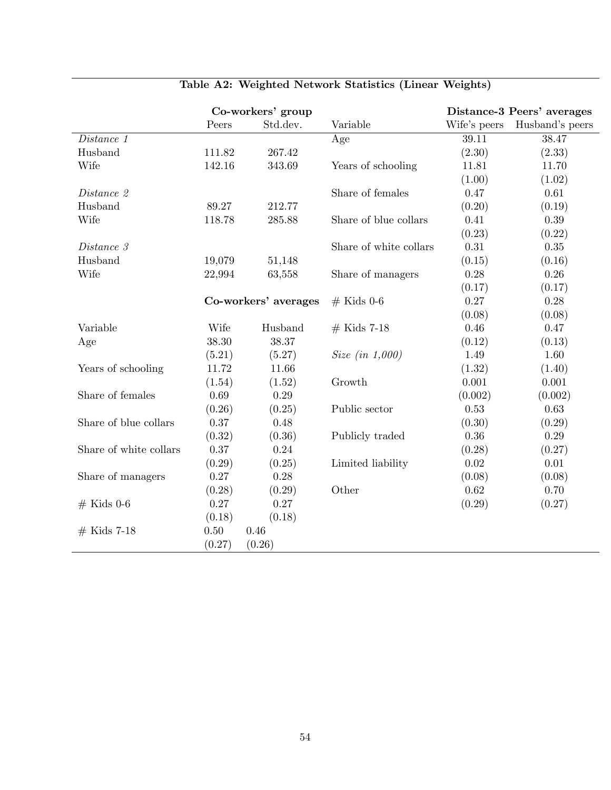|                        |        | Co-workers' group    |                                   |              | Distance-3 Peers' averages |
|------------------------|--------|----------------------|-----------------------------------|--------------|----------------------------|
|                        | Peers  | Std.dev.             | Variable                          | Wife's peers | Husband's peers            |
| Distance 1             |        |                      | Age                               | 39.11        | 38.47                      |
| Husband                | 111.82 | 267.42               |                                   | (2.30)       | (2.33)                     |
| Wife                   | 142.16 | 343.69               | Years of schooling                | 11.81        | 11.70                      |
|                        |        |                      |                                   | (1.00)       | (1.02)                     |
| Distance 2             |        |                      | Share of females                  | 0.47         | 0.61                       |
| Husband                | 89.27  | 212.77               |                                   | (0.20)       | (0.19)                     |
| Wife                   | 118.78 | 285.88               | Share of blue collars             | 0.41         | 0.39                       |
|                        |        |                      |                                   | (0.23)       | (0.22)                     |
| Distance 3             |        |                      | Share of white collars            | 0.31         | 0.35                       |
| Husband                | 19,079 | 51,148               |                                   | (0.15)       | (0.16)                     |
| Wife                   | 22,994 | 63,558               | Share of managers                 | 0.28         | 0.26                       |
|                        |        |                      |                                   | (0.17)       | (0.17)                     |
|                        |        | Co-workers' averages | $#$ Kids 0-6                      | 0.27         | 0.28                       |
|                        |        |                      |                                   | (0.08)       | (0.08)                     |
| Variable               | Wife   | Husband              | $#$ Kids 7-18                     | 0.46         | 0.47                       |
| Age                    | 38.30  | 38.37                |                                   | (0.12)       | (0.13)                     |
|                        | (5.21) | (5.27)               | <i>Size</i> ( <i>in</i> $1,000$ ) | 1.49         | 1.60                       |
| Years of schooling     | 11.72  | 11.66                |                                   | (1.32)       | (1.40)                     |
|                        | (1.54) | (1.52)               | Growth                            | 0.001        | 0.001                      |
| Share of females       | 0.69   | 0.29                 |                                   | (0.002)      | (0.002)                    |
|                        | (0.26) | (0.25)               | Public sector                     | 0.53         | 0.63                       |
| Share of blue collars  | 0.37   | 0.48                 |                                   | (0.30)       | (0.29)                     |
|                        | (0.32) | (0.36)               | Publicly traded                   | 0.36         | 0.29                       |
| Share of white collars | 0.37   | 0.24                 |                                   | (0.28)       | (0.27)                     |
|                        | (0.29) | (0.25)               | Limited liability                 | 0.02         | 0.01                       |
| Share of managers      | 0.27   | 0.28                 |                                   | (0.08)       | (0.08)                     |
|                        | (0.28) | (0.29)               | Other                             | 0.62         | 0.70                       |
| $#$ Kids 0-6           | 0.27   | 0.27                 |                                   | (0.29)       | (0.27)                     |
|                        | (0.18) | (0.18)               |                                   |              |                            |
| $#$ Kids 7-18          | 0.50   | 0.46                 |                                   |              |                            |
|                        | (0.27) | (0.26)               |                                   |              |                            |

## Table A2: Weighted Network Statistics (Linear Weights)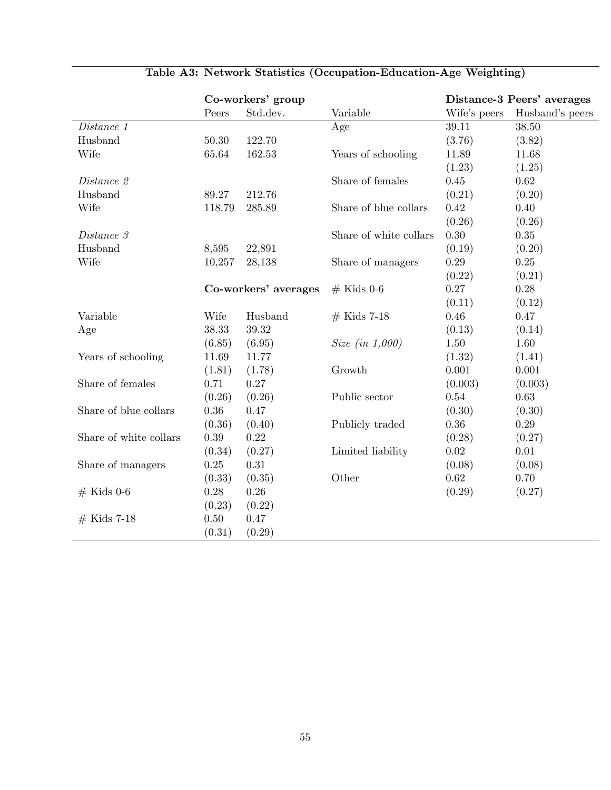|                        | Co-workers' group    |          |                        | Distance-3 Peers' averages |                 |
|------------------------|----------------------|----------|------------------------|----------------------------|-----------------|
|                        | Peers                | Std.dev. | Variable               | Wife's peers               | Husband's peers |
| Distance 1             |                      |          | Age                    | 39.11                      | 38.50           |
| Husband                | 50.30                | 122.70   |                        | (3.76)                     | (3.82)          |
| Wife                   | 65.64                | 162.53   | Years of schooling     | 11.89                      | 11.68           |
|                        |                      |          |                        | (1.23)                     | (1.25)          |
| Distance 2             |                      |          | Share of females       | $0.45\,$                   | 0.62            |
| Husband                | 89.27                | 212.76   |                        | (0.21)                     | (0.20)          |
| Wife                   | 118.79               | 285.89   | Share of blue collars  | 0.42                       | 0.40            |
|                        |                      |          |                        | (0.26)                     | (0.26)          |
| Distance 3             |                      |          | Share of white collars | 0.30                       | 0.35            |
| Husband                | 8,595                | 22,891   |                        | (0.19)                     | (0.20)          |
| Wife                   | 10,257               | 28,138   | Share of managers      | $0.29\,$                   | $0.25\,$        |
|                        |                      |          |                        | (0.22)                     | (0.21)          |
|                        | Co-workers' averages |          | $#$ Kids 0-6           | $0.27\,$                   | $0.28\,$        |
|                        |                      |          |                        | (0.11)                     | (0.12)          |
| Variable               | Wife                 | Husband  | $#$ Kids 7-18          | 0.46                       | 0.47            |
| Age                    | 38.33                | 39.32    |                        | (0.13)                     | (0.14)          |
|                        | (6.85)               | (6.95)   | Size (in 1,000)        | $1.50\,$                   | 1.60            |
| Years of schooling     | 11.69                | 11.77    |                        | (1.32)                     | (1.41)          |
|                        | (1.81)               | (1.78)   | Growth                 | 0.001                      | 0.001           |
| Share of females       | 0.71                 | 0.27     |                        | (0.003)                    | (0.003)         |
|                        | (0.26)               | (0.26)   | Public sector          | $0.54\,$                   | 0.63            |
| Share of blue collars  | $0.36\,$             | 0.47     |                        | (0.30)                     | (0.30)          |
|                        | (0.36)               | (0.40)   | Publicly traded        | $0.36\,$                   | 0.29            |
| Share of white collars | 0.39                 | 0.22     |                        | (0.28)                     | (0.27)          |
|                        | (0.34)               | (0.27)   | Limited liability      | 0.02                       | 0.01            |
| Share of managers      | $0.25\,$             | $0.31\,$ |                        | (0.08)                     | (0.08)          |
|                        | (0.33)               | (0.35)   | Other                  | 0.62                       | 0.70            |
| $\#$ Kids 0-6          | 0.28                 | 0.26     |                        | (0.29)                     | (0.27)          |
|                        | (0.23)               | (0.22)   |                        |                            |                 |
| $#$ Kids 7-18          | 0.50                 | 0.47     |                        |                            |                 |
|                        | (0.31)               | (0.29)   |                        |                            |                 |

## Table A3: Network Statistics (Occupation-Education-Age Weighting)